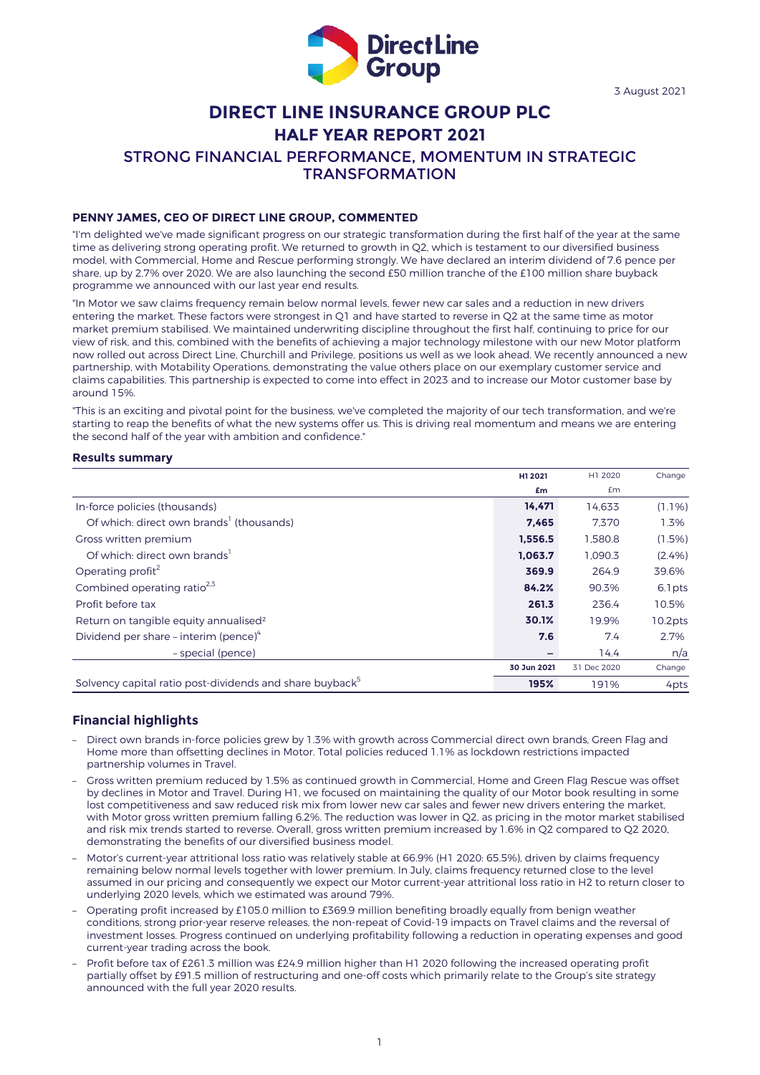

# **DIRECT LINE INSURANCE GROUP PLC HALF YEAR REPORT 2021**

STRONG FINANCIAL PERFORMANCE, MOMENTUM IN STRATEGIC

TRANSFORMATION

## **PENNY JAMES, CEO OF DIRECT LINE GROUP, COMMENTED**

"I'm delighted we've made significant progress on our strategic transformation during the first half of the year at the same time as delivering strong operating profit. We returned to growth in Q2, which is testament to our diversified business model, with Commercial, Home and Rescue performing strongly. We have declared an interim dividend of 7.6 pence per share, up by 2.7% over 2020. We are also launching the second £50 million tranche of the £100 million share buyback programme we announced with our last year end results.

"In Motor we saw claims frequency remain below normal levels, fewer new car sales and a reduction in new drivers entering the market. These factors were strongest in Q1 and have started to reverse in Q2 at the same time as motor market premium stabilised. We maintained underwriting discipline throughout the first half, continuing to price for our view of risk, and this, combined with the benefits of achieving a major technology milestone with our new Motor platform now rolled out across Direct Line, Churchill and Privilege, positions us well as we look ahead. We recently announced a new partnership, with Motability Operations, demonstrating the value others place on our exemplary customer service and claims capabilities. This partnership is expected to come into effect in 2023 and to increase our Motor customer base by around 15%.

"This is an exciting and pivotal point for the business, we've completed the majority of our tech transformation, and we're starting to reap the benefits of what the new systems offer us. This is driving real momentum and means we are entering the second half of the year with ambition and confidence."

### **Results summary**

|                                                                      | H1 2021     | H1 2020     | Change    |
|----------------------------------------------------------------------|-------------|-------------|-----------|
|                                                                      | £m          | £m          |           |
| In-force policies (thousands)                                        | 14.471      | 14.633      | $(1.1\%)$ |
| Of which: direct own brands <sup>1</sup> (thousands)                 | 7,465       | 7.370       | 1.3%      |
| Gross written premium                                                | 1,556.5     | 1.580.8     | $(1.5\%)$ |
| Of which direct own brands <sup>1</sup>                              | 1.063.7     | 1.090.3     | (2.4%)    |
| Operating profit <sup>2</sup>                                        | 369.9       | 264.9       | 39.6%     |
| Combined operating ratio <sup>2,3</sup>                              | 84.2%       | 90.3%       | 6.1 pts   |
| Profit before tax                                                    | 261.3       | 236.4       | 10.5%     |
| Return on tangible equity annualised <sup>2</sup>                    | 30.1%       | 19.9%       | 10.2pts   |
| Dividend per share – interim (pence) $4$                             | 7.6         | 7.4         | 2.7%      |
| - special (pence)                                                    |             | 14.4        | n/a       |
|                                                                      | 30 Jun 2021 | 31 Dec 2020 | Change    |
| Solvency capital ratio post-dividends and share buyback <sup>5</sup> | 195%        | 191%        | 4pts      |

## **Financial highlights**

- Direct own brands in-force policies grew by 1.3% with growth across Commercial direct own brands, Green Flag and Home more than offsetting declines in Motor. Total policies reduced 1.1% as lockdown restrictions impacted partnership volumes in Travel.
- Gross written premium reduced by 1.5% as continued growth in Commercial, Home and Green Flag Rescue was offset by declines in Motor and Travel. During H1, we focused on maintaining the quality of our Motor book resulting in some lost competitiveness and saw reduced risk mix from lower new car sales and fewer new drivers entering the market, with Motor gross written premium falling 6.2%. The reduction was lower in Q2, as pricing in the motor market stabilised and risk mix trends started to reverse. Overall, gross written premium increased by 1.6% in Q2 compared to Q2 2020, demonstrating the benefits of our diversified business model.
- Motor's current-year attritional loss ratio was relatively stable at 66.9% (H1 2020: 65.5%), driven by claims frequency remaining below normal levels together with lower premium. In July, claims frequency returned close to the level assumed in our pricing and consequently we expect our Motor current-year attritional loss ratio in H2 to return closer to underlying 2020 levels, which we estimated was around 79%.
- Operating profit increased by £105.0 million to £369.9 million benefiting broadly equally from benign weather conditions, strong prior-year reserve releases, the non-repeat of Covid-19 impacts on Travel claims and the reversal of investment losses. Progress continued on underlying profitability following a reduction in operating expenses and good current-year trading across the book.
- Profit before tax of £261.3 million was £24.9 million higher than H1 2020 following the increased operating profit partially offset by £91.5 million of restructuring and one-off costs which primarily relate to the Group's site strategy announced with the full year 2020 results.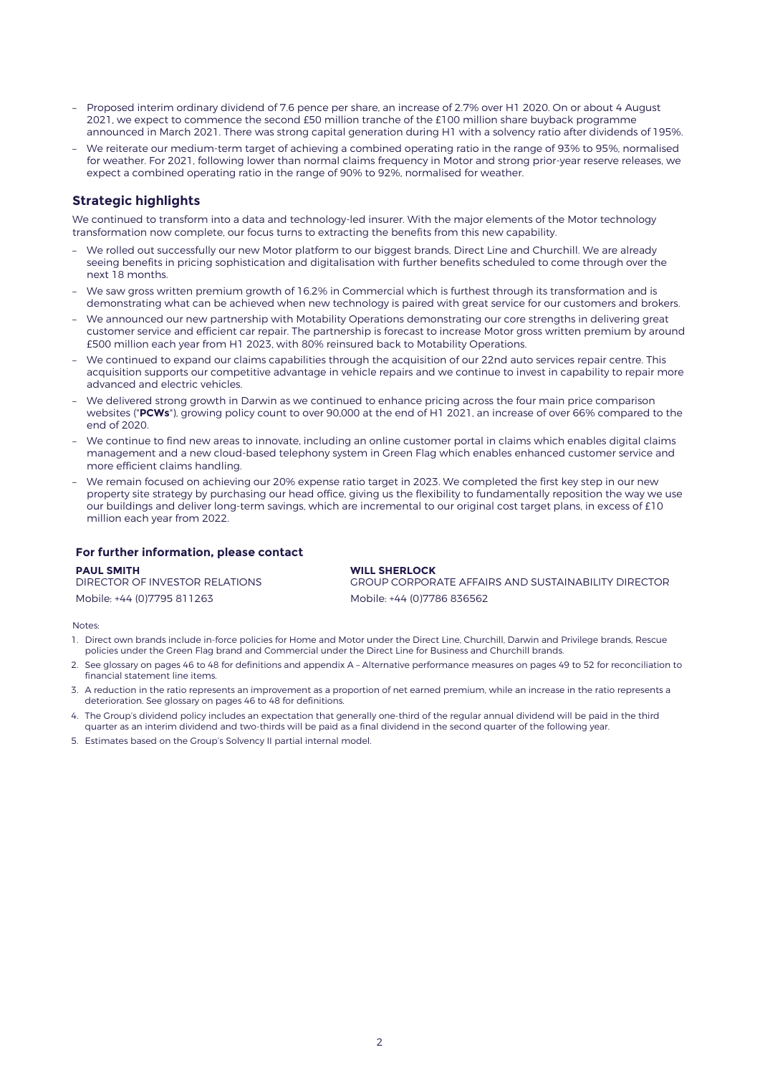- Proposed interim ordinary dividend of 7.6 pence per share, an increase of 2.7% over H1 2020. On or about 4 August 2021, we expect to commence the second £50 million tranche of the £100 million share buyback programme announced in March 2021. There was strong capital generation during H1 with a solvency ratio after dividends of 195%.
- We reiterate our medium-term target of achieving a combined operating ratio in the range of 93% to 95%, normalised for weather. For 2021, following lower than normal claims frequency in Motor and strong prior-year reserve releases, we expect a combined operating ratio in the range of 90% to 92%, normalised for weather.

# **Strategic highlights**

We continued to transform into a data and technology-led insurer. With the major elements of the Motor technology transformation now complete, our focus turns to extracting the benefits from this new capability.

- We rolled out successfully our new Motor platform to our biggest brands, Direct Line and Churchill. We are already seeing benefits in pricing sophistication and digitalisation with further benefits scheduled to come through over the next 18 months.
- We saw gross written premium growth of 16.2% in Commercial which is furthest through its transformation and is demonstrating what can be achieved when new technology is paired with great service for our customers and brokers.
- We announced our new partnership with Motability Operations demonstrating our core strengths in delivering great customer service and efficient car repair. The partnership is forecast to increase Motor gross written premium by around £500 million each year from H1 2023, with 80% reinsured back to Motability Operations.
- We continued to expand our claims capabilities through the acquisition of our 22nd auto services repair centre. This acquisition supports our competitive advantage in vehicle repairs and we continue to invest in capability to repair more advanced and electric vehicles.
- We delivered strong growth in Darwin as we continued to enhance pricing across the four main price comparison websites ("**PCWs**"), growing policy count to over 90,000 at the end of H1 2021, an increase of over 66% compared to the end of 2020.
- We continue to find new areas to innovate, including an online customer portal in claims which enables digital claims management and a new cloud-based telephony system in Green Flag which enables enhanced customer service and more efficient claims handling.
- We remain focused on achieving our 20% expense ratio target in 2023. We completed the first key step in our new property site strategy by purchasing our head office, giving us the flexibility to fundamentally reposition the way we use our buildings and deliver long-term savings, which are incremental to our original cost target plans, in excess of £10 million each year from 2022.

## **For further information, please contact**

**PAUL SMITH** DIRECTOR OF INVESTOR RELATIONS Mobile: +44 (0)7795 811263 Mobile: +44 (0)7786 836562

**WILL SHERLOCK** GROUP CORPORATE AFFAIRS AND SUSTAINABILITY DIRECTOR

Notes:

- 1. Direct own brands include in-force policies for Home and Motor under the Direct Line, Churchill, Darwin and Privilege brands, Rescue policies under the Green Flag brand and Commercial under the Direct Line for Business and Churchill brands.
- 2. See glossary on pages 46 to 48 for definitions and appendix A Alternative performance measures on pages 49 to 52 for reconciliation to financial statement line items.
- 3. A reduction in the ratio represents an improvement as a proportion of net earned premium, while an increase in the ratio represents a deterioration. See glossary on pages 46 to 48 for definitions.
- 4. The Group's dividend policy includes an expectation that generally one-third of the regular annual dividend will be paid in the third quarter as an interim dividend and two-thirds will be paid as a final dividend in the second quarter of the following year.
- 5. Estimates based on the Group's Solvency II partial internal model.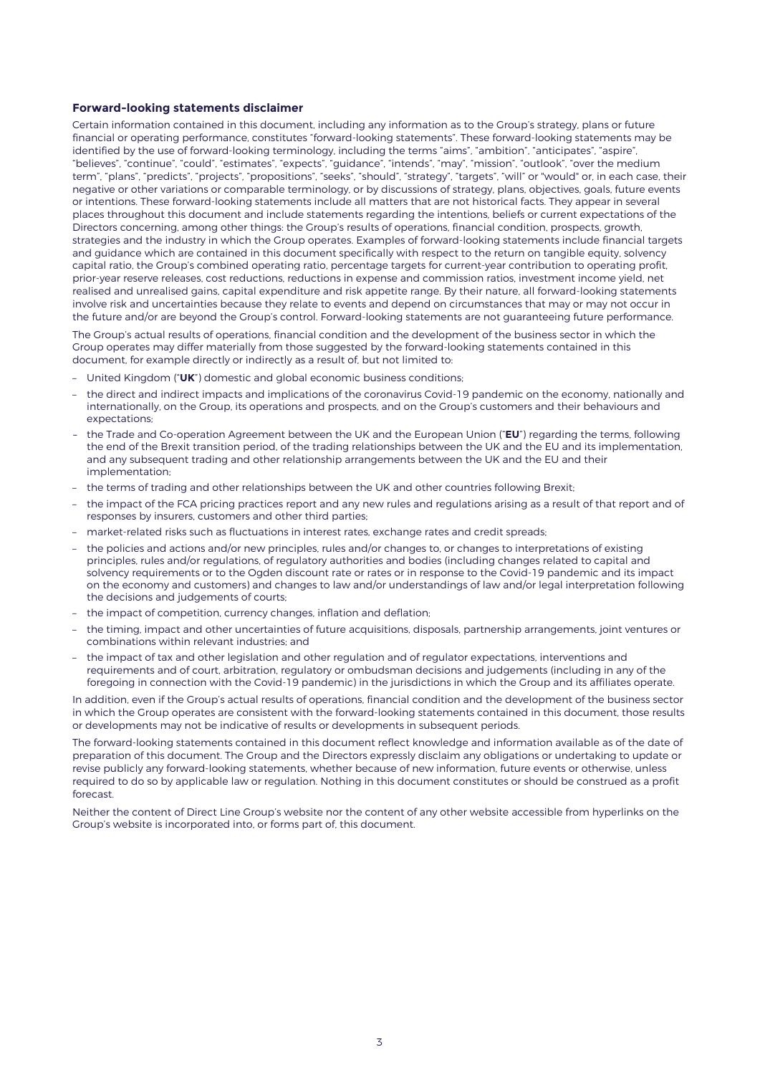### **Forward-looking statements disclaimer**

Certain information contained in this document, including any information as to the Group's strategy, plans or future financial or operating performance, constitutes "forward-looking statements". These forward-looking statements may be identified by the use of forward-looking terminology, including the terms "aims", "ambition", "anticipates", "aspire", "believes", "continue", "could", "estimates", "expects", "guidance", "intends", "may", "mission", "outlook", "over the medium term", "plans", "predicts", "projects", "propositions", "seeks", "should", "strategy", "targets", "will" or "would" or, in each case, their negative or other variations or comparable terminology, or by discussions of strategy, plans, objectives, goals, future events or intentions. These forward-looking statements include all matters that are not historical facts. They appear in several places throughout this document and include statements regarding the intentions, beliefs or current expectations of the Directors concerning, among other things: the Group's results of operations, financial condition, prospects, growth, strategies and the industry in which the Group operates. Examples of forward-looking statements include financial targets and guidance which are contained in this document specifically with respect to the return on tangible equity, solvency capital ratio, the Group's combined operating ratio, percentage targets for current-year contribution to operating profit, prior-year reserve releases, cost reductions, reductions in expense and commission ratios, investment income yield, net realised and unrealised gains, capital expenditure and risk appetite range. By their nature, all forward-looking statements involve risk and uncertainties because they relate to events and depend on circumstances that may or may not occur in the future and/or are beyond the Group's control. Forward-looking statements are not guaranteeing future performance.

The Group's actual results of operations, financial condition and the development of the business sector in which the Group operates may differ materially from those suggested by the forward-looking statements contained in this document, for example directly or indirectly as a result of, but not limited to:

- United Kingdom ("**UK**") domestic and global economic business conditions;
- the direct and indirect impacts and implications of the coronavirus Covid-19 pandemic on the economy, nationally and internationally, on the Group, its operations and prospects, and on the Group's customers and their behaviours and expectations;
- the Trade and Co-operation Agreement between the UK and the European Union ("**EU**") regarding the terms, following the end of the Brexit transition period, of the trading relationships between the UK and the EU and its implementation, and any subsequent trading and other relationship arrangements between the UK and the EU and their implementation:
- the terms of trading and other relationships between the UK and other countries following Brexit;
- the impact of the FCA pricing practices report and any new rules and regulations arising as a result of that report and of responses by insurers, customers and other third parties;
- market-related risks such as fluctuations in interest rates, exchange rates and credit spreads;
- the policies and actions and/or new principles, rules and/or changes to, or changes to interpretations of existing principles, rules and/or regulations, of regulatory authorities and bodies (including changes related to capital and solvency requirements or to the Ogden discount rate or rates or in response to the Covid-19 pandemic and its impact on the economy and customers) and changes to law and/or understandings of law and/or legal interpretation following the decisions and judgements of courts;
- the impact of competition, currency changes, inflation and deflation;
- the timing, impact and other uncertainties of future acquisitions, disposals, partnership arrangements, joint ventures or combinations within relevant industries; and
- the impact of tax and other legislation and other regulation and of regulator expectations, interventions and requirements and of court, arbitration, regulatory or ombudsman decisions and judgements (including in any of the foregoing in connection with the Covid-19 pandemic) in the jurisdictions in which the Group and its affiliates operate.

In addition, even if the Group's actual results of operations, financial condition and the development of the business sector in which the Group operates are consistent with the forward-looking statements contained in this document, those results or developments may not be indicative of results or developments in subsequent periods.

The forward-looking statements contained in this document reflect knowledge and information available as of the date of preparation of this document. The Group and the Directors expressly disclaim any obligations or undertaking to update or revise publicly any forward-looking statements, whether because of new information, future events or otherwise, unless required to do so by applicable law or regulation. Nothing in this document constitutes or should be construed as a profit forecast

Neither the content of Direct Line Group's website nor the content of any other website accessible from hyperlinks on the Group's website is incorporated into, or forms part of, this document.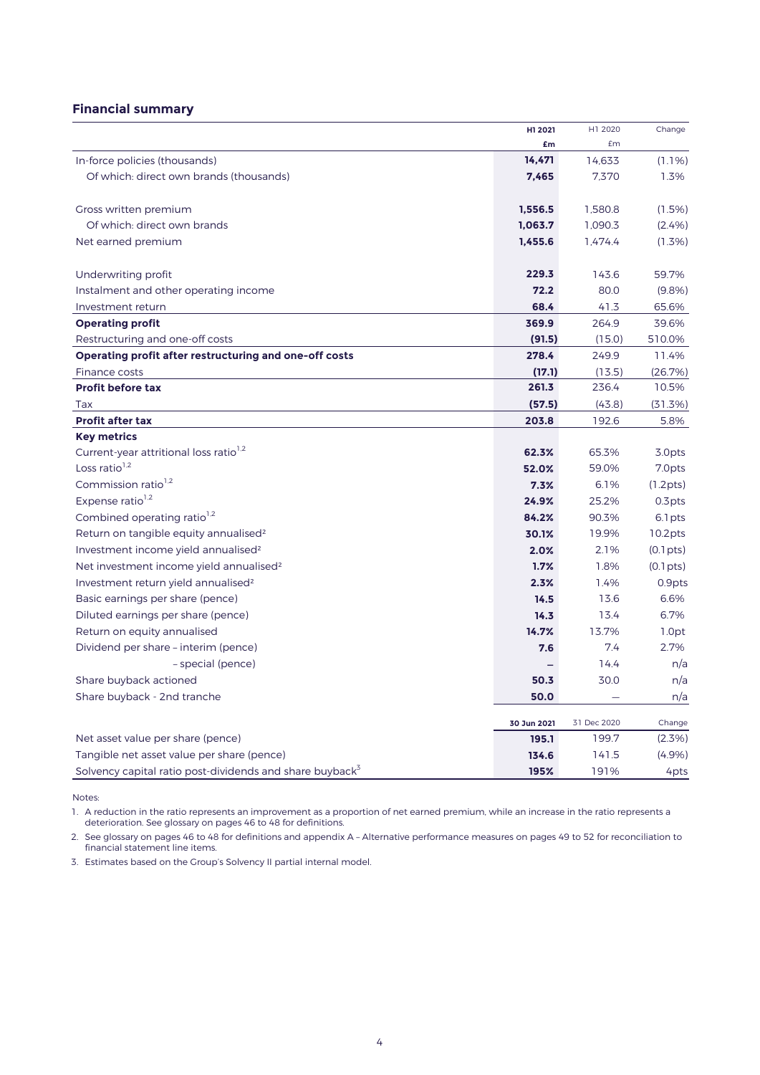# **Financial summary**

|                                                                      | H1 2021     | H1 2020     | Change             |
|----------------------------------------------------------------------|-------------|-------------|--------------------|
|                                                                      | £m          | £m          |                    |
| In-force policies (thousands)                                        | 14,471      | 14,633      | $(1.1\%)$          |
| Of which: direct own brands (thousands)                              | 7,465       | 7,370       | 1.3%               |
| Gross written premium                                                | 1,556.5     | 1,580.8     | (1.5%)             |
| Of which: direct own brands                                          | 1,063.7     | 1,090.3     | (2.4%)             |
| Net earned premium                                                   | 1,455.6     | 1.474.4     | $(1.3\%)$          |
| Underwriting profit                                                  | 229.3       | 143.6       | 59.7%              |
| Instalment and other operating income                                | 72.2        | 80.0        | (9.8%)             |
| Investment return                                                    | 68.4        | 41.3        | 65.6%              |
| <b>Operating profit</b>                                              | 369.9       | 264.9       | 39.6%              |
| Restructuring and one-off costs                                      | (91.5)      | (15.0)      | 510.0%             |
| Operating profit after restructuring and one-off costs               | 278.4       | 249.9       | 11.4%              |
| Finance costs                                                        | (17.1)      | (13.5)      | (26.7%)            |
| <b>Profit before tax</b>                                             | 261.3       | 236.4       | 10.5%              |
| Tax                                                                  | (57.5)      | (43.8)      | (31.3%)            |
| <b>Profit after tax</b>                                              | 203.8       | 192.6       | 5.8%               |
| <b>Key metrics</b>                                                   |             |             |                    |
| Current-year attritional loss ratio <sup>1,2</sup>                   | 62.3%       | 65.3%       | 3.0pts             |
| Loss ratio <sup>1,2</sup>                                            | 52.0%       | 59.0%       | 7.0pts             |
| Commission ratio <sup>1,2</sup>                                      | 7.3%        | 6.1%        | (1.2pts)           |
| Expense ratio $1.2$                                                  | 24.9%       | 25.2%       | 0.3 <sub>pts</sub> |
| Combined operating ratio <sup>1,2</sup>                              | 84.2%       | 90.3%       | 6.1 pts            |
| Return on tangible equity annualised <sup>2</sup>                    | 30.1%       | 19.9%       | 10.2pts            |
| Investment income yield annualised <sup>2</sup>                      | 2.0%        | 2.1%        | (0.1pts)           |
| Net investment income yield annualised <sup>2</sup>                  | 1.7%        | 1.8%        | (0.1pts)           |
| Investment return yield annualised <sup>2</sup>                      | 2.3%        | 1.4%        | 0.9pts             |
| Basic earnings per share (pence)                                     | 14.5        | 13.6        | 6.6%               |
| Diluted earnings per share (pence)                                   | 14.3        | 13.4        | 6.7%               |
| Return on equity annualised                                          | 14.7%       | 13.7%       | 1.0pt              |
| Dividend per share - interim (pence)                                 | 7.6         | 7.4         | 2.7%               |
| - special (pence)                                                    |             | 14.4        | n/a                |
| Share buyback actioned                                               | 50.3        | 30.0        | n/a                |
| Share buyback - 2nd tranche                                          | 50.0        |             | n/a                |
|                                                                      | 30 Jun 2021 | 31 Dec 2020 | Change             |
| Net asset value per share (pence)                                    | 195.1       | 199.7       | $(2.3\%)$          |
| Tangible net asset value per share (pence)                           | 134.6       | 141.5       | (4.9%)             |
| Solvency capital ratio post-dividends and share buyback <sup>3</sup> | 195%        | 191%        | 4pts               |

Notes:

1. A reduction in the ratio represents an improvement as a proportion of net earned premium, while an increase in the ratio represents a deterioration. See glossary on pages 46 to 48 for definitions.

2. See glossary on pages 46 to 48 for definitions and appendix A – Alternative performance measures on pages 49 to 52 for reconciliation to financial statement line items.

3. Estimates based on the Group's Solvency II partial internal model.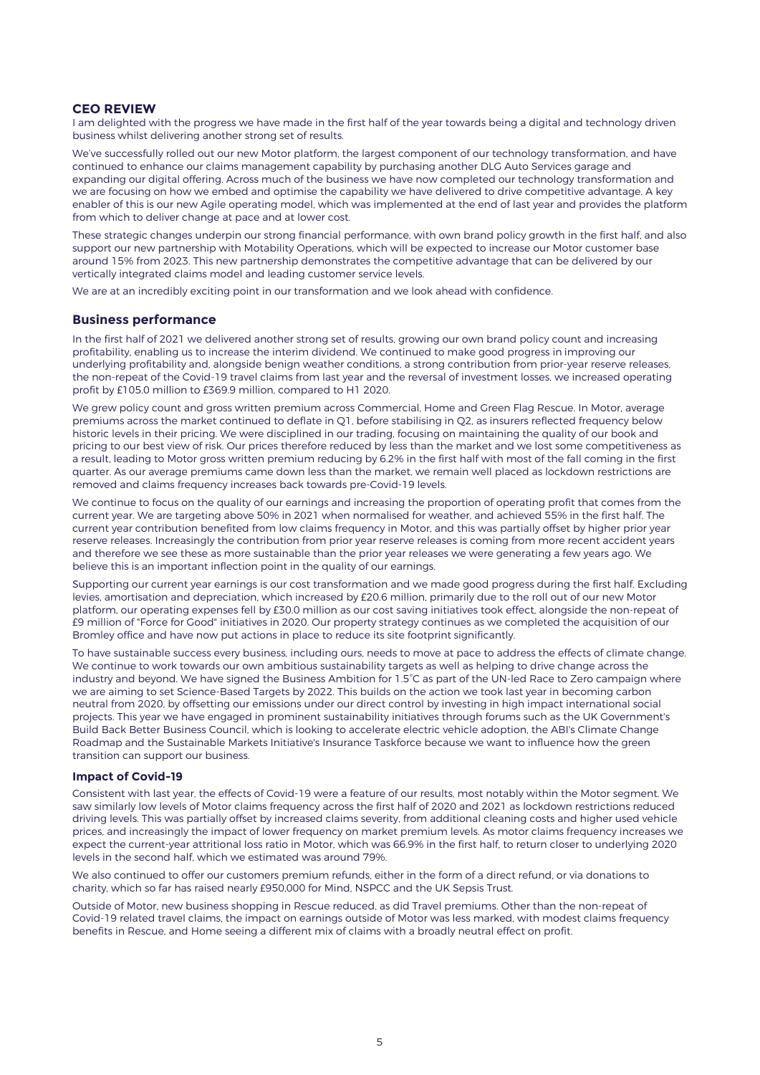# **CEO REVIEW**

I am delighted with the progress we have made in the first half of the year towards being a digital and technology driven business whilst delivering another strong set of results.

We've successfully rolled out our new Motor platform, the largest component of our technology transformation, and have continued to enhance our claims management capability by purchasing another DLG Auto Services garage and expanding our digital offering. Across much of the business we have now completed our technology transformation and we are focusing on how we embed and optimise the capability we have delivered to drive competitive advantage. A key enabler of this is our new Agile operating model, which was implemented at the end of last year and provides the platform from which to deliver change at pace and at lower cost.

These strategic changes underpin our strong financial performance, with own brand policy growth in the first half, and also support our new partnership with Motability Operations, which will be expected to increase our Motor customer base around 15% from 2023. This new partnership demonstrates the competitive advantage that can be delivered by our vertically integrated claims model and leading customer service levels.

We are at an incredibly exciting point in our transformation and we look ahead with confidence.

## **Business performance**

In the first half of 2021 we delivered another strong set of results, growing our own brand policy count and increasing profitability, enabling us to increase the interim dividend. We continued to make good progress in improving our underlying profitability and, alongside benign weather conditions, a strong contribution from prior-year reserve releases, the non-repeat of the Covid-19 travel claims from last year and the reversal of investment losses, we increased operating profit by £105.0 million to £369.9 million, compared to H1 2020.

We grew policy count and gross written premium across Commercial, Home and Green Flag Rescue. In Motor, average premiums across the market continued to deflate in Q1, before stabilising in Q2, as insurers reflected frequency below historic levels in their pricing. We were disciplined in our trading, focusing on maintaining the quality of our book and pricing to our best view of risk. Our prices therefore reduced by less than the market and we lost some competitiveness as a result, leading to Motor gross written premium reducing by 6.2% in the first half with most of the fall coming in the first quarter. As our average premiums came down less than the market, we remain well placed as lockdown restrictions are removed and claims frequency increases back towards pre-Covid-19 levels.

We continue to focus on the quality of our earnings and increasing the proportion of operating profit that comes from the current year. We are targeting above 50% in 2021 when normalised for weather, and achieved 55% in the first half. The current year contribution benefited from low claims frequency in Motor, and this was partially offset by higher prior year reserve releases. Increasingly the contribution from prior year reserve releases is coming from more recent accident years and therefore we see these as more sustainable than the prior year releases we were generating a few years ago. We believe this is an important inflection point in the quality of our earnings.

Supporting our current year earnings is our cost transformation and we made good progress during the first half. Excluding levies, amortisation and depreciation, which increased by £20.6 million, primarily due to the roll out of our new Motor platform, our operating expenses fell by £30.0 million as our cost saving initiatives took effect, alongside the non-repeat of £9 million of "Force for Good" initiatives in 2020. Our property strategy continues as we completed the acquisition of our Bromley office and have now put actions in place to reduce its site footprint significantly.

To have sustainable success every business, including ours, needs to move at pace to address the effects of climate change. We continue to work towards our own ambitious sustainability targets as well as helping to drive change across the industry and beyond. We have signed the Business Ambition for 1.5°C as part of the UN-led Race to Zero campaign where we are aiming to set Science-Based Targets by 2022. This builds on the action we took last year in becoming carbon neutral from 2020, by offsetting our emissions under our direct control by investing in high impact international social projects. This year we have engaged in prominent sustainability initiatives through forums such as the UK Government's Build Back Better Business Council, which is looking to accelerate electric vehicle adoption, the ABI's Climate Change Roadmap and the Sustainable Markets Initiative's Insurance Taskforce because we want to influence how the green transition can support our business.

### **Impact of Covid-19**

Consistent with last year, the effects of Covid-19 were a feature of our results, most notably within the Motor segment. We saw similarly low levels of Motor claims frequency across the first half of 2020 and 2021 as lockdown restrictions reduced driving levels. This was partially offset by increased claims severity, from additional cleaning costs and higher used vehicle prices, and increasingly the impact of lower frequency on market premium levels. As motor claims frequency increases we expect the current-year attritional loss ratio in Motor, which was 66.9% in the first half, to return closer to underlying 2020 levels in the second half, which we estimated was around 79%.

We also continued to offer our customers premium refunds, either in the form of a direct refund, or via donations to charity, which so far has raised nearly £950,000 for Mind, NSPCC and the UK Sepsis Trust.

Outside of Motor, new business shopping in Rescue reduced, as did Travel premiums. Other than the non-repeat of Covid-19 related travel claims, the impact on earnings outside of Motor was less marked, with modest claims frequency benefits in Rescue, and Home seeing a different mix of claims with a broadly neutral effect on profit.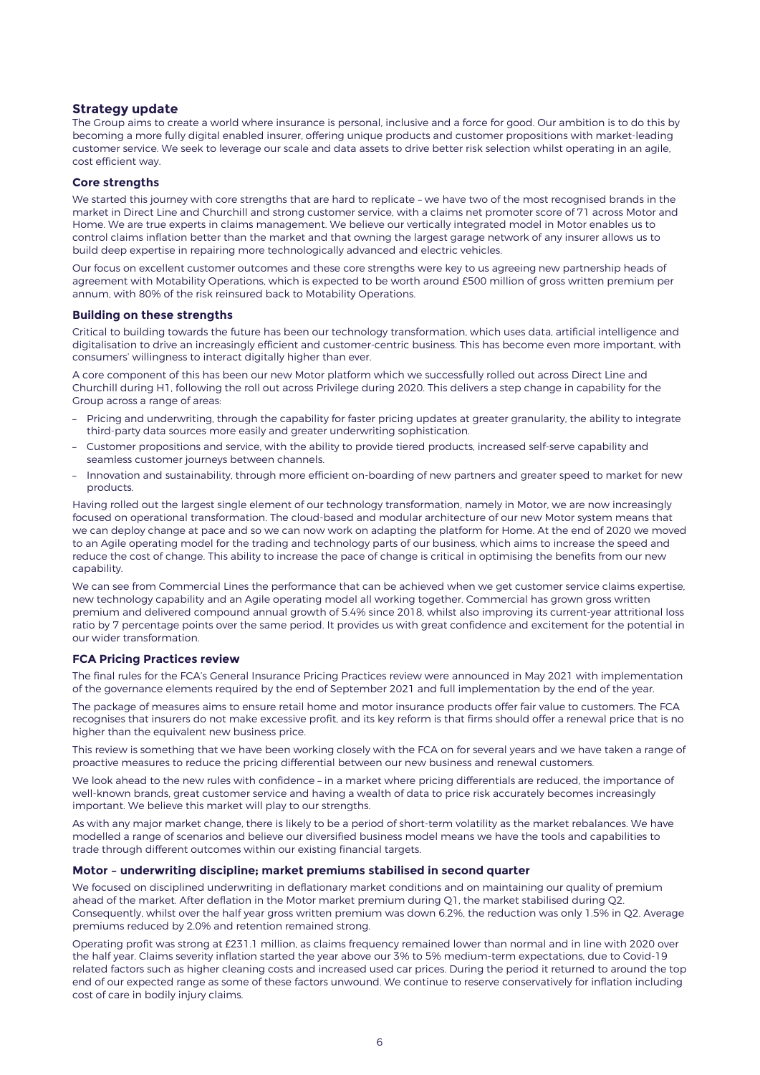## **Strategy update**

The Group aims to create a world where insurance is personal, inclusive and a force for good. Our ambition is to do this by becoming a more fully digital enabled insurer, offering unique products and customer propositions with market-leading customer service. We seek to leverage our scale and data assets to drive better risk selection whilst operating in an agile, cost efficient way.

### **Core strengths**

We started this journey with core strengths that are hard to replicate – we have two of the most recognised brands in the market in Direct Line and Churchill and strong customer service, with a claims net promoter score of 71 across Motor and Home. We are true experts in claims management. We believe our vertically integrated model in Motor enables us to control claims inflation better than the market and that owning the largest garage network of any insurer allows us to build deep expertise in repairing more technologically advanced and electric vehicles.

Our focus on excellent customer outcomes and these core strengths were key to us agreeing new partnership heads of agreement with Motability Operations, which is expected to be worth around £500 million of gross written premium per annum, with 80% of the risk reinsured back to Motability Operations.

### **Building on these strengths**

Critical to building towards the future has been our technology transformation, which uses data, artificial intelligence and digitalisation to drive an increasingly efficient and customer-centric business. This has become even more important, with consumers' willingness to interact digitally higher than ever.

A core component of this has been our new Motor platform which we successfully rolled out across Direct Line and Churchill during H1, following the roll out across Privilege during 2020. This delivers a step change in capability for the Group across a range of areas:

- Pricing and underwriting, through the capability for faster pricing updates at greater granularity, the ability to integrate third-party data sources more easily and greater underwriting sophistication.
- Customer propositions and service, with the ability to provide tiered products, increased self-serve capability and seamless customer journeys between channels.
- Innovation and sustainability, through more efficient on-boarding of new partners and greater speed to market for new products.

Having rolled out the largest single element of our technology transformation, namely in Motor, we are now increasingly focused on operational transformation. The cloud-based and modular architecture of our new Motor system means that we can deploy change at pace and so we can now work on adapting the platform for Home. At the end of 2020 we moved to an Agile operating model for the trading and technology parts of our business, which aims to increase the speed and reduce the cost of change. This ability to increase the pace of change is critical in optimising the benefits from our new capability.

We can see from Commercial Lines the performance that can be achieved when we get customer service claims expertise, new technology capability and an Agile operating model all working together. Commercial has grown gross written premium and delivered compound annual growth of 5.4% since 2018, whilst also improving its current-year attritional loss ratio by 7 percentage points over the same period. It provides us with great confidence and excitement for the potential in our wider transformation.

#### **FCA Pricing Practices review**

The final rules for the FCA's General Insurance Pricing Practices review were announced in May 2021 with implementation of the governance elements required by the end of September 2021 and full implementation by the end of the year.

The package of measures aims to ensure retail home and motor insurance products offer fair value to customers. The FCA recognises that insurers do not make excessive profit, and its key reform is that firms should offer a renewal price that is no higher than the equivalent new business price.

This review is something that we have been working closely with the FCA on for several years and we have taken a range of proactive measures to reduce the pricing differential between our new business and renewal customers.

We look ahead to the new rules with confidence – in a market where pricing differentials are reduced, the importance of well-known brands, great customer service and having a wealth of data to price risk accurately becomes increasingly important. We believe this market will play to our strengths.

As with any major market change, there is likely to be a period of short-term volatility as the market rebalances. We have modelled a range of scenarios and believe our diversified business model means we have the tools and capabilities to trade through different outcomes within our existing financial targets.

### **Motor – underwriting discipline; market premiums stabilised in second quarter**

We focused on disciplined underwriting in deflationary market conditions and on maintaining our quality of premium ahead of the market. After deflation in the Motor market premium during Q1, the market stabilised during Q2. Consequently, whilst over the half year gross written premium was down 6.2%, the reduction was only 1.5% in Q2. Average premiums reduced by 2.0% and retention remained strong.

Operating profit was strong at £231.1 million, as claims frequency remained lower than normal and in line with 2020 over the half year. Claims severity inflation started the year above our 3% to 5% medium-term expectations, due to Covid-19 related factors such as higher cleaning costs and increased used car prices. During the period it returned to around the top end of our expected range as some of these factors unwound. We continue to reserve conservatively for inflation including cost of care in bodily injury claims.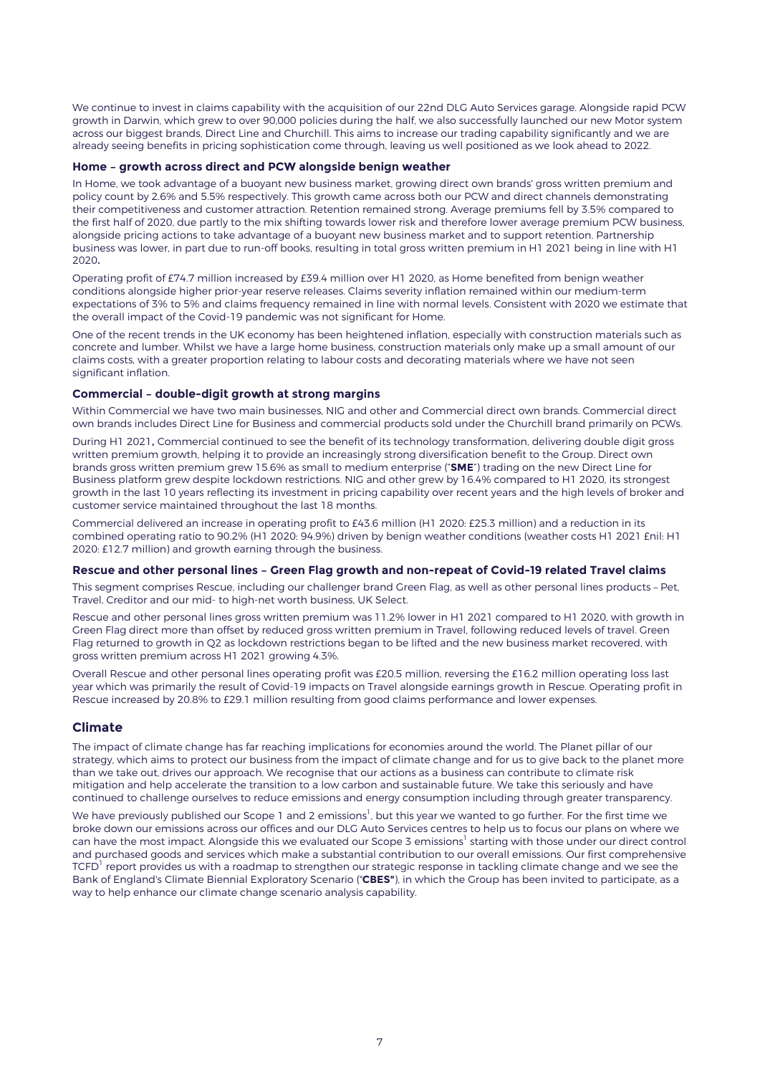We continue to invest in claims capability with the acquisition of our 22nd DLG Auto Services garage. Alongside rapid PCW growth in Darwin, which grew to over 90,000 policies during the half, we also successfully launched our new Motor system across our biggest brands, Direct Line and Churchill. This aims to increase our trading capability significantly and we are already seeing benefits in pricing sophistication come through, leaving us well positioned as we look ahead to 2022.

### **Home – growth across direct and PCW alongside benign weather**

In Home, we took advantage of a buoyant new business market, growing direct own brands' gross written premium and policy count by 2.6% and 5.5% respectively. This growth came across both our PCW and direct channels demonstrating their competitiveness and customer attraction. Retention remained strong. Average premiums fell by 3.5% compared to the first half of 2020, due partly to the mix shifting towards lower risk and therefore lower average premium PCW business, alongside pricing actions to take advantage of a buoyant new business market and to support retention. Partnership business was lower, in part due to run-off books, resulting in total gross written premium in H1 2021 being in line with H1 2020.

Operating profit of £74.7 million increased by £39.4 million over H1 2020, as Home benefited from benign weather conditions alongside higher prior-year reserve releases. Claims severity inflation remained within our medium-term expectations of 3% to 5% and claims frequency remained in line with normal levels. Consistent with 2020 we estimate that the overall impact of the Covid-19 pandemic was not significant for Home.

One of the recent trends in the UK economy has been heightened inflation, especially with construction materials such as concrete and lumber. Whilst we have a large home business, construction materials only make up a small amount of our claims costs, with a greater proportion relating to labour costs and decorating materials where we have not seen significant inflation.

### **Commercial – double-digit growth at strong margins**

Within Commercial we have two main businesses, NIG and other and Commercial direct own brands. Commercial direct own brands includes Direct Line for Business and commercial products sold under the Churchill brand primarily on PCWs.

During H1 2021, Commercial continued to see the benefit of its technology transformation, delivering double digit gross written premium growth, helping it to provide an increasingly strong diversification benefit to the Group. Direct own brands gross written premium grew 15.6% as small to medium enterprise ("**SME**") trading on the new Direct Line for Business platform grew despite lockdown restrictions. NIG and other grew by 16.4% compared to H1 2020, its strongest growth in the last 10 years reflecting its investment in pricing capability over recent years and the high levels of broker and customer service maintained throughout the last 18 months.

Commercial delivered an increase in operating profit to £43.6 million (H1 2020: £25.3 million) and a reduction in its combined operating ratio to 90.2% (H1 2020: 94.9%) driven by benign weather conditions (weather costs H1 2021 £nil: H1 2020: £12.7 million) and growth earning through the business.

## **Rescue and other personal lines – Green Flag growth and non-repeat of Covid-19 related Travel claims**

This segment comprises Rescue, including our challenger brand Green Flag, as well as other personal lines products – Pet, Travel, Creditor and our mid- to high-net worth business, UK Select.

Rescue and other personal lines gross written premium was 11.2% lower in H1 2021 compared to H1 2020, with growth in Green Flag direct more than offset by reduced gross written premium in Travel, following reduced levels of travel. Green Flag returned to growth in Q2 as lockdown restrictions began to be lifted and the new business market recovered, with gross written premium across H1 2021 growing 4.3%.

Overall Rescue and other personal lines operating profit was £20.5 million, reversing the £16.2 million operating loss last year which was primarily the result of Covid-19 impacts on Travel alongside earnings growth in Rescue. Operating profit in Rescue increased by 20.8% to £29.1 million resulting from good claims performance and lower expenses.

# **Climate**

The impact of climate change has far reaching implications for economies around the world. The Planet pillar of our strategy, which aims to protect our business from the impact of climate change and for us to give back to the planet more than we take out, drives our approach. We recognise that our actions as a business can contribute to climate risk mitigation and help accelerate the transition to a low carbon and sustainable future. We take this seriously and have continued to challenge ourselves to reduce emissions and energy consumption including through greater transparency.

We have previously published our Scope 1 and 2 emissions $^{\rm l}$ , but this year we wanted to go further. For the first time we broke down our emissions across our offices and our DLG Auto Services centres to help us to focus our plans on where we can have the most impact. Alongside this we evaluated our Scope 3 emissions<sup>1</sup> starting with those under our direct control and purchased goods and services which make a substantial contribution to our overall emissions. Our first comprehensive TCFD $^{\rm l}$  report provides us with a roadmap to strengthen our strategic response in tackling climate change and we see the Bank of England's Climate Biennial Exploratory Scenario ("**CBES"**), in which the Group has been invited to participate, as a way to help enhance our climate change scenario analysis capability.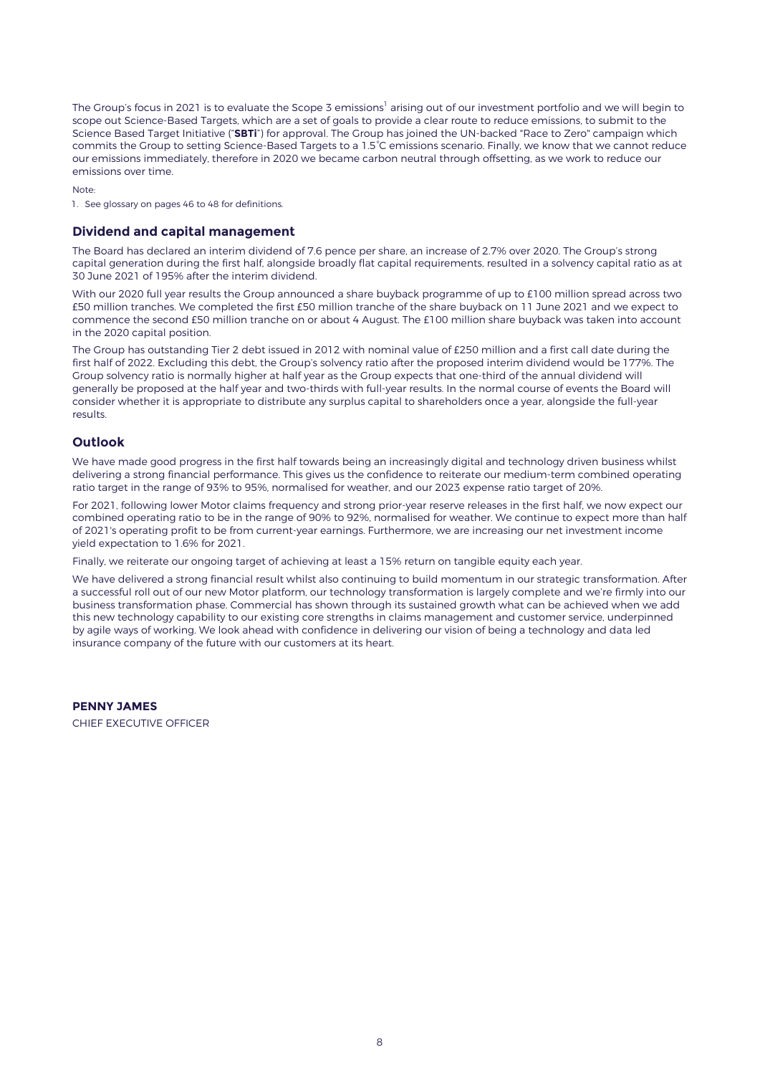The Group's focus in 2021 is to evaluate the Scope 3 emissions<sup>1</sup> arising out of our investment portfolio and we will begin to scope out Science-Based Targets, which are a set of goals to provide a clear route to reduce emissions, to submit to the Science Based Target Initiative ("**SBTi**") for approval. The Group has joined the UN-backed "Race to Zero" campaign which commits the Group to setting Science-Based Targets to a 1.5°C emissions scenario. Finally, we know that we cannot reduce our emissions immediately, therefore in 2020 we became carbon neutral through offsetting, as we work to reduce our emissions over time.

Note:

1. See glossary on pages 46 to 48 for definitions.

## **Dividend and capital management**

The Board has declared an interim dividend of 7.6 pence per share, an increase of 2.7% over 2020. The Group's strong capital generation during the first half, alongside broadly flat capital requirements, resulted in a solvency capital ratio as at 30 June 2021 of 195% after the interim dividend.

With our 2020 full year results the Group announced a share buyback programme of up to £100 million spread across two £50 million tranches. We completed the first £50 million tranche of the share buyback on 11 June 2021 and we expect to commence the second £50 million tranche on or about 4 August. The £100 million share buyback was taken into account in the 2020 capital position.

The Group has outstanding Tier 2 debt issued in 2012 with nominal value of £250 million and a first call date during the first half of 2022. Excluding this debt, the Group's solvency ratio after the proposed interim dividend would be 177%. The Group solvency ratio is normally higher at half year as the Group expects that one-third of the annual dividend will generally be proposed at the half year and two-thirds with full-year results. In the normal course of events the Board will consider whether it is appropriate to distribute any surplus capital to shareholders once a year, alongside the full-year results.

## **Outlook**

We have made good progress in the first half towards being an increasingly digital and technology driven business whilst delivering a strong financial performance. This gives us the confidence to reiterate our medium-term combined operating ratio target in the range of 93% to 95%, normalised for weather, and our 2023 expense ratio target of 20%.

For 2021, following lower Motor claims frequency and strong prior-year reserve releases in the first half, we now expect our combined operating ratio to be in the range of 90% to 92%, normalised for weather. We continue to expect more than half of 2021's operating profit to be from current-year earnings. Furthermore, we are increasing our net investment income yield expectation to 1.6% for 2021.

Finally, we reiterate our ongoing target of achieving at least a 15% return on tangible equity each year.

We have delivered a strong financial result whilst also continuing to build momentum in our strategic transformation. After a successful roll out of our new Motor platform, our technology transformation is largely complete and we're firmly into our business transformation phase. Commercial has shown through its sustained growth what can be achieved when we add this new technology capability to our existing core strengths in claims management and customer service, underpinned by agile ways of working. We look ahead with confidence in delivering our vision of being a technology and data led insurance company of the future with our customers at its heart.

**PENNY JAMES** CHIEF EXECUTIVE OFFICER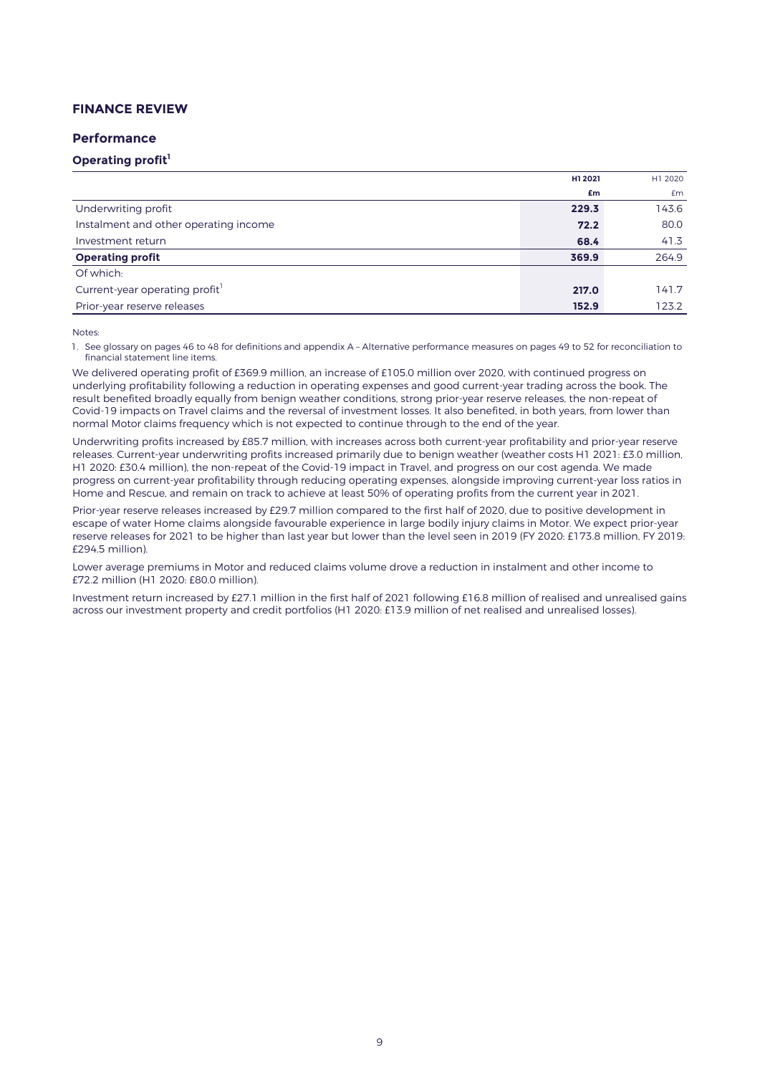# **FINANCE REVIEW**

### **Performance**

# **Operating profit<sup>1</sup>**

| £m                                            | £m    |
|-----------------------------------------------|-------|
| Underwriting profit<br>229.3                  | 143.6 |
| Instalment and other operating income<br>72.2 | 80.0  |
| Investment return<br>68.4                     | 41.3  |
| <b>Operating profit</b><br>369.9              | 264.9 |
| Of which:                                     |       |
| Current-year operating profit<br>217.0        | 141.7 |
| Prior-year reserve releases<br>152.9          | 123.2 |

#### Notes:

1. See glossary on pages 46 to 48 for definitions and appendix A – Alternative performance measures on pages 49 to 52 for reconciliation to financial statement line items.

We delivered operating profit of £369.9 million, an increase of £105.0 million over 2020, with continued progress on underlying profitability following a reduction in operating expenses and good current-year trading across the book. The result benefited broadly equally from benign weather conditions, strong prior-year reserve releases, the non-repeat of Covid-19 impacts on Travel claims and the reversal of investment losses. It also benefited, in both years, from lower than normal Motor claims frequency which is not expected to continue through to the end of the year.

Underwriting profits increased by £85.7 million, with increases across both current-year profitability and prior-year reserve releases. Current-year underwriting profits increased primarily due to benign weather (weather costs H1 2021: £3.0 million, H1 2020: £30.4 million), the non-repeat of the Covid-19 impact in Travel, and progress on our cost agenda. We made progress on current-year profitability through reducing operating expenses, alongside improving current-year loss ratios in Home and Rescue, and remain on track to achieve at least 50% of operating profits from the current year in 2021.

Prior-year reserve releases increased by £29.7 million compared to the first half of 2020, due to positive development in escape of water Home claims alongside favourable experience in large bodily injury claims in Motor. We expect prior-year reserve releases for 2021 to be higher than last year but lower than the level seen in 2019 (FY 2020: £173.8 million, FY 2019: £294.5 million).

Lower average premiums in Motor and reduced claims volume drove a reduction in instalment and other income to £72.2 million (H1 2020: £80.0 million).

Investment return increased by £27.1 million in the first half of 2021 following £16.8 million of realised and unrealised gains across our investment property and credit portfolios (H1 2020: £13.9 million of net realised and unrealised losses).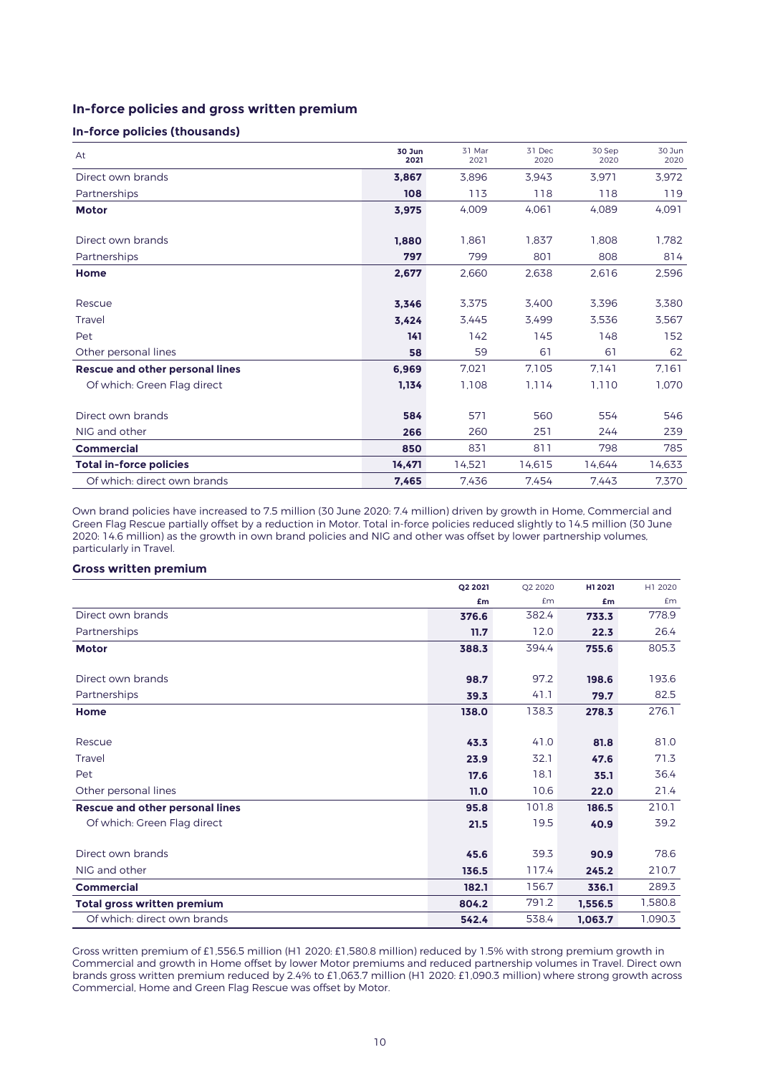# **In-force policies and gross written premium**

## **In-force policies (thousands)**

| At                                     | 30 Jun<br>2021 | 31 Mar<br>2021 | 31 Dec<br>2020 | 30 Sep<br>2020 | 30 Jun<br>2020 |
|----------------------------------------|----------------|----------------|----------------|----------------|----------------|
| Direct own brands                      | 3,867          | 3,896          | 3,943          | 3.971          | 3,972          |
| Partnerships                           | 108            | 113            | 118            | 118            | 119            |
| <b>Motor</b>                           | 3,975          | 4,009          | 4.061          | 4.089          | 4,091          |
|                                        |                |                |                |                |                |
| Direct own brands                      | 1.880          | 1,861          | 1,837          | 1,808          | 1,782          |
| Partnerships                           | 797            | 799            | 801            | 808            | 814            |
| Home                                   | 2,677          | 2,660          | 2,638          | 2,616          | 2,596          |
|                                        |                |                |                |                |                |
| Rescue                                 | 3,346          | 3,375          | 3.400          | 3,396          | 3,380          |
| Travel                                 | 3,424          | 3,445          | 3,499          | 3,536          | 3,567          |
| Pet                                    | 141            | 142            | 145            | 148            | 152            |
| Other personal lines                   | 58             | 59             | 61             | 61             | 62             |
| <b>Rescue and other personal lines</b> | 6,969          | 7,021          | 7.105          | 7.141          | 7.161          |
| Of which: Green Flag direct            | 1,134          | 1,108          | 1.114          | 1.110          | 1,070          |
|                                        |                |                |                |                |                |
| Direct own brands                      | 584            | 571            | 560            | 554            | 546            |
| NIG and other                          | 266            | 260            | 251            | 244            | 239            |
| <b>Commercial</b>                      | 850            | 831            | 811            | 798            | 785            |
| <b>Total in-force policies</b>         | 14.471         | 14,521         | 14,615         | 14.644         | 14,633         |
| Of which: direct own brands            | 7,465          | 7.436          | 7.454          | 7.443          | 7,370          |

Own brand policies have increased to 7.5 million (30 June 2020: 7.4 million) driven by growth in Home, Commercial and Green Flag Rescue partially offset by a reduction in Motor. Total in-force policies reduced slightly to 14.5 million (30 June 2020: 14.6 million) as the growth in own brand policies and NIG and other was offset by lower partnership volumes, particularly in Travel.

## **Gross written premium**

|                                        | Q2 2021 | Q2 2020   | H1 2021 | H1 2020 |
|----------------------------------------|---------|-----------|---------|---------|
|                                        | £m      | <b>£m</b> | £m      | £m      |
| Direct own brands                      | 376.6   | 382.4     | 733.3   | 778.9   |
| Partnerships                           | 11.7    | 12.0      | 22.3    | 26.4    |
| <b>Motor</b>                           | 388.3   | 394.4     | 755.6   | 805.3   |
|                                        |         |           |         |         |
| Direct own brands                      | 98.7    | 97.2      | 198.6   | 193.6   |
| Partnerships                           | 39.3    | 41.1      | 79.7    | 82.5    |
| Home                                   | 138.0   | 138.3     | 278.3   | 276.1   |
|                                        |         |           |         |         |
| Rescue                                 | 43.3    | 41.0      | 81.8    | 81.0    |
| Travel                                 | 23.9    | 32.1      | 47.6    | 71.3    |
| Pet                                    | 17.6    | 18.1      | 35.1    | 36.4    |
| Other personal lines                   | 11.0    | 10.6      | 22.0    | 21.4    |
| <b>Rescue and other personal lines</b> | 95.8    | 101.8     | 186.5   | 210.1   |
| Of which: Green Flag direct            | 21.5    | 19.5      | 40.9    | 39.2    |
|                                        |         |           |         |         |
| Direct own brands                      | 45.6    | 39.3      | 90.9    | 78.6    |
| NIG and other                          | 136.5   | 117.4     | 245.2   | 210.7   |
| <b>Commercial</b>                      | 182.1   | 156.7     | 336.1   | 289.3   |
| <b>Total gross written premium</b>     | 804.2   | 791.2     | 1,556.5 | 1,580.8 |
| Of which: direct own brands            | 542.4   | 538.4     | 1,063.7 | 1,090.3 |

Gross written premium of £1,556.5 million (H1 2020: £1,580.8 million) reduced by 1.5% with strong premium growth in Commercial and growth in Home offset by lower Motor premiums and reduced partnership volumes in Travel. Direct own brands gross written premium reduced by 2.4% to £1,063.7 million (H1 2020: £1,090.3 million) where strong growth across Commercial, Home and Green Flag Rescue was offset by Motor.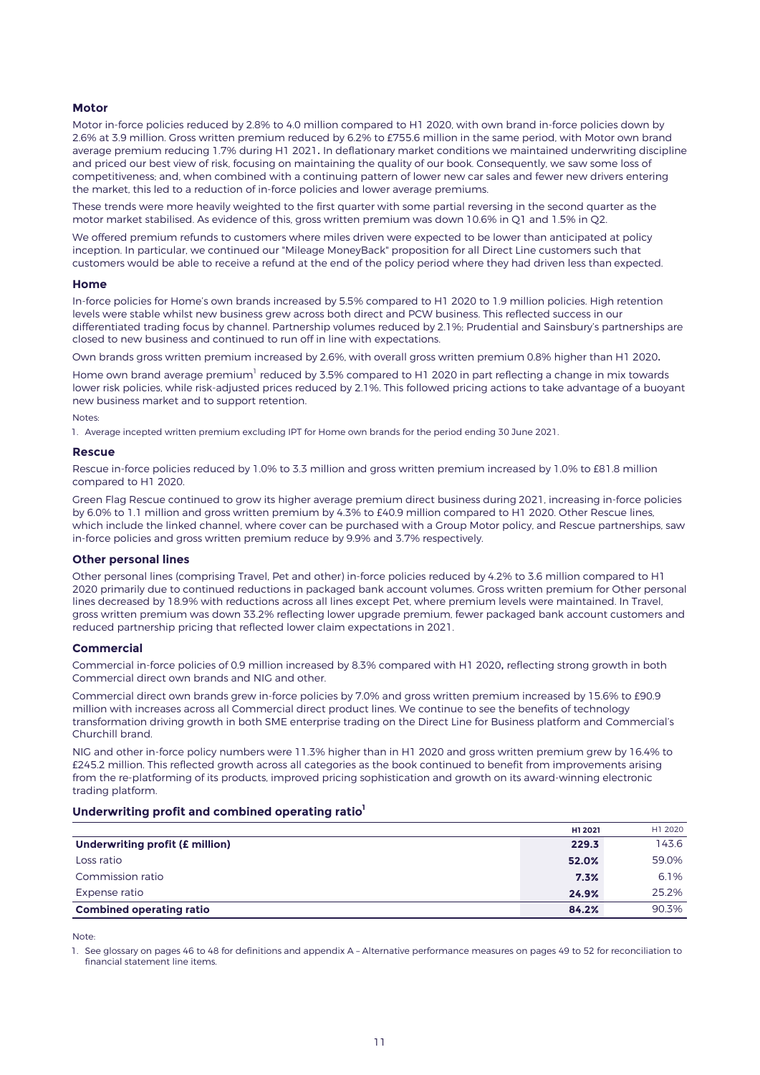### **Motor**

Motor in-force policies reduced by 2.8% to 4.0 million compared to H1 2020, with own brand in-force policies down by 2.6% at 3.9 million. Gross written premium reduced by 6.2% to £755.6 million in the same period, with Motor own brand average premium reducing 1.7% during H1 2021. In deflationary market conditions we maintained underwriting discipline and priced our best view of risk, focusing on maintaining the quality of our book. Consequently, we saw some loss of competitiveness; and, when combined with a continuing pattern of lower new car sales and fewer new drivers entering the market, this led to a reduction of in-force policies and lower average premiums.

These trends were more heavily weighted to the first quarter with some partial reversing in the second quarter as the motor market stabilised. As evidence of this, gross written premium was down 10.6% in Q1 and 1.5% in Q2.

We offered premium refunds to customers where miles driven were expected to be lower than anticipated at policy inception. In particular, we continued our "Mileage MoneyBack" proposition for all Direct Line customers such that customers would be able to receive a refund at the end of the policy period where they had driven less than expected.

#### **Home**

In-force policies for Home's own brands increased by 5.5% compared to H1 2020 to 1.9 million policies. High retention levels were stable whilst new business grew across both direct and PCW business. This reflected success in our differentiated trading focus by channel. Partnership volumes reduced by 2.1%; Prudential and Sainsbury's partnerships are closed to new business and continued to run off in line with expectations.

Own brands gross written premium increased by 2.6%, with overall gross written premium 0.8% higher than H1 2020.

Home own brand average premium $^{\rm l}$  reduced by 3.5% compared to H1 2020 in part reflecting a change in mix towards lower risk policies, while risk-adjusted prices reduced by 2.1%. This followed pricing actions to take advantage of a buoyant new business market and to support retention.

#### Notes:

1. Average incepted written premium excluding IPT for Home own brands for the period ending 30 June 2021.

#### **Rescue**

Rescue in-force policies reduced by 1.0% to 3.3 million and gross written premium increased by 1.0% to £81.8 million compared to H1 2020.

Green Flag Rescue continued to grow its higher average premium direct business during 2021, increasing in-force policies by 6.0% to 1.1 million and gross written premium by 4.3% to £40.9 million compared to H1 2020. Other Rescue lines, which include the linked channel, where cover can be purchased with a Group Motor policy, and Rescue partnerships, saw in-force policies and gross written premium reduce by 9.9% and 3.7% respectively.

### **Other personal lines**

Other personal lines (comprising Travel, Pet and other) in-force policies reduced by 4.2% to 3.6 million compared to H1 2020 primarily due to continued reductions in packaged bank account volumes. Gross written premium for Other personal lines decreased by 18.9% with reductions across all lines except Pet, where premium levels were maintained. In Travel, gross written premium was down 33.2% reflecting lower upgrade premium, fewer packaged bank account customers and reduced partnership pricing that reflected lower claim expectations in 2021.

### **Commercial**

Commercial in-force policies of 0.9 million increased by 8.3% compared with H1 2020, reflecting strong growth in both Commercial direct own brands and NIG and other.

Commercial direct own brands grew in-force policies by 7.0% and gross written premium increased by 15.6% to £90.9 million with increases across all Commercial direct product lines. We continue to see the benefits of technology transformation driving growth in both SME enterprise trading on the Direct Line for Business platform and Commercial's Churchill brand.

NIG and other in-force policy numbers were 11.3% higher than in H1 2020 and gross written premium grew by 16.4% to £245.2 million. This reflected growth across all categories as the book continued to benefit from improvements arising from the re-platforming of its products, improved pricing sophistication and growth on its award-winning electronic trading platform.

### **Underwriting profit and combined operating ratio<sup>1</sup>**

|                                 | H1 2021 | H1 2020 |
|---------------------------------|---------|---------|
| Underwriting profit (£ million) | 229.3   | 143.6   |
| Loss ratio                      | 52.0%   | 59.0%   |
| Commission ratio                | 7.3%    | 6.1%    |
| Expense ratio                   | 24.9%   | 25.2%   |
| <b>Combined operating ratio</b> | 84.2%   | 90.3%   |

Note:

1. See glossary on pages 46 to 48 for definitions and appendix A – Alternative performance measures on pages 49 to 52 for reconciliation to financial statement line items.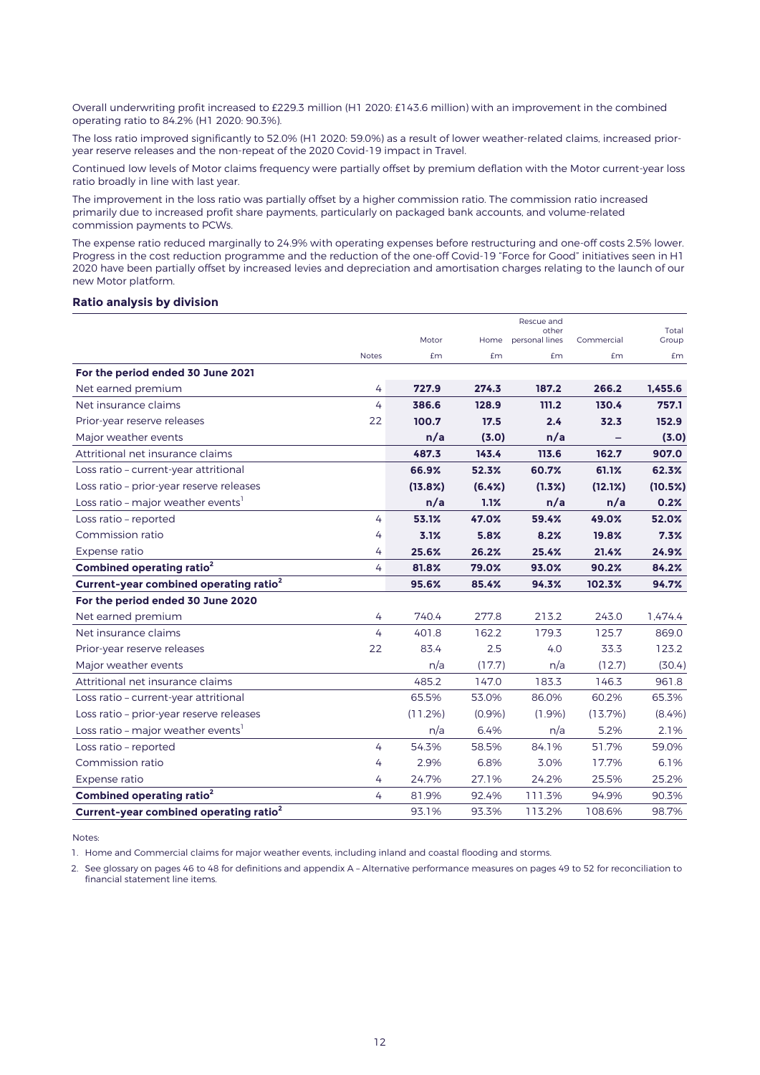Overall underwriting profit increased to £229.3 million (H1 2020: £143.6 million) with an improvement in the combined operating ratio to 84.2% (H1 2020: 90.3%).

The loss ratio improved significantly to 52.0% (H1 2020: 59.0%) as a result of lower weather-related claims, increased prioryear reserve releases and the non-repeat of the 2020 Covid-19 impact in Travel.

Continued low levels of Motor claims frequency were partially offset by premium deflation with the Motor current-year loss ratio broadly in line with last year.

The improvement in the loss ratio was partially offset by a higher commission ratio. The commission ratio increased primarily due to increased profit share payments, particularly on packaged bank accounts, and volume-related commission payments to PCWs.

The expense ratio reduced marginally to 24.9% with operating expenses before restructuring and one-off costs 2.5% lower. Progress in the cost reduction programme and the reduction of the one-off Covid-19 "Force for Good" initiatives seen in H1 2020 have been partially offset by increased levies and depreciation and amortisation charges relating to the launch of our new Motor platform.

## **Ratio analysis by division**

|                                                    |              |         |        | Rescue and<br>other |            | Total   |
|----------------------------------------------------|--------------|---------|--------|---------------------|------------|---------|
|                                                    |              | Motor   | Home   | personal lines      | Commercial | Group   |
|                                                    | <b>Notes</b> | Em      | Em     | £m                  | £m         | £m      |
| For the period ended 30 June 2021                  |              |         |        |                     |            |         |
| Net earned premium                                 | 4            | 727.9   | 274.3  | 187.2               | 266.2      | 1,455.6 |
| Net insurance claims                               | 4            | 386.6   | 128.9  | 111.2               | 130.4      | 757.1   |
| Prior-year reserve releases                        | 22           | 100.7   | 17.5   | 2.4                 | 32.3       | 152.9   |
| Major weather events                               |              | n/a     | (3.0)  | n/a                 |            | (3.0)   |
| Attritional net insurance claims                   |              | 487.3   | 143.4  | 113.6               | 162.7      | 907.0   |
| Loss ratio - current-year attritional              |              | 66.9%   | 52.3%  | 60.7%               | 61.1%      | 62.3%   |
| Loss ratio - prior-year reserve releases           |              | (13.8%) | (6.4%) | (1.3%)              | (12.1%)    | (10.5%) |
| Loss ratio - major weather events <sup>1</sup>     |              | n/a     | 1.1%   | n/a                 | n/a        | 0.2%    |
| Loss ratio - reported                              | 4            | 53.1%   | 47.0%  | 59.4%               | 49.0%      | 52.0%   |
| Commission ratio                                   | 4            | 3.1%    | 5.8%   | 8.2%                | 19.8%      | 7.3%    |
| Expense ratio                                      | 4            | 25.6%   | 26.2%  | 25.4%               | 21.4%      | 24.9%   |
| Combined operating ratio <sup>2</sup>              | 4            | 81.8%   | 79.0%  | 93.0%               | 90.2%      | 84.2%   |
| Current-year combined operating ratio <sup>2</sup> |              | 95.6%   | 85.4%  | 94.3%               | 102.3%     | 94.7%   |
| For the period ended 30 June 2020                  |              |         |        |                     |            |         |
| Net earned premium                                 | 4            | 740.4   | 277.8  | 213.2               | 243.0      | 1.474.4 |
| Net insurance claims                               | 4            | 401.8   | 162.2  | 179.3               | 125.7      | 869.0   |
| Prior-year reserve releases                        | 22           | 83.4    | 2.5    | 4.0                 | 33.3       | 123.2   |
| Major weather events                               |              | n/a     | (17.7) | n/a                 | (12.7)     | (30.4)  |
| Attritional net insurance claims                   |              | 485.2   | 147.0  | 183.3               | 146.3      | 961.8   |
| Loss ratio - current-year attritional              |              | 65.5%   | 53.0%  | 86.0%               | 60.2%      | 65.3%   |
| Loss ratio - prior-year reserve releases           |              | (11.2%) | (0.9%  | (1.9%)              | $(13.7\%)$ | (8.4%)  |
| Loss ratio - major weather events'                 |              | n/a     | 6.4%   | n/a                 | 5.2%       | 2.1%    |
| Loss ratio - reported                              | 4            | 54.3%   | 58.5%  | 84.1%               | 51.7%      | 59.0%   |
| Commission ratio                                   | 4            | 2.9%    | 6.8%   | 3.0%                | 17.7%      | 6.1%    |
| Expense ratio                                      | 4            | 24.7%   | 27.1%  | 24.2%               | 25.5%      | 25.2%   |
| Combined operating ratio <sup>2</sup>              | 4            | 81.9%   | 92.4%  | 111.3%              | 94.9%      | 90.3%   |
| Current-year combined operating ratio <sup>2</sup> |              | 93.1%   | 93.3%  | 113.2%              | 108.6%     | 98.7%   |

Notes:

1. Home and Commercial claims for major weather events, including inland and coastal flooding and storms.

2. See glossary on pages 46 to 48 for definitions and appendix A – Alternative performance measures on pages 49 to 52 for reconciliation to financial statement line items.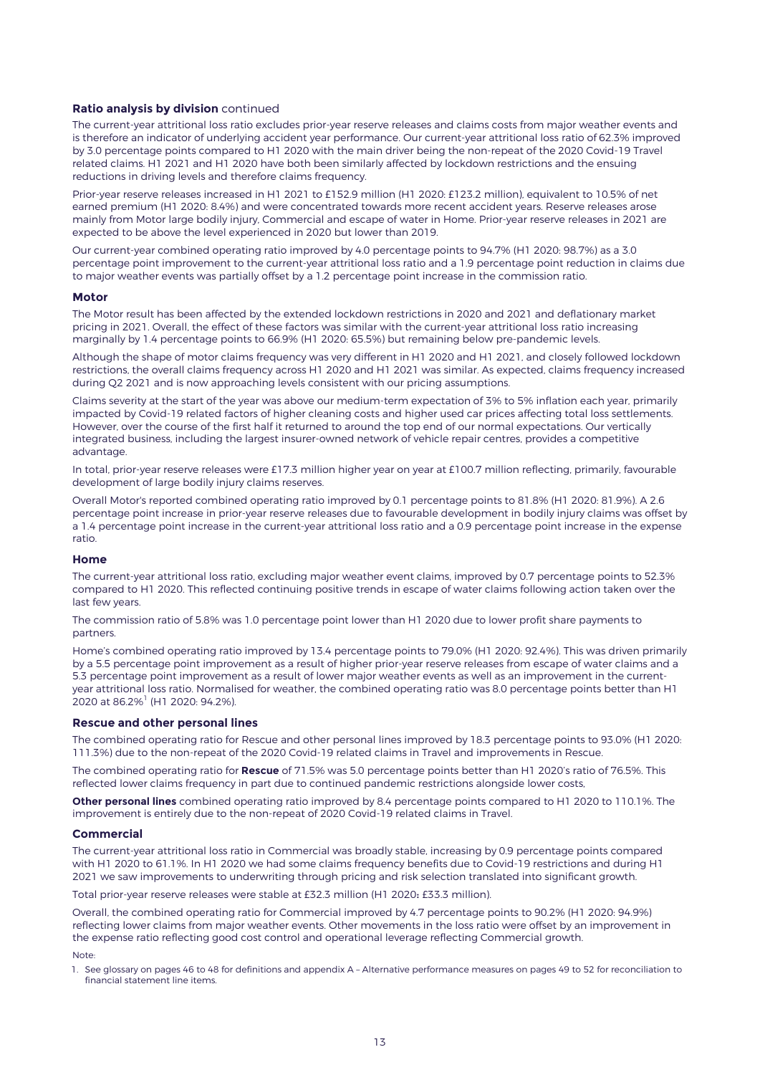## **Ratio analysis by division** continued

The current-year attritional loss ratio excludes prior-year reserve releases and claims costs from major weather events and is therefore an indicator of underlying accident year performance. Our current-year attritional loss ratio of 62.3% improved by 3.0 percentage points compared to H1 2020 with the main driver being the non-repeat of the 2020 Covid-19 Travel related claims. H1 2021 and H1 2020 have both been similarly affected by lockdown restrictions and the ensuing reductions in driving levels and therefore claims frequency.

Prior-year reserve releases increased in H1 2021 to £152.9 million (H1 2020: £123.2 million), equivalent to 10.5% of net earned premium (H1 2020: 8.4%) and were concentrated towards more recent accident years. Reserve releases arose mainly from Motor large bodily injury, Commercial and escape of water in Home. Prior-year reserve releases in 2021 are expected to be above the level experienced in 2020 but lower than 2019.

Our current-year combined operating ratio improved by 4.0 percentage points to 94.7% (H1 2020: 98.7%) as a 3.0 percentage point improvement to the current-year attritional loss ratio and a 1.9 percentage point reduction in claims due to major weather events was partially offset by a 1.2 percentage point increase in the commission ratio.

#### **Motor**

The Motor result has been affected by the extended lockdown restrictions in 2020 and 2021 and deflationary market pricing in 2021. Overall, the effect of these factors was similar with the current-year attritional loss ratio increasing marginally by 1.4 percentage points to 66.9% (H1 2020: 65.5%) but remaining below pre-pandemic levels.

Although the shape of motor claims frequency was very different in H1 2020 and H1 2021, and closely followed lockdown restrictions, the overall claims frequency across H1 2020 and H1 2021 was similar. As expected, claims frequency increased during Q2 2021 and is now approaching levels consistent with our pricing assumptions.

Claims severity at the start of the year was above our medium-term expectation of 3% to 5% inflation each year, primarily impacted by Covid-19 related factors of higher cleaning costs and higher used car prices affecting total loss settlements. However, over the course of the first half it returned to around the top end of our normal expectations. Our vertically integrated business, including the largest insurer-owned network of vehicle repair centres, provides a competitive advantage.

In total, prior-year reserve releases were £17.3 million higher year on year at £100.7 million reflecting, primarily, favourable development of large bodily injury claims reserves.

Overall Motor's reported combined operating ratio improved by 0.1 percentage points to 81.8% (H1 2020: 81.9%). A 2.6 percentage point increase in prior-year reserve releases due to favourable development in bodily injury claims was offset by a 1.4 percentage point increase in the current-year attritional loss ratio and a 0.9 percentage point increase in the expense ratio.

### **Home**

The current-year attritional loss ratio, excluding major weather event claims, improved by 0.7 percentage points to 52.3% compared to H1 2020. This reflected continuing positive trends in escape of water claims following action taken over the last few years.

The commission ratio of 5.8% was 1.0 percentage point lower than H1 2020 due to lower profit share payments to partners.

Home's combined operating ratio improved by 13.4 percentage points to 79.0% (H1 2020: 92.4%). This was driven primarily by a 5.5 percentage point improvement as a result of higher prior-year reserve releases from escape of water claims and a 5.3 percentage point improvement as a result of lower major weather events as well as an improvement in the currentyear attritional loss ratio. Normalised for weather, the combined operating ratio was 8.0 percentage points better than H1 2020 at 86.2%<sup>1</sup> (H1 2020: 94.2%).

### **Rescue and other personal lines**

The combined operating ratio for Rescue and other personal lines improved by 18.3 percentage points to 93.0% (H1 2020: 111.3%) due to the non-repeat of the 2020 Covid-19 related claims in Travel and improvements in Rescue.

The combined operating ratio for **Rescue** of 71.5% was 5.0 percentage points better than H1 2020's ratio of 76.5%. This reflected lower claims frequency in part due to continued pandemic restrictions alongside lower costs,

**Other personal lines** combined operating ratio improved by 8.4 percentage points compared to H1 2020 to 110.1%. The improvement is entirely due to the non-repeat of 2020 Covid-19 related claims in Travel.

#### **Commercial**

The current-year attritional loss ratio in Commercial was broadly stable, increasing by 0.9 percentage points compared with H1 2020 to 61.1%. In H1 2020 we had some claims frequency benefits due to Covid-19 restrictions and during H1 2021 we saw improvements to underwriting through pricing and risk selection translated into significant growth.

Total prior-year reserve releases were stable at £32.3 million (H1 2020: £33.3 million).

Overall, the combined operating ratio for Commercial improved by 4.7 percentage points to 90.2% (H1 2020: 94.9%) reflecting lower claims from major weather events. Other movements in the loss ratio were offset by an improvement in the expense ratio reflecting good cost control and operational leverage reflecting Commercial growth.

#### Note:

1. See glossary on pages 46 to 48 for definitions and appendix A – Alternative performance measures on pages 49 to 52 for reconciliation to financial statement line items.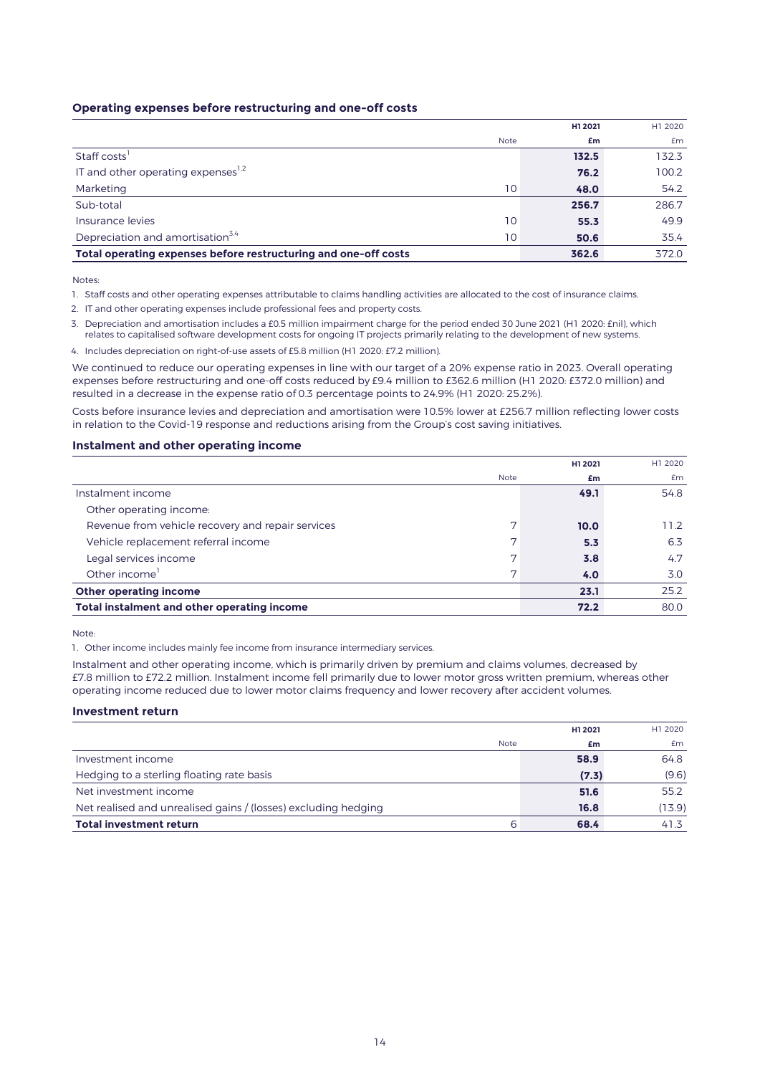## **Operating expenses before restructuring and one-off costs**

|                                                                 |             | H1 2021 | H1 2020 |
|-----------------------------------------------------------------|-------------|---------|---------|
|                                                                 | <b>Note</b> | £m      | Em      |
| Staff costs'                                                    |             | 132.5   | 132.3   |
| IT and other operating expenses <sup>1,2</sup>                  |             | 76.2    | 100.2   |
| Marketing                                                       | 10          | 48.0    | 54.2    |
| Sub-total                                                       |             | 256.7   | 286.7   |
| Insurance levies                                                | 10          | 55.3    | 49.9    |
| Depreciation and amortisation <sup>3,4</sup>                    | 10          | 50.6    | 35.4    |
| Total operating expenses before restructuring and one-off costs |             | 362.6   | 372.0   |

Notes:

1. Staff costs and other operating expenses attributable to claims handling activities are allocated to the cost of insurance claims.

- 2. IT and other operating expenses include professional fees and property costs.
- 3. Depreciation and amortisation includes a £0.5 million impairment charge for the period ended 30 June 2021 (H1 2020: £nil), which relates to capitalised software development costs for ongoing IT projects primarily relating to the development of new systems.
- 4. Includes depreciation on right-of-use assets of £5.8 million (H1 2020: £7.2 million).

We continued to reduce our operating expenses in line with our target of a 20% expense ratio in 2023. Overall operating expenses before restructuring and one-off costs reduced by £9.4 million to £362.6 million (H1 2020: £372.0 million) and resulted in a decrease in the expense ratio of 0.3 percentage points to 24.9% (H1 2020: 25.2%).

Costs before insurance levies and depreciation and amortisation were 10.5% lower at £256.7 million reflecting lower costs in relation to the Covid-19 response and reductions arising from the Group's cost saving initiatives.

## **Instalment and other operating income**

|                                                   |                | H1 2021 | H1 2020 |
|---------------------------------------------------|----------------|---------|---------|
|                                                   | <b>Note</b>    | £m      | £m      |
| Instalment income                                 |                | 49.1    | 54.8    |
| Other operating income:                           |                |         |         |
| Revenue from vehicle recovery and repair services | ⇁              | 10.0    | 11.2    |
| Vehicle replacement referral income               | ⇁              | 5.3     | 6.3     |
| Legal services income                             | ⇁              | 3.8     | 4.7     |
| Other income <sup>1</sup>                         | $\overline{ }$ | 4.0     | 3.0     |
| <b>Other operating income</b>                     |                | 23.1    | 25.2    |
| Total instalment and other operating income       |                | 72.2    | 80.0    |

Note:

1. Other income includes mainly fee income from insurance intermediary services.

Instalment and other operating income, which is primarily driven by premium and claims volumes, decreased by £7.8 million to £72.2 million. Instalment income fell primarily due to lower motor gross written premium, whereas other operating income reduced due to lower motor claims frequency and lower recovery after accident volumes.

### **Investment return**

|                                                                | H1 2021 | H1 2020 |
|----------------------------------------------------------------|---------|---------|
| <b>Note</b>                                                    | £m      | £m      |
| Investment income                                              | 58.9    | 64.8    |
| Hedging to a sterling floating rate basis                      | (7.3)   | (9.6)   |
| Net investment income                                          | 51.6    | 55.2    |
| Net realised and unrealised gains / (losses) excluding hedging | 16.8    | (13.9)  |
| 6<br><b>Total investment return</b>                            | 68.4    | 41.3    |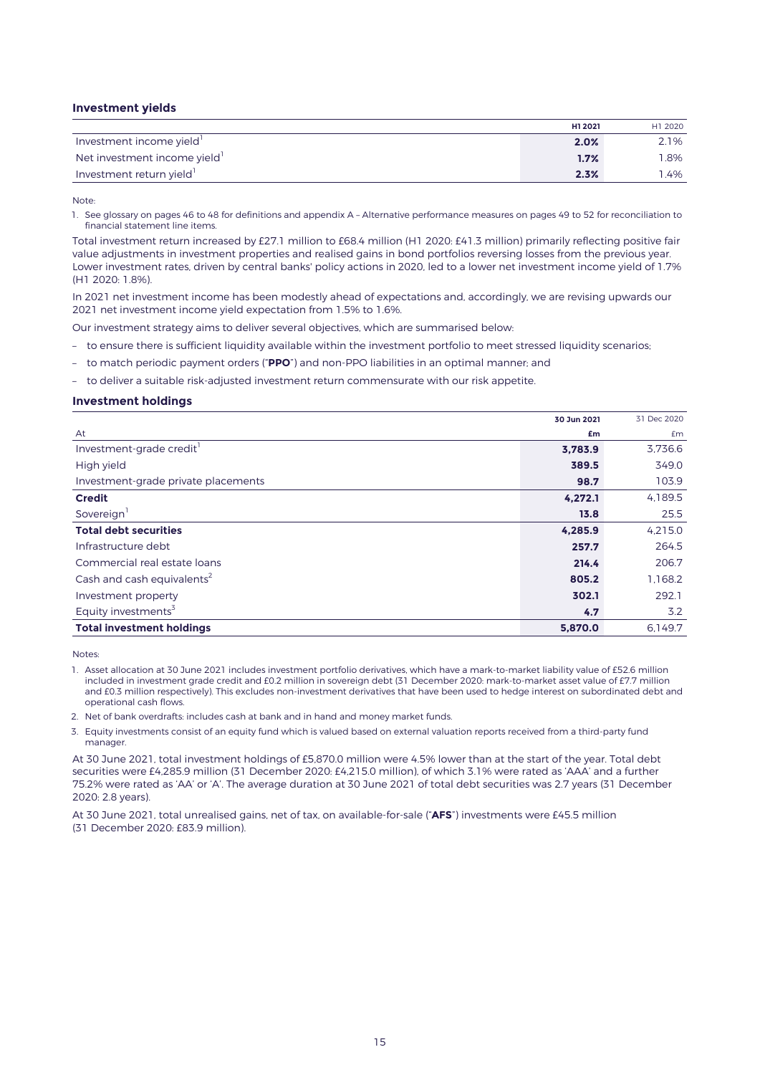## **Investment yields**

|                             | H1 2021 | H1 2020 |
|-----------------------------|---------|---------|
| Investment income yield     | 2.0%    | 2.1%    |
| Net investment income yield | 1.7%    | 1.8%    |
| Investment return yield     | 2.3%    | .4%     |

Note:

1. See glossary on pages 46 to 48 for definitions and appendix A – Alternative performance measures on pages 49 to 52 for reconciliation to financial statement line items.

Total investment return increased by £27.1 million to £68.4 million (H1 2020: £41.3 million) primarily reflecting positive fair value adjustments in investment properties and realised gains in bond portfolios reversing losses from the previous year. Lower investment rates, driven by central banks' policy actions in 2020, led to a lower net investment income yield of 1.7% (H1 2020: 1.8%).

In 2021 net investment income has been modestly ahead of expectations and, accordingly, we are revising upwards our 2021 net investment income yield expectation from 1.5% to 1.6%.

Our investment strategy aims to deliver several objectives, which are summarised below:

– to ensure there is sufficient liquidity available within the investment portfolio to meet stressed liquidity scenarios;

– to match periodic payment orders ("**PPO**") and non-PPO liabilities in an optimal manner; and

– to deliver a suitable risk-adjusted investment return commensurate with our risk appetite.

### **Investment holdings**

|                                        | 30 Jun 2021 | 31 Dec 2020 |
|----------------------------------------|-------------|-------------|
| At                                     | £m          | £m          |
| Investment-grade credit                | 3,783.9     | 3.736.6     |
| High yield                             | 389.5       | 349.0       |
| Investment-grade private placements    | 98.7        | 103.9       |
| <b>Credit</b>                          | 4,272.1     | 4,189.5     |
| Sovereign <sup>1</sup>                 | 13.8        | 25.5        |
| <b>Total debt securities</b>           | 4,285.9     | 4,215.0     |
| Infrastructure debt                    | 257.7       | 264.5       |
| Commercial real estate loans           | 214.4       | 206.7       |
| Cash and cash equivalents <sup>2</sup> | 805.2       | 1.168.2     |
| Investment property                    | 302.1       | 292.1       |
| Equity investments <sup>3</sup>        | 4.7         | 3.2         |
| <b>Total investment holdings</b>       | 5,870.0     | 6,149.7     |

Notes:

- 1. Asset allocation at 30 June 2021 includes investment portfolio derivatives, which have a mark-to-market liability value of £52.6 million included in investment grade credit and £0.2 million in sovereign debt (31 December 2020: mark-to-market asset value of £7.7 million and £0.3 million respectively). This excludes non-investment derivatives that have been used to hedge interest on subordinated debt and operational cash flows.
- 2. Net of bank overdrafts: includes cash at bank and in hand and money market funds.
- 3. Equity investments consist of an equity fund which is valued based on external valuation reports received from a third-party fund manager.

At 30 June 2021, total investment holdings of £5,870.0 million were 4.5% lower than at the start of the year. Total debt securities were £4,285.9 million (31 December 2020: £4,215.0 million), of which 3.1% were rated as 'AAA' and a further 75.2% were rated as 'AA' or 'A'. The average duration at 30 June 2021 of total debt securities was 2.7 years (31 December 2020: 2.8 years).

At 30 June 2021, total unrealised gains, net of tax, on available-for-sale ("**AFS**") investments were £45.5 million (31 December 2020: £83.9 million).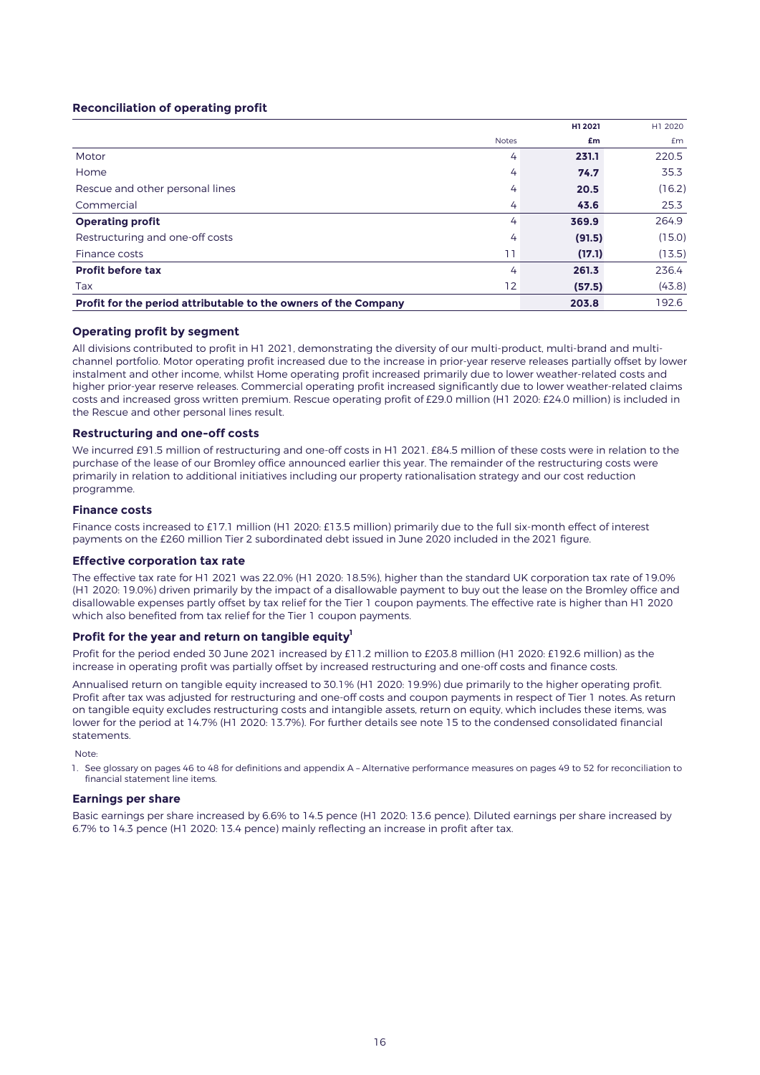### **Reconciliation of operating profit**

|                                                                 |              | H1 2021 | H1 2020 |
|-----------------------------------------------------------------|--------------|---------|---------|
|                                                                 | <b>Notes</b> | £m      | £m      |
| Motor                                                           | 4            | 231.1   | 220.5   |
| Home                                                            | 4            | 74.7    | 35.3    |
| Rescue and other personal lines                                 | 4            | 20.5    | (16.2)  |
| Commercial                                                      | 4            | 43.6    | 25.3    |
| <b>Operating profit</b>                                         | 4            | 369.9   | 264.9   |
| Restructuring and one-off costs                                 | 4            | (91.5)  | (15.0)  |
| Finance costs                                                   | ו ו          | (17.1)  | (13.5)  |
| <b>Profit before tax</b>                                        | 4            | 261.3   | 236.4   |
| Tax                                                             | 12           | (57.5)  | (43.8)  |
| Profit for the period attributable to the owners of the Company |              | 203.8   | 192.6   |

### **Operating profit by segment**

All divisions contributed to profit in H1 2021, demonstrating the diversity of our multi-product, multi-brand and multichannel portfolio. Motor operating profit increased due to the increase in prior-year reserve releases partially offset by lower instalment and other income, whilst Home operating profit increased primarily due to lower weather-related costs and higher prior-year reserve releases. Commercial operating profit increased significantly due to lower weather-related claims costs and increased gross written premium. Rescue operating profit of £29.0 million (H1 2020: £24.0 million) is included in the Rescue and other personal lines result.

### **Restructuring and one-off costs**

We incurred £91.5 million of restructuring and one-off costs in H1 2021. £84.5 million of these costs were in relation to the purchase of the lease of our Bromley office announced earlier this year. The remainder of the restructuring costs were primarily in relation to additional initiatives including our property rationalisation strategy and our cost reduction programme.

#### **Finance costs**

Finance costs increased to £17.1 million (H1 2020: £13.5 million) primarily due to the full six-month effect of interest payments on the £260 million Tier 2 subordinated debt issued in June 2020 included in the 2021 figure.

#### **Effective corporation tax rate**

The effective tax rate for H1 2021 was 22.0% (H1 2020: 18.5%), higher than the standard UK corporation tax rate of 19.0% (H1 2020: 19.0%) driven primarily by the impact of a disallowable payment to buy out the lease on the Bromley office and disallowable expenses partly offset by tax relief for the Tier 1 coupon payments. The effective rate is higher than H1 2020 which also benefited from tax relief for the Tier 1 coupon payments.

#### **Profit for the year and return on tangible equity<sup>1</sup>**

Profit for the period ended 30 June 2021 increased by £11.2 million to £203.8 million (H1 2020: £192.6 million) as the increase in operating profit was partially offset by increased restructuring and one-off costs and finance costs.

Annualised return on tangible equity increased to 30.1% (H1 2020: 19.9%) due primarily to the higher operating profit. Profit after tax was adjusted for restructuring and one-off costs and coupon payments in respect of Tier 1 notes. As return on tangible equity excludes restructuring costs and intangible assets, return on equity, which includes these items, was lower for the period at 14.7% (H1 2020: 13.7%). For further details see note 15 to the condensed consolidated financial statements.

Note:

1. See glossary on pages 46 to 48 for definitions and appendix A – Alternative performance measures on pages 49 to 52 for reconciliation to financial statement line items.

#### **Earnings per share**

Basic earnings per share increased by 6.6% to 14.5 pence (H1 2020: 13.6 pence). Diluted earnings per share increased by 6.7% to 14.3 pence (H1 2020: 13.4 pence) mainly reflecting an increase in profit after tax.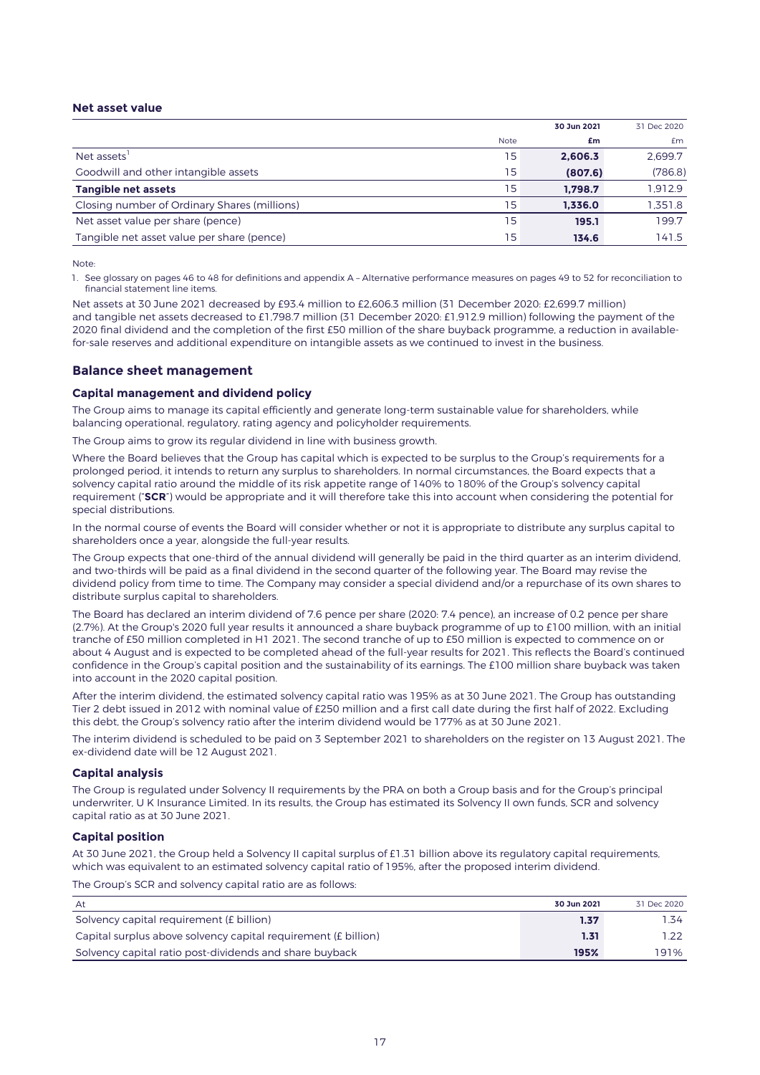## **Net asset value**

|                                              |             | 30 Jun 2021 | 31 Dec 2020 |
|----------------------------------------------|-------------|-------------|-------------|
|                                              | <b>Note</b> | £m          | £m          |
| Net assets'                                  | 15          | 2.606.3     | 2.699.7     |
| Goodwill and other intangible assets         | 15          | (807.6)     | (786.8)     |
| Tangible net assets                          | 15          | 1.798.7     | 1.912.9     |
| Closing number of Ordinary Shares (millions) | 15          | 1.336.0     | 1,351.8     |
| Net asset value per share (pence)            | 15          | 195.1       | 199.7       |
| Tangible net asset value per share (pence)   | 15          | 134.6       | 141.5       |

Note:

1. See glossary on pages 46 to 48 for definitions and appendix A – Alternative performance measures on pages 49 to 52 for reconciliation to financial statement line items.

Net assets at 30 June 2021 decreased by £93.4 million to £2,606.3 million (31 December 2020: £2,699.7 million) and tangible net assets decreased to £1,798.7 million (31 December 2020: £1,912.9 million) following the payment of the 2020 final dividend and the completion of the first £50 million of the share buyback programme, a reduction in availablefor-sale reserves and additional expenditure on intangible assets as we continued to invest in the business.

## **Balance sheet management**

#### **Capital management and dividend policy**

The Group aims to manage its capital efficiently and generate long-term sustainable value for shareholders, while balancing operational, regulatory, rating agency and policyholder requirements.

The Group aims to grow its regular dividend in line with business growth.

Where the Board believes that the Group has capital which is expected to be surplus to the Group's requirements for a prolonged period, it intends to return any surplus to shareholders. In normal circumstances, the Board expects that a solvency capital ratio around the middle of its risk appetite range of 140% to 180% of the Group's solvency capital requirement ("**SCR**") would be appropriate and it will therefore take this into account when considering the potential for special distributions.

In the normal course of events the Board will consider whether or not it is appropriate to distribute any surplus capital to shareholders once a year, alongside the full-year results.

The Group expects that one-third of the annual dividend will generally be paid in the third quarter as an interim dividend, and two-thirds will be paid as a final dividend in the second quarter of the following year. The Board may revise the dividend policy from time to time. The Company may consider a special dividend and/or a repurchase of its own shares to distribute surplus capital to shareholders.

The Board has declared an interim dividend of 7.6 pence per share (2020: 7.4 pence), an increase of 0.2 pence per share (2.7%). At the Group's 2020 full year results it announced a share buyback programme of up to £100 million, with an initial tranche of £50 million completed in H1 2021. The second tranche of up to £50 million is expected to commence on or about 4 August and is expected to be completed ahead of the full-year results for 2021. This reflects the Board's continued confidence in the Group's capital position and the sustainability of its earnings. The £100 million share buyback was taken into account in the 2020 capital position.

After the interim dividend, the estimated solvency capital ratio was 195% as at 30 June 2021. The Group has outstanding Tier 2 debt issued in 2012 with nominal value of £250 million and a first call date during the first half of 2022. Excluding this debt, the Group's solvency ratio after the interim dividend would be 177% as at 30 June 2021.

The interim dividend is scheduled to be paid on 3 September 2021 to shareholders on the register on 13 August 2021. The ex-dividend date will be 12 August 2021.

#### **Capital analysis**

The Group is regulated under Solvency II requirements by the PRA on both a Group basis and for the Group's principal underwriter, U K Insurance Limited. In its results, the Group has estimated its Solvency II own funds, SCR and solvency capital ratio as at 30 June 2021.

### **Capital position**

At 30 June 2021, the Group held a Solvency II capital surplus of £1.31 billion above its regulatory capital requirements, which was equivalent to an estimated solvency capital ratio of 195%, after the proposed interim dividend.

The Group's SCR and solvency capital ratio are as follows:

| At                                                             | 30 Jun 2021 | 31 Dec 2020 |
|----------------------------------------------------------------|-------------|-------------|
| Solvency capital requirement (£ billion)                       | 1.37        | 1.34        |
| Capital surplus above solvency capital requirement (£ billion) | 1.31        |             |
| Solvency capital ratio post-dividends and share buyback        | 195%        | 191%        |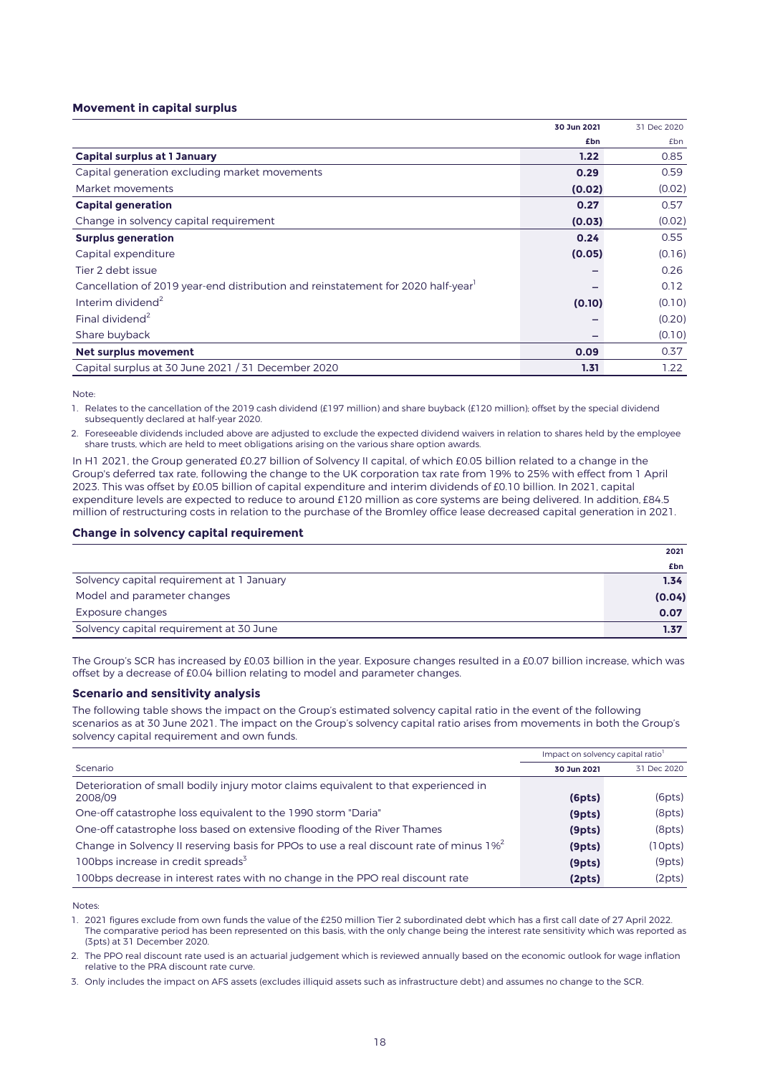### **Movement in capital surplus**

|                                                                                              | 30 Jun 2021 | 31 Dec 2020 |
|----------------------------------------------------------------------------------------------|-------------|-------------|
|                                                                                              | £bn         | £bn         |
| <b>Capital surplus at 1 January</b>                                                          | 1.22        | 0.85        |
| Capital generation excluding market movements                                                | 0.29        | 0.59        |
| Market movements                                                                             | (0.02)      | (0.02)      |
| <b>Capital generation</b>                                                                    | 0.27        | 0.57        |
| Change in solvency capital requirement                                                       | (0.03)      | (0.02)      |
| <b>Surplus generation</b>                                                                    | 0.24        | 0.55        |
| Capital expenditure                                                                          | (0.05)      | (0.16)      |
| Tier 2 debt issue                                                                            |             | 0.26        |
| Cancellation of 2019 year-end distribution and reinstatement for 2020 half-year <sup>1</sup> |             | 0.12        |
| Interim dividend <sup>2</sup>                                                                | (0.10)      | (0.10)      |
| Final dividend <sup>2</sup>                                                                  |             | (0.20)      |
| Share buyback                                                                                |             | (0.10)      |
| Net surplus movement                                                                         | 0.09        | 0.37        |
| Capital surplus at 30 June 2021 / 31 December 2020                                           | 1.31        | 1.22        |

Note:

1. Relates to the cancellation of the 2019 cash dividend (£197 million) and share buyback (£120 million); offset by the special dividend subsequently declared at half-year 2020.

2. Foreseeable dividends included above are adjusted to exclude the expected dividend waivers in relation to shares held by the employee share trusts, which are held to meet obligations arising on the various share option awards.

In H1 2021, the Group generated £0.27 billion of Solvency II capital, of which £0.05 billion related to a change in the Group's deferred tax rate, following the change to the UK corporation tax rate from 19% to 25% with effect from 1 April 2023. This was offset by £0.05 billion of capital expenditure and interim dividends of £0.10 billion. In 2021, capital expenditure levels are expected to reduce to around £120 million as core systems are being delivered. In addition, £84.5 million of restructuring costs in relation to the purchase of the Bromley office lease decreased capital generation in 2021.

### **Change in solvency capital requirement**

|                                           | 2021   |
|-------------------------------------------|--------|
|                                           | £bn    |
| Solvency capital requirement at 1 January | 1.34   |
| Model and parameter changes               | (0.04) |
| Exposure changes                          | 0.07   |
| Solvency capital requirement at 30 June   | 1.37   |

The Group's SCR has increased by £0.03 billion in the year. Exposure changes resulted in a £0.07 billion increase, which was offset by a decrease of £0.04 billion relating to model and parameter changes.

### **Scenario and sensitivity analysis**

The following table shows the impact on the Group's estimated solvency capital ratio in the event of the following scenarios as at 30 June 2021. The impact on the Group's solvency capital ratio arises from movements in both the Group's solvency capital requirement and own funds.

|                                                                                             | Impact on solvency capital ratio <sup>1</sup> |             |
|---------------------------------------------------------------------------------------------|-----------------------------------------------|-------------|
| Scenario                                                                                    | 30 Jun 2021                                   | 31 Dec 2020 |
| Deterioration of small bodily injury motor claims equivalent to that experienced in         |                                               |             |
| 2008/09                                                                                     | (6pts)                                        | (6pts)      |
| One-off catastrophe loss equivalent to the 1990 storm "Daria"                               | (9pts)                                        | (8pts)      |
| One-off catastrophe loss based on extensive flooding of the River Thames                    | (9pts)                                        | (8pts)      |
| Change in Solvency II reserving basis for PPOs to use a real discount rate of minus $1\%^2$ | (9pts)                                        | (10pts)     |
| 100bps increase in credit spreads <sup>3</sup>                                              | (9pts)                                        | (9pts)      |
| 100bps decrease in interest rates with no change in the PPO real discount rate              | (2pts)                                        | (2pts)      |

**Notes** 

1. 2021 figures exclude from own funds the value of the £250 million Tier 2 subordinated debt which has a first call date of 27 April 2022. The comparative period has been represented on this basis, with the only change being the interest rate sensitivity which was reported as (3pts) at 31 December 2020.

2. The PPO real discount rate used is an actuarial judgement which is reviewed annually based on the economic outlook for wage inflation relative to the PRA discount rate curve.

3. Only includes the impact on AFS assets (excludes illiquid assets such as infrastructure debt) and assumes no change to the SCR.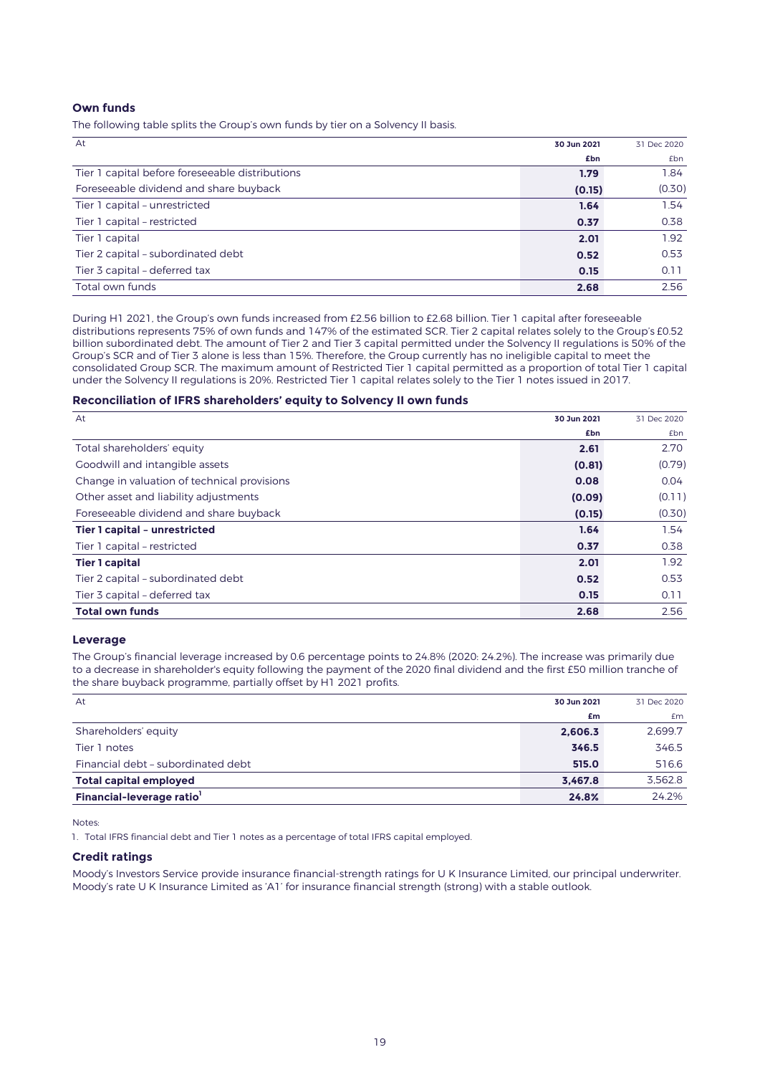### **Own funds**

The following table splits the Group's own funds by tier on a Solvency II basis.

| At                                              | 30 Jun 2021 | 31 Dec 2020 |
|-------------------------------------------------|-------------|-------------|
|                                                 | £bn         | <b>£bn</b>  |
| Tier 1 capital before foreseeable distributions | 1.79        | 1.84        |
| Foreseeable dividend and share buyback          | (0.15)      | (0.30)      |
| Tier 1 capital - unrestricted                   | 1.64        | 1.54        |
| Tier 1 capital - restricted                     | 0.37        | 0.38        |
| Tier 1 capital                                  | 2.01        | 1.92        |
| Tier 2 capital - subordinated debt              | 0.52        | 0.53        |
| Tier 3 capital - deferred tax                   | 0.15        | 0.11        |
| Total own funds                                 | 2.68        | 2.56        |

During H1 2021, the Group's own funds increased from £2.56 billion to £2.68 billion. Tier 1 capital after foreseeable distributions represents 75% of own funds and 147% of the estimated SCR. Tier 2 capital relates solely to the Group's £0.52 billion subordinated debt. The amount of Tier 2 and Tier 3 capital permitted under the Solvency II regulations is 50% of the Group's SCR and of Tier 3 alone is less than 15%. Therefore, the Group currently has no ineligible capital to meet the consolidated Group SCR. The maximum amount of Restricted Tier 1 capital permitted as a proportion of total Tier 1 capital under the Solvency II regulations is 20%. Restricted Tier 1 capital relates solely to the Tier 1 notes issued in 2017.

### **Reconciliation of IFRS shareholders' equity to Solvency II own funds**

| At                                          | 30 Jun 2021 | 31 Dec 2020 |
|---------------------------------------------|-------------|-------------|
|                                             | £bn         | <b>£bn</b>  |
| Total shareholders' equity                  | 2.61        | 2.70        |
| Goodwill and intangible assets              | (0.81)      | (0.79)      |
| Change in valuation of technical provisions | 0.08        | 0.04        |
| Other asset and liability adjustments       | (0.09)      | (0.11)      |
| Foreseeable dividend and share buyback      | (0.15)      | (0.30)      |
| Tier 1 capital - unrestricted               | 1.64        | 1.54        |
| Tier 1 capital - restricted                 | 0.37        | 0.38        |
| <b>Tier 1 capital</b>                       | 2.01        | 1.92        |
| Tier 2 capital - subordinated debt          | 0.52        | 0.53        |
| Tier 3 capital - deferred tax               | 0.15        | 0.11        |
| <b>Total own funds</b>                      | 2.68        | 2.56        |

### **Leverage**

The Group's financial leverage increased by 0.6 percentage points to 24.8% (2020: 24.2%). The increase was primarily due to a decrease in shareholder's equity following the payment of the 2020 final dividend and the first £50 million tranche of the share buyback programme, partially offset by H1 2021 profits.

| At                                    | 30 Jun 2021 | 31 Dec 2020 |
|---------------------------------------|-------------|-------------|
|                                       | £m          | <b>£m</b>   |
| Shareholders' equity                  | 2,606.3     | 2.699.7     |
| Tier 1 notes                          | 346.5       | 346.5       |
| Financial debt - subordinated debt    | 515.0       | 516.6       |
| <b>Total capital employed</b>         | 3.467.8     | 3.562.8     |
| Financial-leverage ratio <sup>1</sup> | 24.8%       | 24.2%       |

Notes:

1. Total IFRS financial debt and Tier 1 notes as a percentage of total IFRS capital employed.

## **Credit ratings**

Moody's Investors Service provide insurance financial-strength ratings for U K Insurance Limited, our principal underwriter. Moody's rate U K Insurance Limited as 'A1' for insurance financial strength (strong) with a stable outlook.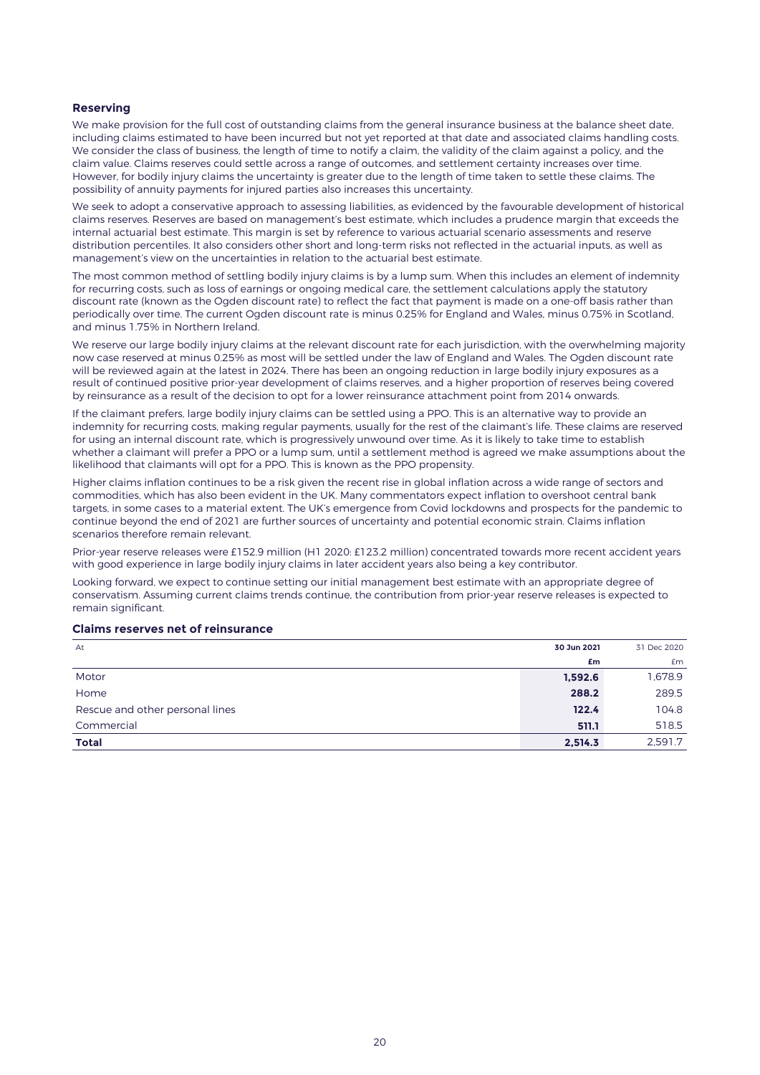## **Reserving**

We make provision for the full cost of outstanding claims from the general insurance business at the balance sheet date, including claims estimated to have been incurred but not yet reported at that date and associated claims handling costs. We consider the class of business, the length of time to notify a claim, the validity of the claim against a policy, and the claim value. Claims reserves could settle across a range of outcomes, and settlement certainty increases over time. However, for bodily injury claims the uncertainty is greater due to the length of time taken to settle these claims. The possibility of annuity payments for injured parties also increases this uncertainty.

We seek to adopt a conservative approach to assessing liabilities, as evidenced by the favourable development of historical claims reserves. Reserves are based on management's best estimate, which includes a prudence margin that exceeds the internal actuarial best estimate. This margin is set by reference to various actuarial scenario assessments and reserve distribution percentiles. It also considers other short and long-term risks not reflected in the actuarial inputs, as well as management's view on the uncertainties in relation to the actuarial best estimate.

The most common method of settling bodily injury claims is by a lump sum. When this includes an element of indemnity for recurring costs, such as loss of earnings or ongoing medical care, the settlement calculations apply the statutory discount rate (known as the Ogden discount rate) to reflect the fact that payment is made on a one-off basis rather than periodically over time. The current Ogden discount rate is minus 0.25% for England and Wales, minus 0.75% in Scotland, and minus 1.75% in Northern Ireland.

We reserve our large bodily injury claims at the relevant discount rate for each jurisdiction, with the overwhelming majority now case reserved at minus 0.25% as most will be settled under the law of England and Wales. The Ogden discount rate will be reviewed again at the latest in 2024. There has been an ongoing reduction in large bodily injury exposures as a result of continued positive prior-year development of claims reserves, and a higher proportion of reserves being covered by reinsurance as a result of the decision to opt for a lower reinsurance attachment point from 2014 onwards.

If the claimant prefers, large bodily injury claims can be settled using a PPO. This is an alternative way to provide an indemnity for recurring costs, making regular payments, usually for the rest of the claimant's life. These claims are reserved for using an internal discount rate, which is progressively unwound over time. As it is likely to take time to establish whether a claimant will prefer a PPO or a lump sum, until a settlement method is agreed we make assumptions about the likelihood that claimants will opt for a PPO. This is known as the PPO propensity.

Higher claims inflation continues to be a risk given the recent rise in global inflation across a wide range of sectors and commodities, which has also been evident in the UK. Many commentators expect inflation to overshoot central bank targets, in some cases to a material extent. The UK's emergence from Covid lockdowns and prospects for the pandemic to continue beyond the end of 2021 are further sources of uncertainty and potential economic strain. Claims inflation scenarios therefore remain relevant.

Prior-year reserve releases were £152.9 million (H1 2020: £123.2 million) concentrated towards more recent accident years with good experience in large bodily injury claims in later accident years also being a key contributor.

Looking forward, we expect to continue setting our initial management best estimate with an appropriate degree of conservatism. Assuming current claims trends continue, the contribution from prior-year reserve releases is expected to remain significant.

## **Claims reserves net of reinsurance**

| At<br>30 Jun 2021                        | 31 Dec 2020 |
|------------------------------------------|-------------|
| £m                                       | £m          |
| Motor<br>1,592.6                         | 1,678.9     |
| 288.2<br>Home                            | 289.5       |
| Rescue and other personal lines<br>122.4 | 104.8       |
| Commercial<br>511.1                      | 518.5       |
| <b>Total</b><br>2,514.3                  | 2.591.7     |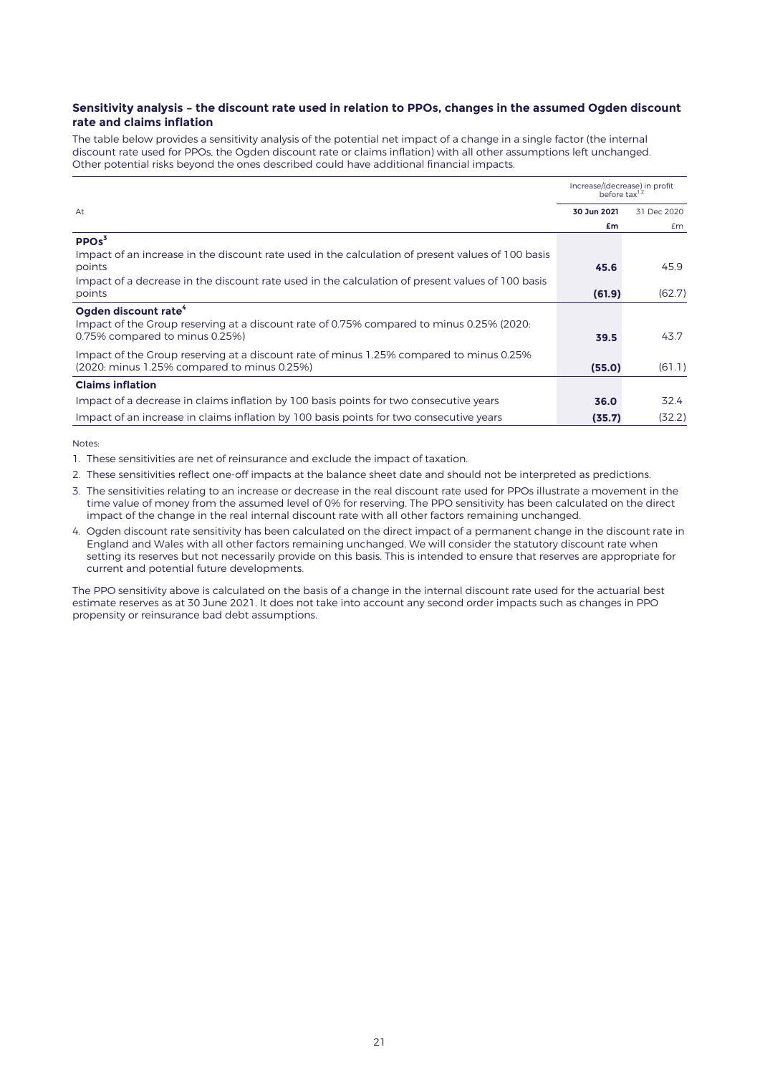## **Sensitivity analysis – the discount rate used in relation to PPOs, changes in the assumed Ogden discount rate and claims inflation**

The table below provides a sensitivity analysis of the potential net impact of a change in a single factor (the internal discount rate used for PPOs, the Ogden discount rate or claims inflation) with all other assumptions left unchanged. Other potential risks beyond the ones described could have additional financial impacts.

|                                                                                                   | Increase/(decrease) in profit<br>before $\text{tax}^{1,2}$ |             |
|---------------------------------------------------------------------------------------------------|------------------------------------------------------------|-------------|
| At                                                                                                | 30 Jun 2021                                                | 31 Dec 2020 |
|                                                                                                   | £m                                                         | £m          |
| PPOs <sup>3</sup>                                                                                 |                                                            |             |
| Impact of an increase in the discount rate used in the calculation of present values of 100 basis |                                                            |             |
| points                                                                                            | 45.6                                                       | 45.9        |
| Impact of a decrease in the discount rate used in the calculation of present values of 100 basis  |                                                            |             |
| points                                                                                            | (61.9)                                                     | (62.7)      |
| Ogden discount rate <sup>4</sup>                                                                  |                                                            |             |
| Impact of the Group reserving at a discount rate of 0.75% compared to minus 0.25% (2020:          |                                                            |             |
| 0.75% compared to minus 0.25%)                                                                    | 39.5                                                       | 43.7        |
| Impact of the Group reserving at a discount rate of minus 1.25% compared to minus 0.25%           |                                                            |             |
| (2020; minus 1.25% compared to minus 0.25%)                                                       | (55.0)                                                     | (61.1)      |
| <b>Claims inflation</b>                                                                           |                                                            |             |
| Impact of a decrease in claims inflation by 100 basis points for two consecutive years            | 36.0                                                       | 32.4        |
| Impact of an increase in claims inflation by 100 basis points for two consecutive years           | (35.7)                                                     | (32.2)      |

Notes:

- 1. These sensitivities are net of reinsurance and exclude the impact of taxation.
- 2. These sensitivities reflect one-off impacts at the balance sheet date and should not be interpreted as predictions.
- 3. The sensitivities relating to an increase or decrease in the real discount rate used for PPOs illustrate a movement in the time value of money from the assumed level of 0% for reserving. The PPO sensitivity has been calculated on the direct impact of the change in the real internal discount rate with all other factors remaining unchanged.
- 4. Ogden discount rate sensitivity has been calculated on the direct impact of a permanent change in the discount rate in England and Wales with all other factors remaining unchanged. We will consider the statutory discount rate when setting its reserves but not necessarily provide on this basis. This is intended to ensure that reserves are appropriate for current and potential future developments.

The PPO sensitivity above is calculated on the basis of a change in the internal discount rate used for the actuarial best estimate reserves as at 30 June 2021. It does not take into account any second order impacts such as changes in PPO propensity or reinsurance bad debt assumptions.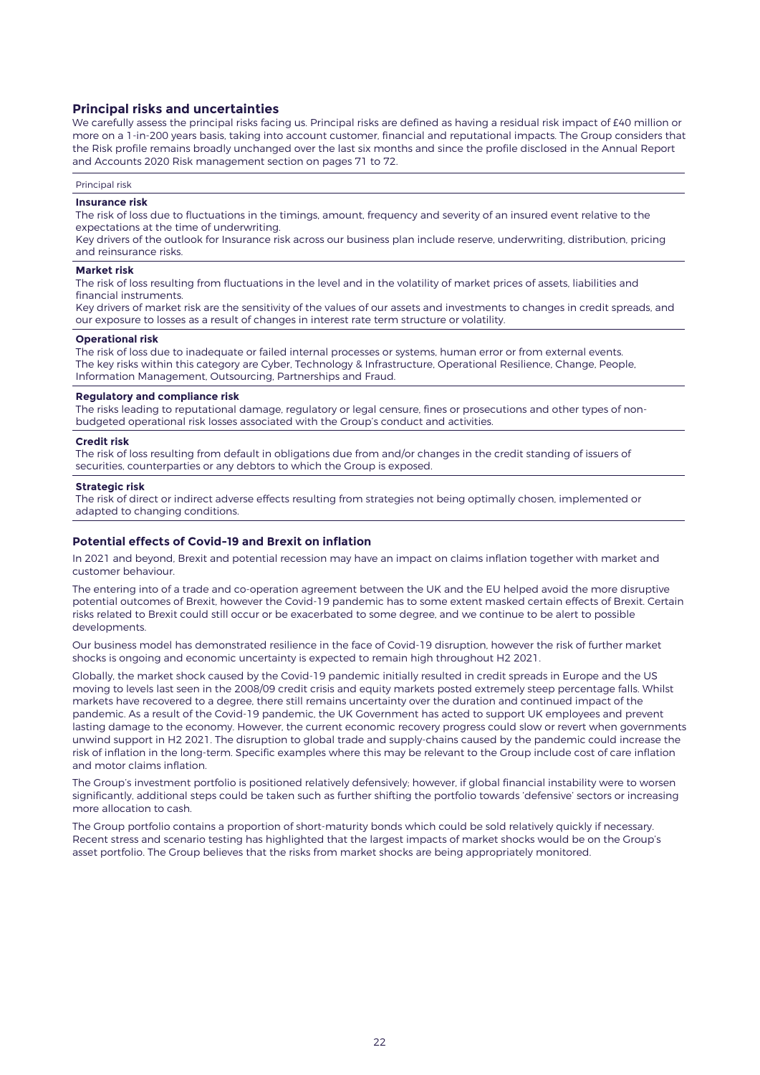## **Principal risks and uncertainties**

We carefully assess the principal risks facing us. Principal risks are defined as having a residual risk impact of £40 million or more on a 1-in-200 years basis, taking into account customer, financial and reputational impacts. The Group considers that the Risk profile remains broadly unchanged over the last six months and since the profile disclosed in the Annual Report and Accounts 2020 Risk management section on pages 71 to 72.

Principal risk

## **Insurance risk**

The risk of loss due to fluctuations in the timings, amount, frequency and severity of an insured event relative to the expectations at the time of underwriting.

Key drivers of the outlook for Insurance risk across our business plan include reserve, underwriting, distribution, pricing and reinsurance risks.

### **Market risk**

The risk of loss resulting from fluctuations in the level and in the volatility of market prices of assets, liabilities and financial instruments.

Key drivers of market risk are the sensitivity of the values of our assets and investments to changes in credit spreads, and our exposure to losses as a result of changes in interest rate term structure or volatility.

### **Operational risk**

The risk of loss due to inadequate or failed internal processes or systems, human error or from external events. The key risks within this category are Cyber, Technology & Infrastructure, Operational Resilience, Change, People, Information Management, Outsourcing, Partnerships and Fraud.

#### **Regulatory and compliance risk**

The risks leading to reputational damage, regulatory or legal censure, fines or prosecutions and other types of nonbudgeted operational risk losses associated with the Group's conduct and activities.

### **Credit risk**

The risk of loss resulting from default in obligations due from and/or changes in the credit standing of issuers of securities, counterparties or any debtors to which the Group is exposed.

#### **Strategic risk**

The risk of direct or indirect adverse effects resulting from strategies not being optimally chosen, implemented or adapted to changing conditions.

## **Potential effects of Covid-19 and Brexit on inflation**

In 2021 and beyond, Brexit and potential recession may have an impact on claims inflation together with market and customer behaviour.

The entering into of a trade and co-operation agreement between the UK and the EU helped avoid the more disruptive potential outcomes of Brexit, however the Covid-19 pandemic has to some extent masked certain effects of Brexit. Certain risks related to Brexit could still occur or be exacerbated to some degree, and we continue to be alert to possible developments.

Our business model has demonstrated resilience in the face of Covid-19 disruption, however the risk of further market shocks is ongoing and economic uncertainty is expected to remain high throughout H2 2021.

Globally, the market shock caused by the Covid-19 pandemic initially resulted in credit spreads in Europe and the US moving to levels last seen in the 2008/09 credit crisis and equity markets posted extremely steep percentage falls. Whilst markets have recovered to a degree, there still remains uncertainty over the duration and continued impact of the pandemic. As a result of the Covid-19 pandemic, the UK Government has acted to support UK employees and prevent lasting damage to the economy. However, the current economic recovery progress could slow or revert when governments unwind support in H2 2021. The disruption to global trade and supply-chains caused by the pandemic could increase the risk of inflation in the long-term. Specific examples where this may be relevant to the Group include cost of care inflation and motor claims inflation.

The Group's investment portfolio is positioned relatively defensively; however, if global financial instability were to worsen significantly, additional steps could be taken such as further shifting the portfolio towards 'defensive' sectors or increasing more allocation to cash.

The Group portfolio contains a proportion of short-maturity bonds which could be sold relatively quickly if necessary. Recent stress and scenario testing has highlighted that the largest impacts of market shocks would be on the Group's asset portfolio. The Group believes that the risks from market shocks are being appropriately monitored.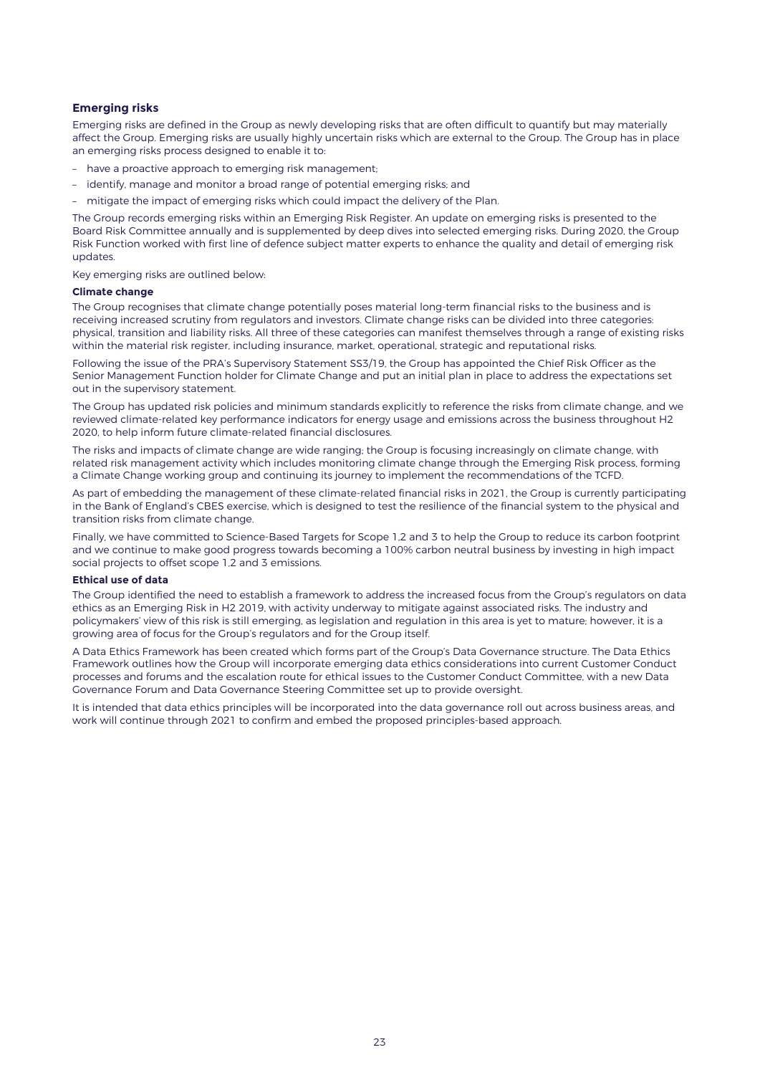## **Emerging risks**

Emerging risks are defined in the Group as newly developing risks that are often difficult to quantify but may materially affect the Group. Emerging risks are usually highly uncertain risks which are external to the Group. The Group has in place an emerging risks process designed to enable it to:

- have a proactive approach to emerging risk management;
- identify, manage and monitor a broad range of potential emerging risks; and
- mitigate the impact of emerging risks which could impact the delivery of the Plan.

The Group records emerging risks within an Emerging Risk Register. An update on emerging risks is presented to the Board Risk Committee annually and is supplemented by deep dives into selected emerging risks. During 2020, the Group Risk Function worked with first line of defence subject matter experts to enhance the quality and detail of emerging risk updates.

Key emerging risks are outlined below:

### **Climate change**

The Group recognises that climate change potentially poses material long-term financial risks to the business and is receiving increased scrutiny from regulators and investors. Climate change risks can be divided into three categories: physical, transition and liability risks. All three of these categories can manifest themselves through a range of existing risks within the material risk register, including insurance, market, operational, strategic and reputational risks.

Following the issue of the PRA's Supervisory Statement SS3/19, the Group has appointed the Chief Risk Officer as the Senior Management Function holder for Climate Change and put an initial plan in place to address the expectations set out in the supervisory statement.

The Group has updated risk policies and minimum standards explicitly to reference the risks from climate change, and we reviewed climate-related key performance indicators for energy usage and emissions across the business throughout H2 2020, to help inform future climate-related financial disclosures.

The risks and impacts of climate change are wide ranging; the Group is focusing increasingly on climate change, with related risk management activity which includes monitoring climate change through the Emerging Risk process, forming a Climate Change working group and continuing its journey to implement the recommendations of the TCFD.

As part of embedding the management of these climate-related financial risks in 2021, the Group is currently participating in the Bank of England's CBES exercise, which is designed to test the resilience of the financial system to the physical and transition risks from climate change.

Finally, we have committed to Science-Based Targets for Scope 1,2 and 3 to help the Group to reduce its carbon footprint and we continue to make good progress towards becoming a 100% carbon neutral business by investing in high impact social projects to offset scope 1,2 and 3 emissions.

### **Ethical use of data**

The Group identified the need to establish a framework to address the increased focus from the Group's regulators on data ethics as an Emerging Risk in H2 2019, with activity underway to mitigate against associated risks. The industry and policymakers' view of this risk is still emerging, as legislation and regulation in this area is yet to mature; however, it is a growing area of focus for the Group's regulators and for the Group itself.

A Data Ethics Framework has been created which forms part of the Group's Data Governance structure. The Data Ethics Framework outlines how the Group will incorporate emerging data ethics considerations into current Customer Conduct processes and forums and the escalation route for ethical issues to the Customer Conduct Committee, with a new Data Governance Forum and Data Governance Steering Committee set up to provide oversight.

It is intended that data ethics principles will be incorporated into the data governance roll out across business areas, and work will continue through 2021 to confirm and embed the proposed principles-based approach.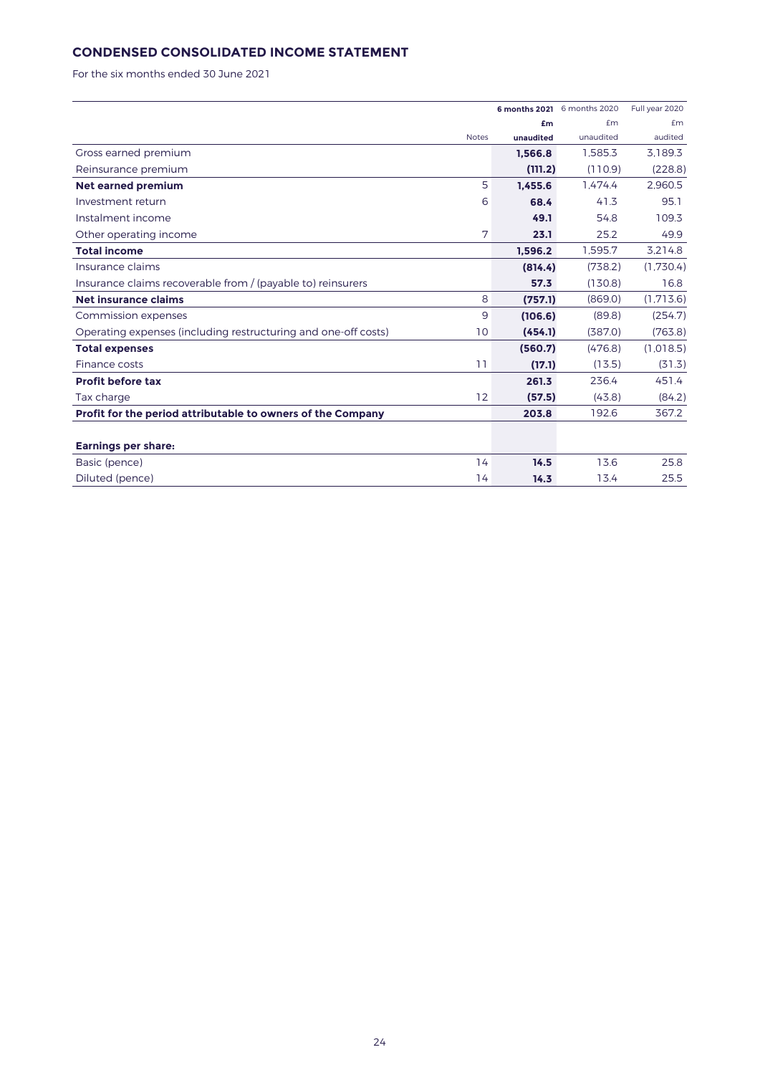# **CONDENSED CONSOLIDATED INCOME STATEMENT**

For the six months ended 30 June 2021

|                                                                      |           | 6 months 2021 6 months 2020 | Full year 2020 |
|----------------------------------------------------------------------|-----------|-----------------------------|----------------|
|                                                                      | £m        | f <sub>m</sub>              | £m             |
| <b>Notes</b>                                                         | unaudited | unaudited                   | audited        |
| Gross earned premium                                                 | 1,566.8   | 1.585.3                     | 3.189.3        |
| Reinsurance premium                                                  | (111.2)   | (110.9)                     | (228.8)        |
| 5<br><b>Net earned premium</b>                                       | 1.455.6   | 1.474.4                     | 2.960.5        |
| 6<br>Investment return                                               | 68.4      | 41.3                        | 95.1           |
| Instalment income                                                    | 49.1      | 54.8                        | 109.3          |
| 7<br>Other operating income                                          | 23.1      | 25.2                        | 49.9           |
| <b>Total income</b>                                                  | 1.596.2   | 1,595.7                     | 3,214.8        |
| Insurance claims                                                     | (814.4)   | (738.2)                     | (1.730.4)      |
| Insurance claims recoverable from / (payable to) reinsurers          | 57.3      | (130.8)                     | 16.8           |
| 8<br>Net insurance claims                                            | (757.1)   | (869.0)                     | (1,713.6)      |
| 9<br>Commission expenses                                             | (106.6)   | (89.8)                      | (254.7)        |
| Operating expenses (including restructuring and one-off costs)<br>10 | (454.1)   | (387.0)                     | (763.8)        |
| <b>Total expenses</b>                                                | (560.7)   | (476.8)                     | (1.018.5)      |
| 11<br>Finance costs                                                  | (17.1)    | (13.5)                      | (31.3)         |
| <b>Profit before tax</b>                                             | 261.3     | 236.4                       | 451.4          |
| 12<br>Tax charge                                                     | (57.5)    | (43.8)                      | (84.2)         |
| Profit for the period attributable to owners of the Company          | 203.8     | 192.6                       | 367.2          |
|                                                                      |           |                             |                |
| <b>Earnings per share:</b>                                           |           |                             |                |
| 14<br>Basic (pence)                                                  | 14.5      | 13.6                        | 25.8           |
| Diluted (pence)<br>14                                                | 14.3      | 13.4                        | 25.5           |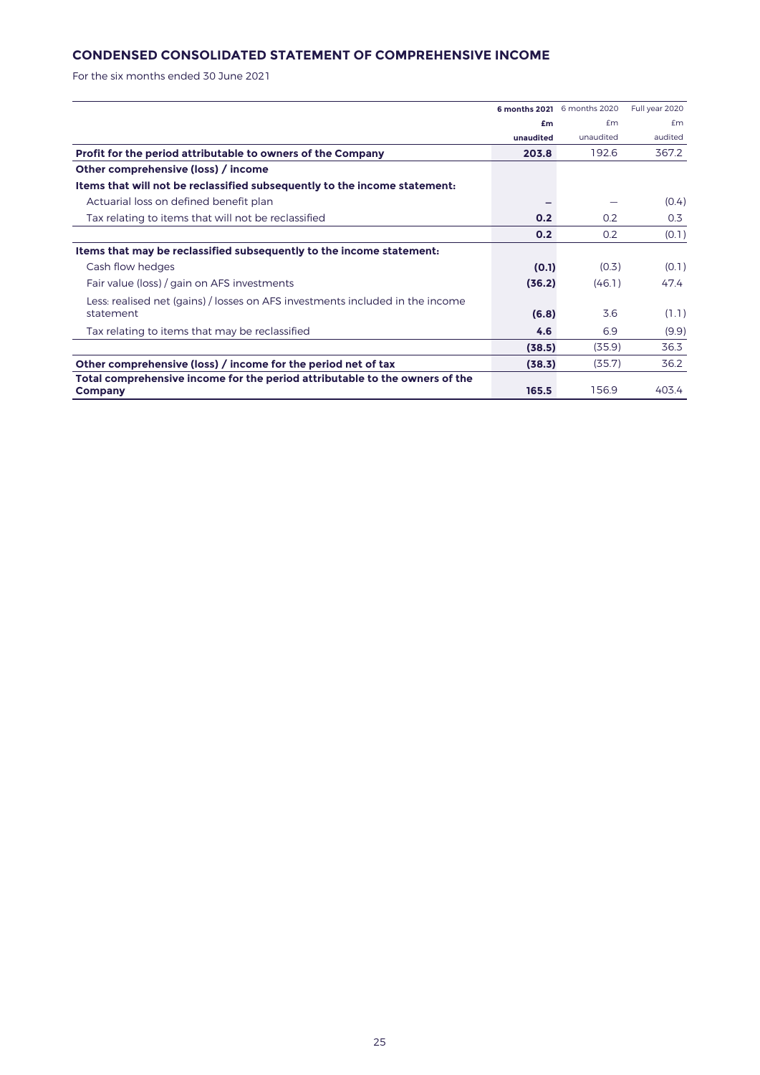# **CONDENSED CONSOLIDATED STATEMENT OF COMPREHENSIVE INCOME**

For the six months ended 30 June 2021

|                                                                                        |           | 6 months 2021 6 months 2020 | Full year 2020 |
|----------------------------------------------------------------------------------------|-----------|-----------------------------|----------------|
|                                                                                        | £m        | f <sub>m</sub>              | Em             |
|                                                                                        | unaudited | unaudited                   | audited        |
| Profit for the period attributable to owners of the Company                            | 203.8     | 192.6                       | 367.2          |
| Other comprehensive (loss) / income                                                    |           |                             |                |
| Items that will not be reclassified subsequently to the income statement:              |           |                             |                |
| Actuarial loss on defined benefit plan                                                 |           |                             | (0.4)          |
| Tax relating to items that will not be reclassified                                    | 0.2       | 0.2                         | 0.3            |
|                                                                                        | 0.2       | 0.2                         | (0.1)          |
| Items that may be reclassified subsequently to the income statement:                   |           |                             |                |
| Cash flow hedges                                                                       | (0.1)     | (0.3)                       | (0.1)          |
| Fair value (loss) / gain on AFS investments                                            | (36.2)    | (46.1)                      | 47.4           |
| Less: realised net (gains) / losses on AFS investments included in the income          |           |                             |                |
| statement                                                                              | (6.8)     | 3.6                         | (1.1)          |
| Tax relating to items that may be reclassified                                         | 4.6       | 6.9                         | (9.9)          |
|                                                                                        | (38.5)    | (35.9)                      | 36.3           |
| Other comprehensive (loss) / income for the period net of tax                          | (38.3)    | (35.7)                      | 36.2           |
| Total comprehensive income for the period attributable to the owners of the<br>Company | 165.5     | 156.9                       | 403.4          |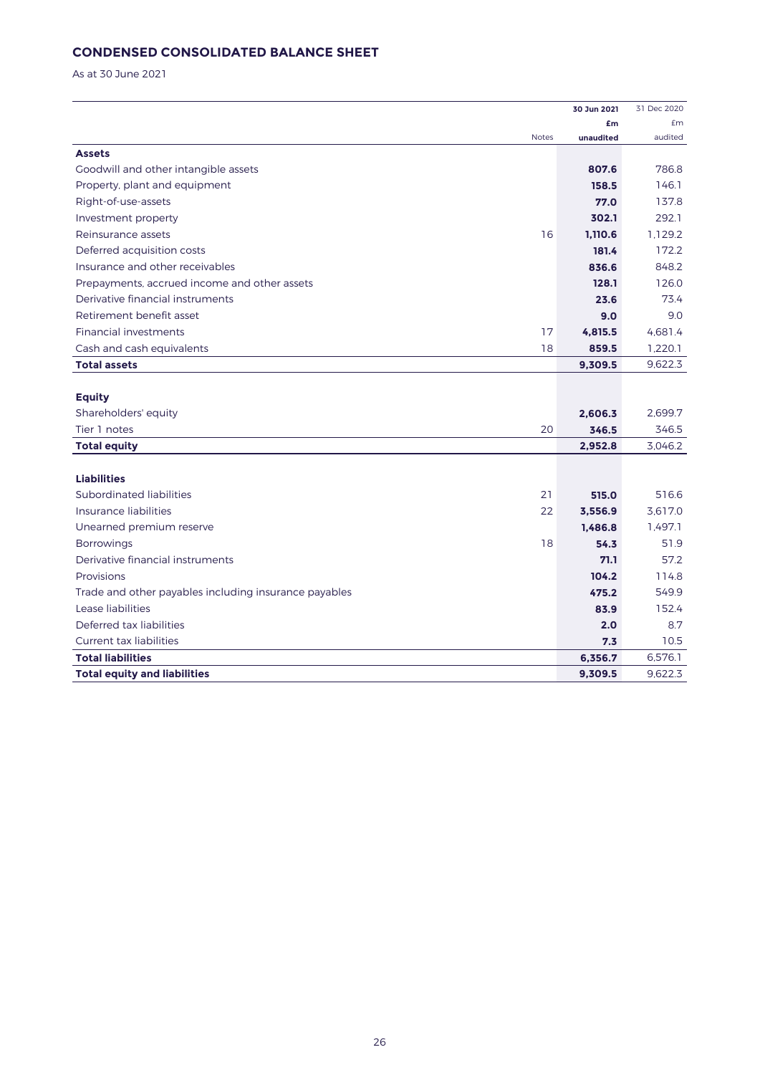# **CONDENSED CONSOLIDATED BALANCE SHEET**

As at 30 June 2021

|                                                       |              | 30 Jun 2021 | 31 Dec 2020 |
|-------------------------------------------------------|--------------|-------------|-------------|
|                                                       |              | £m          | £m          |
|                                                       | <b>Notes</b> | unaudited   | audited     |
| <b>Assets</b>                                         |              |             |             |
| Goodwill and other intangible assets                  |              | 807.6       | 786.8       |
| Property, plant and equipment                         |              | 158.5       | 146.1       |
| Right-of-use-assets                                   |              | 77.0        | 137.8       |
| Investment property                                   |              | 302.1       | 292.1       |
| Reinsurance assets                                    | 16           | 1.110.6     | 1.129.2     |
| Deferred acquisition costs                            |              | 181.4       | 172.2       |
| Insurance and other receivables                       |              | 836.6       | 848.2       |
| Prepayments, accrued income and other assets          |              | 128.1       | 126.0       |
| Derivative financial instruments                      |              | 23.6        | 73.4        |
| Retirement benefit asset                              |              | 9.0         | 9.0         |
| Financial investments                                 | 17           | 4,815.5     | 4,681.4     |
| Cash and cash equivalents                             | 18           | 859.5       | 1,220.1     |
| <b>Total assets</b>                                   |              | 9,309.5     | 9,622.3     |
|                                                       |              |             |             |
| <b>Equity</b>                                         |              |             |             |
| Shareholders' equity                                  |              | 2,606.3     | 2,699.7     |
| Tier 1 notes                                          | 20           | 346.5       | 346.5       |
| <b>Total equity</b>                                   |              | 2,952.8     | 3,046.2     |
|                                                       |              |             |             |
| <b>Liabilities</b>                                    |              |             |             |
| Subordinated liabilities                              | 21           | 515.0       | 516.6       |
| Insurance liabilities                                 | 22           | 3,556.9     | 3,617.0     |
| Unearned premium reserve                              |              | 1.486.8     | 1,497.1     |
| <b>Borrowings</b>                                     | 18           | 54.3        | 51.9        |
| Derivative financial instruments                      |              | 71.1        | 57.2        |
| Provisions                                            |              | 104.2       | 114.8       |
| Trade and other payables including insurance payables |              | 475.2       | 549.9       |
| Lease liabilities                                     |              | 83.9        | 152.4       |
| Deferred tax liabilities                              |              | 2.0         | 8.7         |
| <b>Current tax liabilities</b>                        |              | 7.3         | 10.5        |
| <b>Total liabilities</b>                              |              | 6,356.7     | 6,576.1     |
| <b>Total equity and liabilities</b>                   |              | 9,309.5     | 9,622.3     |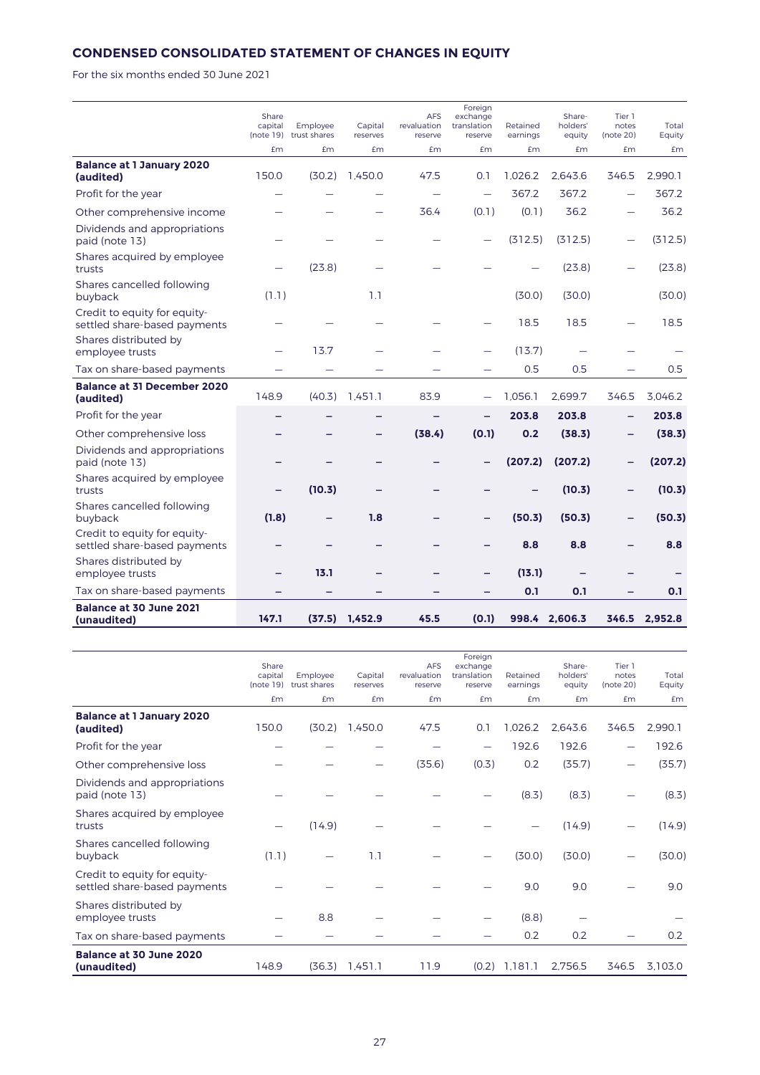# **CONDENSED CONSOLIDATED STATEMENT OF CHANGES IN EQUITY**

For the six months ended 30 June 2021

|                                                              | Share<br>capital<br>(note 19) | Employee<br>trust shares | Capital<br>reserves | <b>AFS</b><br>revaluation<br>reserve | Foreign<br>exchange<br>translation<br>reserve | Retained<br>earnings | Share-<br>holders'<br>equity | Tier 1<br>notes<br>(note 20) | Total<br>Equity |
|--------------------------------------------------------------|-------------------------------|--------------------------|---------------------|--------------------------------------|-----------------------------------------------|----------------------|------------------------------|------------------------------|-----------------|
|                                                              | £m                            | £m                       | £m                  | £m                                   | £m                                            | £m                   | <b>£m</b>                    | £m                           | £m              |
| <b>Balance at 1 January 2020</b><br>(audited)                | 150.0                         | (30.2)                   | 1.450.0             | 47.5                                 | 0.1                                           | 1.026.2              | 2.643.6                      | 346.5                        | 2.990.1         |
| Profit for the year                                          |                               |                          |                     | $\overline{\phantom{0}}$             |                                               | 367.2                | 367.2                        |                              | 367.2           |
| Other comprehensive income                                   |                               |                          |                     | 36.4                                 | (0.1)                                         | (0.1)                | 36.2                         |                              | 36.2            |
| Dividends and appropriations<br>paid (note 13)               |                               |                          |                     |                                      |                                               | (312.5)              | (312.5)                      |                              | (312.5)         |
| Shares acquired by employee<br>trusts                        |                               | (23.8)                   |                     |                                      |                                               |                      | (23.8)                       |                              | (23.8)          |
| Shares cancelled following<br>buyback                        | (1.1)                         |                          | 1.1                 |                                      |                                               | (30.0)               | (30.0)                       |                              | (30.0)          |
| Credit to equity for equity-<br>settled share-based payments |                               |                          |                     |                                      |                                               | 18.5                 | 18.5                         |                              | 18.5            |
| Shares distributed by<br>employee trusts                     |                               | 13.7                     |                     |                                      |                                               | (13.7)               |                              |                              |                 |
| Tax on share-based payments                                  |                               |                          |                     |                                      |                                               | 0.5                  | 0.5                          |                              | 0.5             |
| <b>Balance at 31 December 2020</b><br>(audited)              | 148.9                         | (40.3)                   | 1,451.1             | 83.9                                 |                                               | 1.056.1              | 2.699.7                      | 346.5                        | 3.046.2         |
| Profit for the year                                          |                               |                          | -                   |                                      |                                               | 203.8                | 203.8                        |                              | 203.8           |
| Other comprehensive loss                                     |                               |                          | -                   | (38.4)                               | (0.1)                                         | 0.2                  | (38.3)                       | -                            | (38.3)          |
| Dividends and appropriations<br>paid (note 13)               |                               |                          |                     |                                      |                                               | (207.2)              | (207.2)                      |                              | (207.2)         |
| Shares acquired by employee<br>trusts                        |                               | (10.3)                   |                     |                                      |                                               |                      | (10.3)                       | -                            | (10.3)          |
| Shares cancelled following<br>buyback                        | (1.8)                         |                          | 1.8                 |                                      |                                               | (50.3)               | (50.3)                       |                              | (50.3)          |
| Credit to equity for equity-<br>settled share-based payments |                               |                          |                     |                                      |                                               | 8.8                  | 8.8                          |                              | 8.8             |
| Shares distributed by<br>employee trusts                     |                               | 13.1                     |                     |                                      |                                               | (13.1)               |                              |                              |                 |
| Tax on share-based payments                                  |                               |                          |                     |                                      |                                               | 0.1                  | 0.1                          |                              | 0.1             |
| Balance at 30 June 2021<br>(unaudited)                       | 147.1                         | (37.5)                   | 1,452.9             | 45.5                                 | (0.1)                                         |                      | 998.4 2,606.3                |                              | 346.5 2,952.8   |

|                                                              | Share<br>capital<br>(note 19) | Employee<br>trust shares | Capital<br>reserves | <b>AFS</b><br>revaluation<br>reserve | Foreign<br>exchange<br>translation<br>reserve | Retained<br>earnings | Share-<br>holders'<br>equity | Tier 1<br>notes<br>(note 20) | Total<br>Equity |
|--------------------------------------------------------------|-------------------------------|--------------------------|---------------------|--------------------------------------|-----------------------------------------------|----------------------|------------------------------|------------------------------|-----------------|
|                                                              | £m                            | £m                       | <b>£m</b>           | Em                                   | £m                                            | Em                   | <b>£m</b>                    | £m                           | Em              |
| <b>Balance at 1 January 2020</b><br>(audited)                | 150.0                         | (30.2)                   | 1,450.0             | 47.5                                 | 0.1                                           | 1,026.2              | 2,643.6                      | 346.5                        | 2,990.1         |
| Profit for the year                                          |                               |                          |                     |                                      | $\overline{\phantom{0}}$                      | 192.6                | 192.6                        |                              | 192.6           |
| Other comprehensive loss                                     |                               |                          |                     | (35.6)                               | (0.3)                                         | 0.2                  | (35.7)                       |                              | (35.7)          |
| Dividends and appropriations<br>paid (note 13)               |                               |                          |                     |                                      |                                               | (8.3)                | (8.3)                        |                              | (8.3)           |
| Shares acquired by employee<br>trusts                        |                               | (14.9)                   |                     |                                      |                                               |                      | (14.9)                       |                              | (14.9)          |
| Shares cancelled following<br>buyback                        | (1.1)                         |                          | 1.1                 |                                      |                                               | (30.0)               | (30.0)                       |                              | (30.0)          |
| Credit to equity for equity-<br>settled share-based payments |                               |                          |                     |                                      |                                               | 9.0                  | 9.0                          |                              | 9.0             |
| Shares distributed by<br>employee trusts                     |                               | 8.8                      |                     |                                      |                                               | (8.8)                |                              |                              |                 |
| Tax on share-based payments                                  |                               |                          |                     |                                      |                                               | 0.2                  | 0.2                          |                              | 0.2             |
| <b>Balance at 30 June 2020</b><br>(unaudited)                | 148.9                         | (36.3)                   | 1.451.1             | 11.9                                 |                                               | $(0.2)$ 1.181.1      | 2,756.5                      | 346.5                        | 3,103.0         |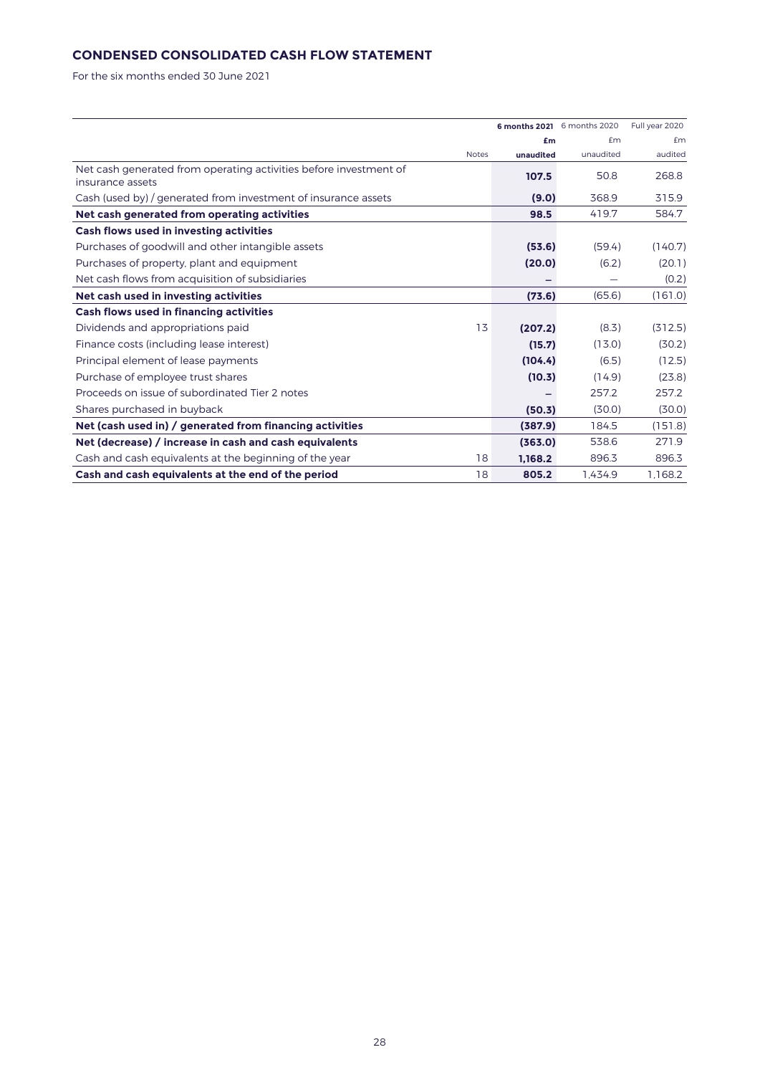# **CONDENSED CONSOLIDATED CASH FLOW STATEMENT**

For the six months ended 30 June 2021

|                                                                   |           | 6 months 2021 6 months 2020 | Full year 2020 |
|-------------------------------------------------------------------|-----------|-----------------------------|----------------|
|                                                                   | £m        | £m                          | £m             |
| <b>Notes</b>                                                      | unaudited | unaudited                   | audited        |
| Net cash generated from operating activities before investment of | 107.5     | 50.8                        | 268.8          |
| insurance assets                                                  |           |                             |                |
| Cash (used by) / generated from investment of insurance assets    | (9.0)     | 368.9                       | 315.9          |
| Net cash generated from operating activities                      | 98.5      | 419.7                       | 584.7          |
| Cash flows used in investing activities                           |           |                             |                |
| Purchases of goodwill and other intangible assets                 | (53.6)    | (59.4)                      | (140.7)        |
| Purchases of property, plant and equipment                        | (20.0)    | (6.2)                       | (20.1)         |
| Net cash flows from acquisition of subsidiaries                   |           |                             | (0.2)          |
| Net cash used in investing activities                             | (73.6)    | (65.6)                      | (161.0)        |
| Cash flows used in financing activities                           |           |                             |                |
| 13<br>Dividends and appropriations paid                           | (207.2)   | (8.3)                       | (312.5)        |
| Finance costs (including lease interest)                          | (15.7)    | (13.0)                      | (30.2)         |
| Principal element of lease payments                               | (104.4)   | (6.5)                       | (12.5)         |
| Purchase of employee trust shares                                 | (10.3)    | (14.9)                      | (23.8)         |
| Proceeds on issue of subordinated Tier 2 notes                    |           | 257.2                       | 257.2          |
| Shares purchased in buyback                                       | (50.3)    | (30.0)                      | (30.0)         |
| Net (cash used in) / generated from financing activities          | (387.9)   | 184.5                       | (151.8)        |
| Net (decrease) / increase in cash and cash equivalents            | (363.0)   | 538.6                       | 271.9          |
| 18<br>Cash and cash equivalents at the beginning of the year      | 1.168.2   | 896.3                       | 896.3          |
| 18<br>Cash and cash equivalents at the end of the period          | 805.2     | 1,434.9                     | 1,168.2        |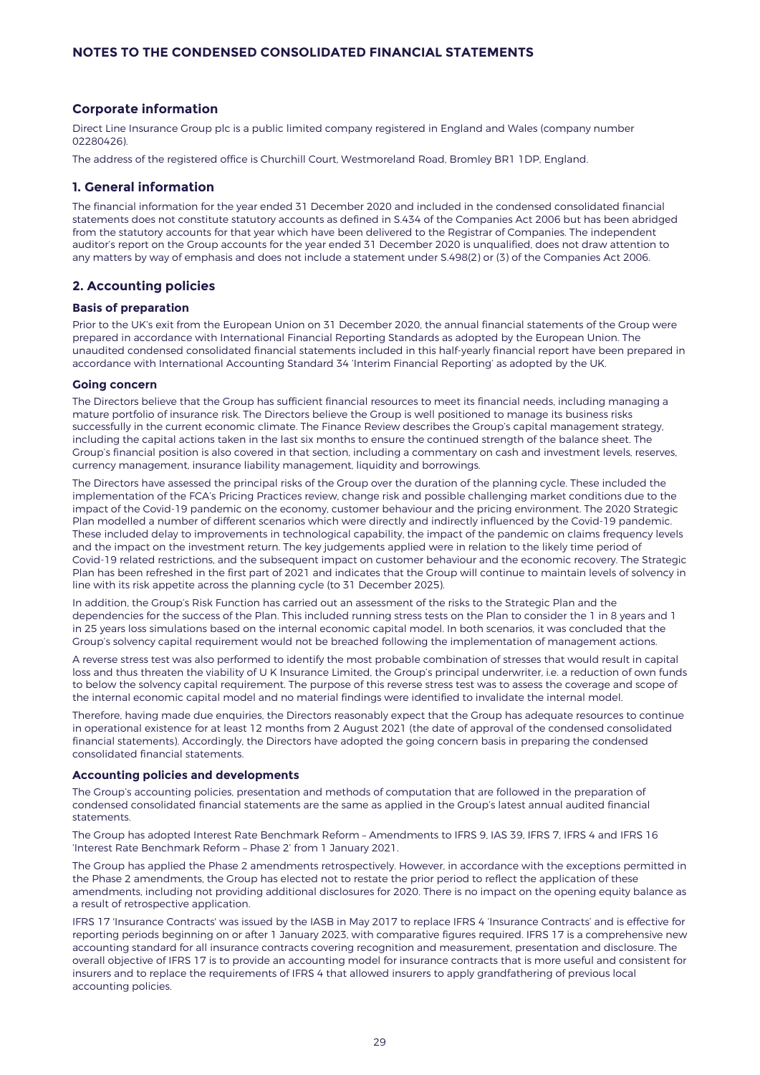# **Corporate information**

Direct Line Insurance Group plc is a public limited company registered in England and Wales (company number 02280426).

The address of the registered office is Churchill Court, Westmoreland Road, Bromley BR1 1DP, England.

## **1. General information**

The financial information for the year ended 31 December 2020 and included in the condensed consolidated financial statements does not constitute statutory accounts as defined in S.434 of the Companies Act 2006 but has been abridged from the statutory accounts for that year which have been delivered to the Registrar of Companies. The independent auditor's report on the Group accounts for the year ended 31 December 2020 is unqualified, does not draw attention to any matters by way of emphasis and does not include a statement under S.498(2) or (3) of the Companies Act 2006.

## **2. Accounting policies**

## **Basis of preparation**

Prior to the UK's exit from the European Union on 31 December 2020, the annual financial statements of the Group were prepared in accordance with International Financial Reporting Standards as adopted by the European Union. The unaudited condensed consolidated financial statements included in this half-yearly financial report have been prepared in accordance with International Accounting Standard 34 'Interim Financial Reporting' as adopted by the UK.

# **Going concern**

The Directors believe that the Group has sufficient financial resources to meet its financial needs, including managing a mature portfolio of insurance risk. The Directors believe the Group is well positioned to manage its business risks successfully in the current economic climate. The Finance Review describes the Group's capital management strategy, including the capital actions taken in the last six months to ensure the continued strength of the balance sheet. The Group's financial position is also covered in that section, including a commentary on cash and investment levels, reserves, currency management, insurance liability management, liquidity and borrowings.

The Directors have assessed the principal risks of the Group over the duration of the planning cycle. These included the implementation of the FCA's Pricing Practices review, change risk and possible challenging market conditions due to the impact of the Covid-19 pandemic on the economy, customer behaviour and the pricing environment. The 2020 Strategic Plan modelled a number of different scenarios which were directly and indirectly influenced by the Covid-19 pandemic. These included delay to improvements in technological capability, the impact of the pandemic on claims frequency levels and the impact on the investment return. The key judgements applied were in relation to the likely time period of Covid-19 related restrictions, and the subsequent impact on customer behaviour and the economic recovery. The Strategic Plan has been refreshed in the first part of 2021 and indicates that the Group will continue to maintain levels of solvency in line with its risk appetite across the planning cycle (to 31 December 2025).

In addition, the Group's Risk Function has carried out an assessment of the risks to the Strategic Plan and the dependencies for the success of the Plan. This included running stress tests on the Plan to consider the 1 in 8 years and 1 in 25 years loss simulations based on the internal economic capital model. In both scenarios, it was concluded that the Group's solvency capital requirement would not be breached following the implementation of management actions.

A reverse stress test was also performed to identify the most probable combination of stresses that would result in capital loss and thus threaten the viability of U K Insurance Limited, the Group's principal underwriter, i.e. a reduction of own funds to below the solvency capital requirement. The purpose of this reverse stress test was to assess the coverage and scope of the internal economic capital model and no material findings were identified to invalidate the internal model.

Therefore, having made due enquiries, the Directors reasonably expect that the Group has adequate resources to continue in operational existence for at least 12 months from 2 August 2021 (the date of approval of the condensed consolidated financial statements). Accordingly, the Directors have adopted the going concern basis in preparing the condensed consolidated financial statements.

## **Accounting policies and developments**

The Group's accounting policies, presentation and methods of computation that are followed in the preparation of condensed consolidated financial statements are the same as applied in the Group's latest annual audited financial statements.

The Group has adopted Interest Rate Benchmark Reform – Amendments to IFRS 9, IAS 39, IFRS 7, IFRS 4 and IFRS 16 'Interest Rate Benchmark Reform – Phase 2' from 1 January 2021.

The Group has applied the Phase 2 amendments retrospectively. However, in accordance with the exceptions permitted in the Phase 2 amendments, the Group has elected not to restate the prior period to reflect the application of these amendments, including not providing additional disclosures for 2020. There is no impact on the opening equity balance as a result of retrospective application.

IFRS 17 'Insurance Contracts' was issued by the IASB in May 2017 to replace IFRS 4 'Insurance Contracts' and is effective for reporting periods beginning on or after 1 January 2023, with comparative figures required. IFRS 17 is a comprehensive new accounting standard for all insurance contracts covering recognition and measurement, presentation and disclosure. The overall objective of IFRS 17 is to provide an accounting model for insurance contracts that is more useful and consistent for insurers and to replace the requirements of IFRS 4 that allowed insurers to apply grandfathering of previous local accounting policies.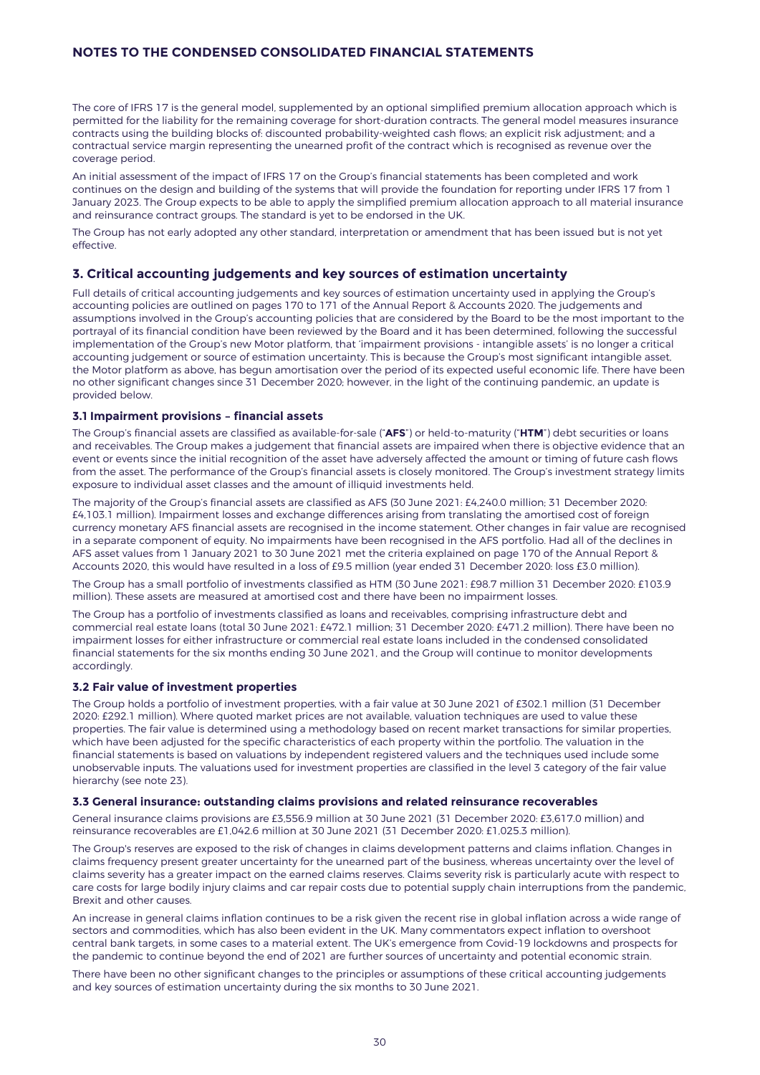The core of IFRS 17 is the general model, supplemented by an optional simplified premium allocation approach which is permitted for the liability for the remaining coverage for short-duration contracts. The general model measures insurance contracts using the building blocks of: discounted probability-weighted cash flows; an explicit risk adjustment; and a contractual service margin representing the unearned profit of the contract which is recognised as revenue over the coverage period.

An initial assessment of the impact of IFRS 17 on the Group's financial statements has been completed and work continues on the design and building of the systems that will provide the foundation for reporting under IFRS 17 from 1 January 2023. The Group expects to be able to apply the simplified premium allocation approach to all material insurance and reinsurance contract groups. The standard is yet to be endorsed in the UK.

The Group has not early adopted any other standard, interpretation or amendment that has been issued but is not yet effective.

## **3. Critical accounting judgements and key sources of estimation uncertainty**

Full details of critical accounting judgements and key sources of estimation uncertainty used in applying the Group's accounting policies are outlined on pages 170 to 171 of the Annual Report & Accounts 2020. The judgements and assumptions involved in the Group's accounting policies that are considered by the Board to be the most important to the portrayal of its financial condition have been reviewed by the Board and it has been determined, following the successful implementation of the Group's new Motor platform, that 'impairment provisions - intangible assets' is no longer a critical accounting judgement or source of estimation uncertainty. This is because the Group's most significant intangible asset, the Motor platform as above, has begun amortisation over the period of its expected useful economic life. There have been no other significant changes since 31 December 2020; however, in the light of the continuing pandemic, an update is provided below.

### **3.1 Impairment provisions – financial assets**

The Group's financial assets are classified as available-for-sale ("**AFS**") or held-to-maturity ("**HTM**") debt securities or loans and receivables. The Group makes a judgement that financial assets are impaired when there is objective evidence that an event or events since the initial recognition of the asset have adversely affected the amount or timing of future cash flows from the asset. The performance of the Group's financial assets is closely monitored. The Group's investment strategy limits exposure to individual asset classes and the amount of illiquid investments held.

The majority of the Group's financial assets are classified as AFS (30 June 2021: £4,240.0 million; 31 December 2020: £4,103.1 million). Impairment losses and exchange differences arising from translating the amortised cost of foreign currency monetary AFS financial assets are recognised in the income statement. Other changes in fair value are recognised in a separate component of equity. No impairments have been recognised in the AFS portfolio. Had all of the declines in AFS asset values from 1 January 2021 to 30 June 2021 met the criteria explained on page 170 of the Annual Report & Accounts 2020, this would have resulted in a loss of £9.5 million (year ended 31 December 2020: loss £3.0 million).

The Group has a small portfolio of investments classified as HTM (30 June 2021: £98.7 million 31 December 2020: £103.9 million). These assets are measured at amortised cost and there have been no impairment losses.

The Group has a portfolio of investments classified as loans and receivables, comprising infrastructure debt and commercial real estate loans (total 30 June 2021: £472.1 million; 31 December 2020: £471.2 million). There have been no impairment losses for either infrastructure or commercial real estate loans included in the condensed consolidated financial statements for the six months ending 30 June 2021, and the Group will continue to monitor developments accordingly.

#### **3.2 Fair value of investment properties**

The Group holds a portfolio of investment properties, with a fair value at 30 June 2021 of £302.1 million (31 December 2020: £292.1 million). Where quoted market prices are not available, valuation techniques are used to value these properties. The fair value is determined using a methodology based on recent market transactions for similar properties, which have been adjusted for the specific characteristics of each property within the portfolio. The valuation in the financial statements is based on valuations by independent registered valuers and the techniques used include some unobservable inputs. The valuations used for investment properties are classified in the level 3 category of the fair value hierarchy (see note 23).

### **3.3 General insurance: outstanding claims provisions and related reinsurance recoverables**

General insurance claims provisions are £3,556.9 million at 30 June 2021 (31 December 2020: £3,617.0 million) and reinsurance recoverables are £1,042.6 million at 30 June 2021 (31 December 2020: £1,025.3 million).

The Group's reserves are exposed to the risk of changes in claims development patterns and claims inflation. Changes in claims frequency present greater uncertainty for the unearned part of the business, whereas uncertainty over the level of claims severity has a greater impact on the earned claims reserves. Claims severity risk is particularly acute with respect to care costs for large bodily injury claims and car repair costs due to potential supply chain interruptions from the pandemic, Brexit and other causes.

An increase in general claims inflation continues to be a risk given the recent rise in global inflation across a wide range of sectors and commodities, which has also been evident in the UK. Many commentators expect inflation to overshoot central bank targets, in some cases to a material extent. The UK's emergence from Covid-19 lockdowns and prospects for the pandemic to continue beyond the end of 2021 are further sources of uncertainty and potential economic strain.

There have been no other significant changes to the principles or assumptions of these critical accounting judgements and key sources of estimation uncertainty during the six months to 30 June 2021.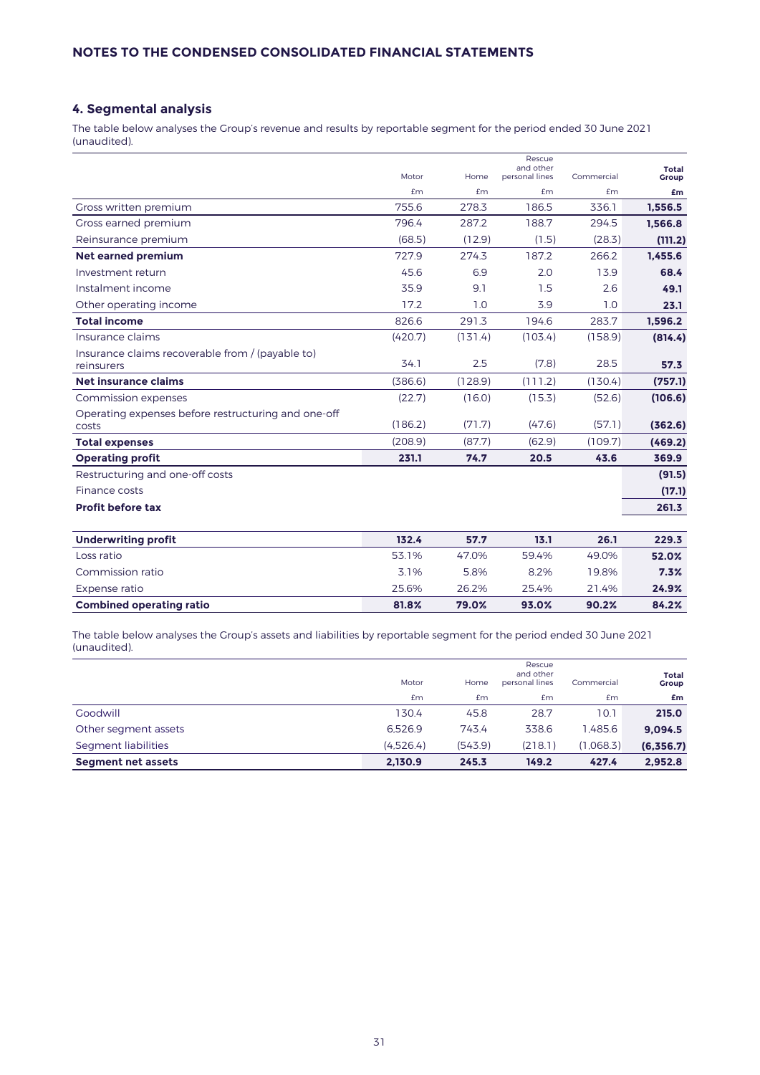# **4. Segmental analysis**

The table below analyses the Group's revenue and results by reportable segment for the period ended 30 June 2021 (unaudited).

|                                                                | Motor   | Home    | Rescue<br>and other<br>personal lines | Commercial | <b>Total</b><br><b>Group</b> |
|----------------------------------------------------------------|---------|---------|---------------------------------------|------------|------------------------------|
|                                                                | £m      | £m      | <b>£m</b>                             | £m         | £m                           |
| Gross written premium                                          | 755.6   | 278.3   | 186.5                                 | 336.1      | 1,556.5                      |
| Gross earned premium                                           | 796.4   | 287.2   | 188.7                                 | 294.5      | 1.566.8                      |
| Reinsurance premium                                            | (68.5)  | (12.9)  | (1.5)                                 | (28.3)     | (111.2)                      |
| <b>Net earned premium</b>                                      | 727.9   | 274.3   | 187.2                                 | 266.2      | 1.455.6                      |
| Investment return                                              | 45.6    | 6.9     | 2.0                                   | 13.9       | 68.4                         |
| Instalment income                                              | 35.9    | 9.1     | 1.5                                   | 2.6        | 49.1                         |
| Other operating income                                         | 17.2    | 1.0     | 3.9                                   | 1.0        | 23.1                         |
| <b>Total income</b>                                            | 826.6   | 291.3   | 194.6                                 | 283.7      | 1,596.2                      |
| Insurance claims                                               | (420.7) | (131.4) | (103.4)                               | (158.9)    | (814.4)                      |
| Insurance claims recoverable from / (payable to)<br>reinsurers | 34.1    | 2.5     | (7.8)                                 | 28.5       | 57.3                         |
| Net insurance claims                                           | (386.6) | (128.9) | (111.2)                               | (130.4)    | (757.1)                      |
| Commission expenses                                            | (22.7)  | (16.0)  | (15.3)                                | (52.6)     | (106.6)                      |
| Operating expenses before restructuring and one-off<br>costs   | (186.2) | (71.7)  | (47.6)                                | (57.1)     | (362.6)                      |
| <b>Total expenses</b>                                          | (208.9) | (87.7)  | (62.9)                                | (109.7)    | (469.2)                      |
| <b>Operating profit</b>                                        | 231.1   | 74.7    | 20.5                                  | 43.6       | 369.9                        |
| Restructuring and one-off costs                                |         |         |                                       |            | (91.5)                       |
| Finance costs                                                  |         |         |                                       |            | (17.1)                       |
| <b>Profit before tax</b>                                       |         |         |                                       |            | 261.3                        |
| <b>Underwriting profit</b>                                     | 132.4   | 57.7    | 13.1                                  | 26.1       | 229.3                        |
| Loss ratio                                                     | 53.1%   | 47.0%   | 59.4%                                 | 49.0%      | 52.0%                        |
| Commission ratio                                               | 3.1%    | 5.8%    | 8.2%                                  | 19.8%      | 7.3%                         |
| Expense ratio                                                  | 25.6%   | 26.2%   | 25.4%                                 | 21.4%      | 24.9%                        |
| <b>Combined operating ratio</b>                                | 81.8%   | 79.0%   | 93.0%                                 | 90.2%      | 84.2%                        |

The table below analyses the Group's assets and liabilities by reportable segment for the period ended 30 June 2021 (unaudited).

| <b>Segment net assets</b> | 2,130.9   | 245.3   | 149.2                                 | 427.4      | 2,952.8        |
|---------------------------|-----------|---------|---------------------------------------|------------|----------------|
| Segment liabilities       | (4,526.4) | (543.9) | (218.1)                               | (1.068.3)  | (6,356.7)      |
| Other segment assets      | 6.526.9   | 743.4   | 338.6                                 | 1.485.6    | 9,094.5        |
| Goodwill                  | 130.4     | 45.8    | 28.7                                  | 10.1       | 215.0          |
|                           | £m        | Em      | <b>£m</b>                             | £m         | £m             |
|                           | Motor     | Home    | Rescue<br>and other<br>personal lines | Commercial | Total<br>Group |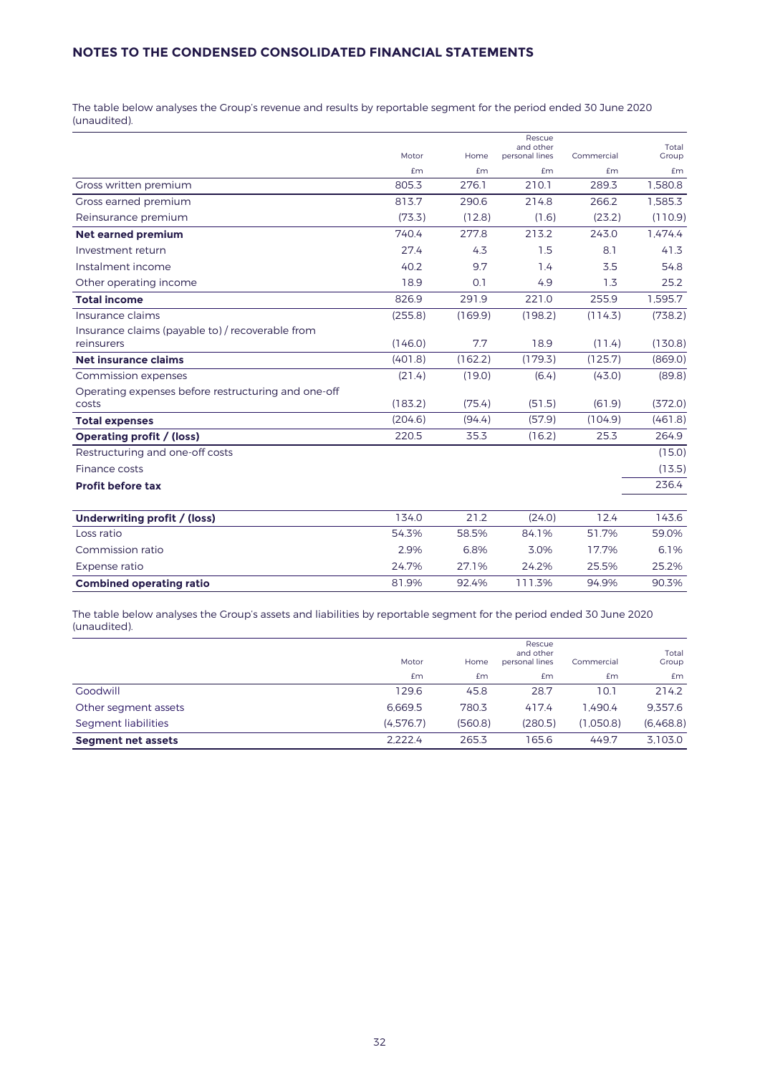The table below analyses the Group's revenue and results by reportable segment for the period ended 30 June 2020 (unaudited).

|                                                     |         |         | Rescue<br>and other |            | Total   |
|-----------------------------------------------------|---------|---------|---------------------|------------|---------|
|                                                     | Motor   | Home    | personal lines      | Commercial | Group   |
|                                                     | £m      | £m      | <b>£m</b>           | £m         | Em      |
| Gross written premium                               | 805.3   | 276.1   | 210.1               | 289.3      | 1.580.8 |
| Gross earned premium                                | 813.7   | 290.6   | 214.8               | 266.2      | 1.585.3 |
| Reinsurance premium                                 | (73.3)  | (12.8)  | (1.6)               | (23.2)     | (110.9) |
| <b>Net earned premium</b>                           | 740.4   | 277.8   | 213.2               | 243.0      | 1.474.4 |
| Investment return                                   | 27.4    | 4.3     | 1.5                 | 8.1        | 41.3    |
| Instalment income                                   | 40.2    | 9.7     | 1.4                 | 3.5        | 54.8    |
| Other operating income                              | 18.9    | 0.1     | 4.9                 | 1.3        | 25.2    |
| <b>Total income</b>                                 | 826.9   | 291.9   | 221.0               | 255.9      | 1,595.7 |
| Insurance claims                                    | (255.8) | (169.9) | (198.2)             | (114.3)    | (738.2) |
| Insurance claims (payable to) / recoverable from    |         |         |                     |            |         |
| reinsurers                                          | (146.0) | 7.7     | 18.9                | (11.4)     | (130.8) |
| Net insurance claims                                | (401.8) | (162.2) | (179.3)             | (125.7)    | (869.0) |
| Commission expenses                                 | (21.4)  | (19.0)  | (6.4)               | (43.0)     | (89.8)  |
| Operating expenses before restructuring and one-off |         |         |                     |            |         |
| costs                                               | (183.2) | (75.4)  | (51.5)              | (61.9)     | (372.0) |
| <b>Total expenses</b>                               | (204.6) | (94.4)  | (57.9)              | (104.9)    | (461.8) |
| Operating profit / (loss)                           | 220.5   | 35.3    | (16.2)              | 25.3       | 264.9   |
| Restructuring and one-off costs                     |         |         |                     |            | (15.0)  |
| Finance costs                                       |         |         |                     |            | (13.5)  |
| <b>Profit before tax</b>                            |         |         |                     |            | 236.4   |
| Underwriting profit / (loss)                        | 134.0   | 21.2    | (24.0)              | 12.4       | 143.6   |
| Loss ratio                                          | 54.3%   | 58.5%   | 84.1%               | 51.7%      | 59.0%   |
| Commission ratio                                    | 2.9%    | 6.8%    | 3.0%                | 17.7%      | 6.1%    |
| Expense ratio                                       | 24.7%   | 27.1%   | 24.2%               | 25.5%      | 25.2%   |
| <b>Combined operating ratio</b>                     | 81.9%   | 92.4%   | 111.3%              | 94.9%      | 90.3%   |

The table below analyses the Group's assets and liabilities by reportable segment for the period ended 30 June 2020 (unaudited).

|                           | Motor     | Home    | Rescue<br>and other<br>personal lines | Commercial | Total<br>Group |
|---------------------------|-----------|---------|---------------------------------------|------------|----------------|
|                           | £m        | Em      | £m                                    | £m         | <b>£m</b>      |
| Goodwill                  | 129.6     | 45.8    | 28.7                                  | 10.1       | 214.2          |
| Other segment assets      | 6.669.5   | 780.3   | 417.4                                 | 1.490.4    | 9.357.6        |
| Segment liabilities       | (4.576.7) | (560.8) | (280.5)                               | (1.050.8)  | (6,468.8)      |
| <b>Segment net assets</b> | 2.222.4   | 265.3   | 165.6                                 | 449.7      | 3,103.0        |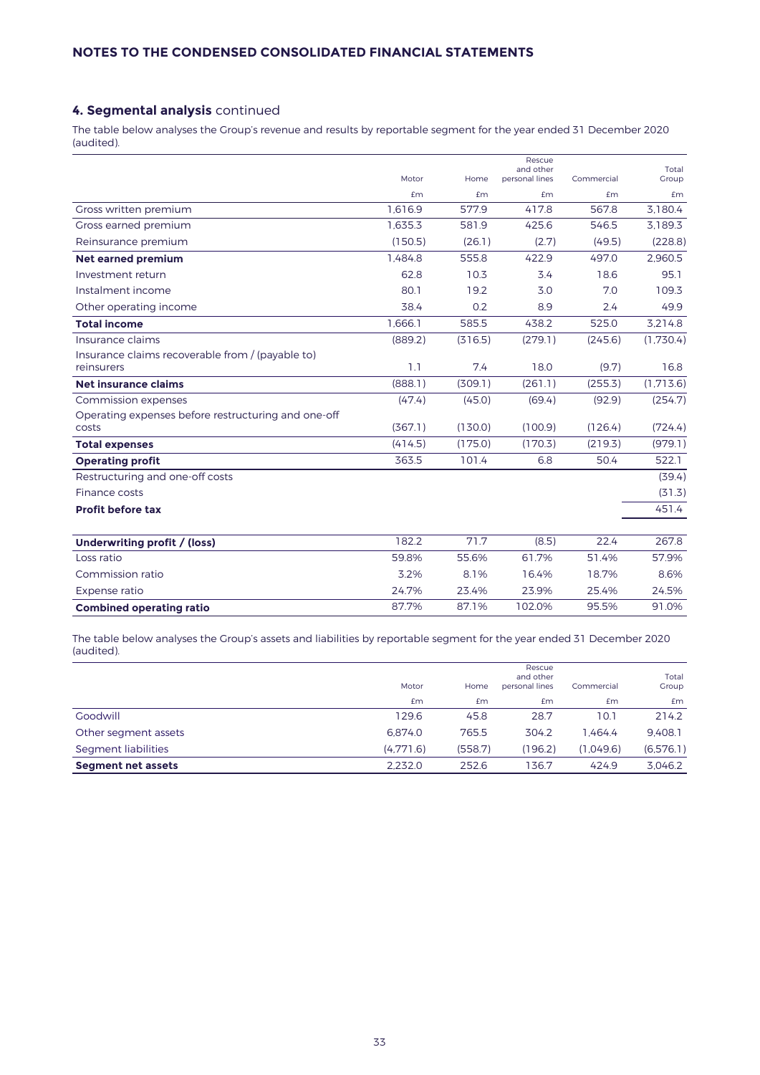# **4. Segmental analysis** continued

The table below analyses the Group's revenue and results by reportable segment for the year ended 31 December 2020 (audited).

|                                                     |         |         | Rescue<br>and other |            | Total     |
|-----------------------------------------------------|---------|---------|---------------------|------------|-----------|
|                                                     | Motor   | Home    | personal lines      | Commercial | Group     |
|                                                     | fm      | £m      | £m                  | £m         | £m        |
| Gross written premium                               | 1.616.9 | 577.9   | 417.8               | 567.8      | 3.180.4   |
| Gross earned premium                                | 1.635.3 | 581.9   | 425.6               | 546.5      | 3.189.3   |
| Reinsurance premium                                 | (150.5) | (26.1)  | (2.7)               | (49.5)     | (228.8)   |
| <b>Net earned premium</b>                           | 1.484.8 | 555.8   | 422.9               | 497.0      | 2.960.5   |
| Investment return                                   | 62.8    | 10.3    | 3.4                 | 18.6       | 95.1      |
| Instalment income                                   | 80.1    | 19.2    | 3.0                 | 7.0        | 109.3     |
| Other operating income                              | 38.4    | 0.2     | 8.9                 | 2.4        | 49.9      |
| <b>Total income</b>                                 | 1.666.1 | 585.5   | 438.2               | 525.0      | 3.214.8   |
| Insurance claims                                    | (889.2) | (316.5) | (279.1)             | (245.6)    | (1,730.4) |
| Insurance claims recoverable from / (payable to)    |         |         |                     |            |           |
| reinsurers                                          | 1.1     | 7.4     | 18.0                | (9.7)      | 16.8      |
| Net insurance claims                                | (888.1) | (309.1) | (261.1)             | (255.3)    | (1.713.6) |
| Commission expenses                                 | (47.4)  | (45.0)  | (69.4)              | (92.9)     | (254.7)   |
| Operating expenses before restructuring and one-off |         |         |                     |            |           |
| costs                                               | (367.1) | (130.0) | (100.9)             | (126.4)    | (724.4)   |
| <b>Total expenses</b>                               | (414.5) | (175.0) | (170.3)             | (219.3)    | (979.1)   |
| <b>Operating profit</b>                             | 363.5   | 101.4   | 6.8                 | 50.4       | 522.1     |
| Restructuring and one-off costs                     |         |         |                     |            | (39.4)    |
| Finance costs                                       |         |         |                     |            | (31.3)    |
| <b>Profit before tax</b>                            |         |         |                     |            | 451.4     |
|                                                     |         |         |                     |            |           |
| Underwriting profit / (loss)                        | 182.2   | 71.7    | (8.5)               | 22.4       | 267.8     |
| Loss ratio                                          | 59.8%   | 55.6%   | 61.7%               | 51.4%      | 57.9%     |
| Commission ratio                                    | 3.2%    | 8.1%    | 16.4%               | 18.7%      | 8.6%      |
| Expense ratio                                       | 24.7%   | 23.4%   | 23.9%               | 25.4%      | 24.5%     |
| <b>Combined operating ratio</b>                     | 87.7%   | 87.1%   | 102.0%              | 95.5%      | 91.0%     |
|                                                     |         |         |                     |            |           |

The table below analyses the Group's assets and liabilities by reportable segment for the year ended 31 December 2020 (audited).

|                           | Motor     | Home    | Rescue<br>and other<br>personal lines | Commercial | Total<br>Group |
|---------------------------|-----------|---------|---------------------------------------|------------|----------------|
|                           | <b>£m</b> | Em      | £m                                    | £m         | Em             |
| Goodwill                  | 129.6     | 45.8    | 28.7                                  | 10.1       | 214.2          |
| Other segment assets      | 6.874.0   | 765.5   | 304.2                                 | I.464.4    | 9.408.1        |
| Segment liabilities       | (4.771.6) | (558.7) | (196.2)                               | (1.049.6)  | (6,576.1)      |
| <b>Segment net assets</b> | 2,232.0   | 252.6   | 136.7                                 | 424.9      | 3,046.2        |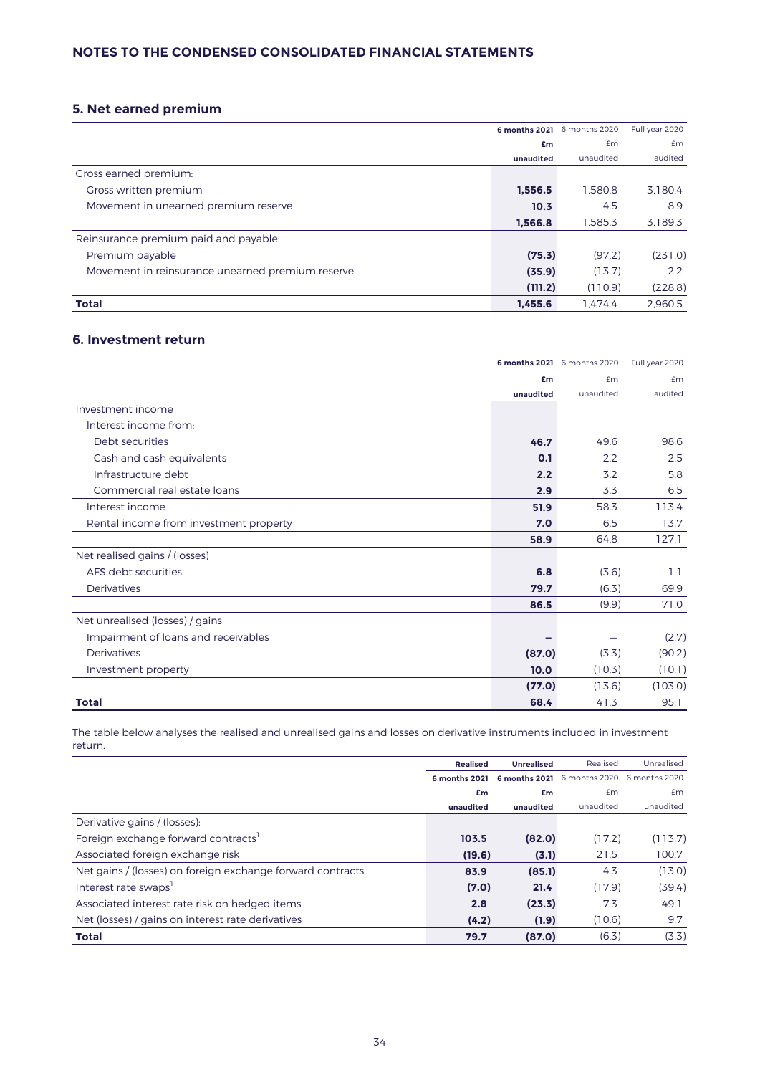# **5. Net earned premium**

|                                                  |           | 6 months 2021 6 months 2020 | Full year 2020 |
|--------------------------------------------------|-----------|-----------------------------|----------------|
|                                                  | £m        | £m                          | Em             |
|                                                  | unaudited | unaudited                   | audited        |
| Gross earned premium:                            |           |                             |                |
| Gross written premium                            | 1,556.5   | 1.580.8                     | 3,180.4        |
| Movement in unearned premium reserve             | 10.3      | 4.5                         | 8.9            |
|                                                  | 1.566.8   | 1.585.3                     | 3,189.3        |
| Reinsurance premium paid and payable.            |           |                             |                |
| Premium payable                                  | (75.3)    | (97.2)                      | (231.0)        |
| Movement in reinsurance unearned premium reserve | (35.9)    | (13.7)                      | 2.2            |
|                                                  | (111.2)   | (110.9)                     | (228.8)        |
| <b>Total</b>                                     | 1.455.6   | 1.474.4                     | 2.960.5        |

# **6. Investment return**

|                                        |           | 6 months 2021 6 months 2020 | Full year 2020 |
|----------------------------------------|-----------|-----------------------------|----------------|
|                                        | £m        | £m                          | £m             |
|                                        | unaudited | unaudited                   | audited        |
| Investment income                      |           |                             |                |
| Interest income from:                  |           |                             |                |
| Debt securities                        | 46.7      | 49.6                        | 98.6           |
| Cash and cash equivalents              | 0.1       | 2.2                         | 2.5            |
| Infrastructure debt                    | 2.2       | 3.2                         | 5.8            |
| Commercial real estate loans           | 2.9       | 3.3                         | 6.5            |
| Interest income                        | 51.9      | 58.3                        | 113.4          |
| Rental income from investment property | 7.0       | 6.5                         | 13.7           |
|                                        | 58.9      | 64.8                        | 127.1          |
| Net realised gains / (losses)          |           |                             |                |
| AFS debt securities                    | 6.8       | (3.6)                       | 1.1            |
| <b>Derivatives</b>                     | 79.7      | (6.3)                       | 69.9           |
|                                        | 86.5      | (9.9)                       | 71.0           |
| Net unrealised (losses) / gains        |           |                             |                |
| Impairment of loans and receivables    |           |                             | (2.7)          |
| Derivatives                            | (87.0)    | (3.3)                       | (90.2)         |
| Investment property                    | 10.0      | (10.3)                      | (10.1)         |
|                                        | (77.0)    | (13.6)                      | (103.0)        |
| <b>Total</b>                           | 68.4      | 41.3                        | 95.1           |

The table below analyses the realised and unrealised gains and losses on derivative instruments included in investment return.

|                                                            | <b>Realised</b>      | <b>Unrealised</b> | Realised      | Unrealised    |
|------------------------------------------------------------|----------------------|-------------------|---------------|---------------|
|                                                            | <b>6 months 2021</b> | 6 months 2021     | 6 months 2020 | 6 months 2020 |
|                                                            | £m                   | £m                | £m            | Em            |
|                                                            | unaudited            | unaudited         | unaudited     | unaudited     |
| Derivative gains / (losses):                               |                      |                   |               |               |
| Foreign exchange forward contracts                         | 103.5                | (82.0)            | (17.2)        | (113.7)       |
| Associated foreign exchange risk                           | (19.6)               | (3.1)             | 21.5          | 100.7         |
| Net gains / (losses) on foreign exchange forward contracts | 83.9                 | (85.1)            | 4.3           | (13.0)        |
| Interest rate swaps'                                       | (7.0)                | 21.4              | (17.9)        | (39.4)        |
| Associated interest rate risk on hedged items              | 2.8                  | (23.3)            | 7.3           | 49.1          |
| Net (losses) / gains on interest rate derivatives          | (4.2)                | (1.9)             | (10.6)        | 9.7           |
| <b>Total</b>                                               | 79.7                 | (87.0)            | (6.3)         | (3.3)         |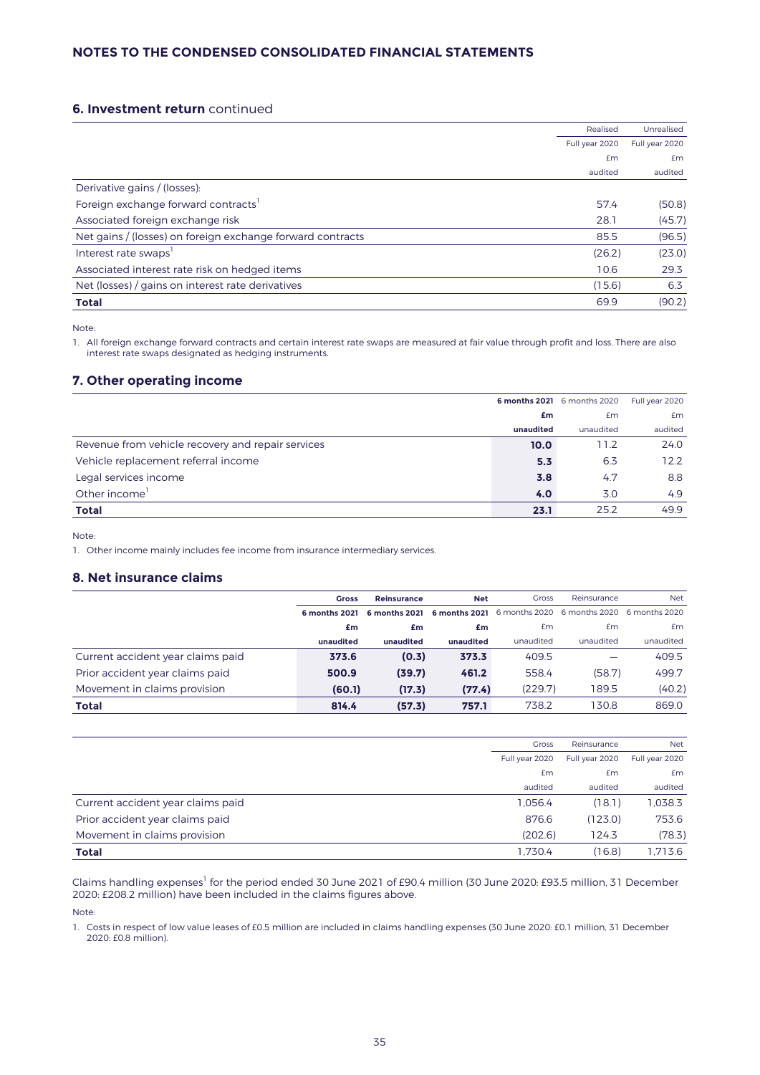# **6. Investment return** continued

|                                                            | Realised       | Unrealised     |
|------------------------------------------------------------|----------------|----------------|
|                                                            | Full year 2020 | Full year 2020 |
|                                                            | £m             | Em             |
|                                                            | audited        | audited        |
| Derivative gains / (losses):                               |                |                |
| Foreign exchange forward contracts                         | 57.4           | (50.8)         |
| Associated foreign exchange risk                           | 28.1           | (45.7)         |
| Net gains / (losses) on foreign exchange forward contracts | 85.5           | (96.5)         |
| Interest rate swaps'                                       | (26.2)         | (23.0)         |
| Associated interest rate risk on hedged items              | 10.6           | 29.3           |
| Net (losses) / gains on interest rate derivatives          | (15.6)         | 6.3            |
| <b>Total</b>                                               | 69.9           | (90.2)         |

Note:

1. All foreign exchange forward contracts and certain interest rate swaps are measured at fair value through profit and loss. There are also interest rate swaps designated as hedging instruments.

# **7. Other operating income**

|                                                   |           | 6 months 2021 6 months 2020 | Full year 2020 |
|---------------------------------------------------|-----------|-----------------------------|----------------|
|                                                   | £m        | £m                          | <b>£m</b>      |
|                                                   | unaudited | unaudited                   | audited        |
| Revenue from vehicle recovery and repair services | 10.0      | 11.2                        | 24.0           |
| Vehicle replacement referral income               | 5.3       | 6.3                         | 12.2           |
| Legal services income                             | 3.8       | 4.7                         | 8.8            |
| Other income <sup>1</sup>                         | 4.0       | 3.0                         | 4.9            |
| <b>Total</b>                                      | 23.1      | 25.2                        | 49.9           |

Note:

1. Other income mainly includes fee income from insurance intermediary services.

## **8. Net insurance claims**

|                                   | <b>Gross</b>  | Reinsurance   | <b>Net</b> | <b>Gross</b> | Reinsurance                                                    | <b>Net</b> |
|-----------------------------------|---------------|---------------|------------|--------------|----------------------------------------------------------------|------------|
|                                   | 6 months 2021 | 6 months 2021 |            |              | <b>6 months 2021</b> 6 months 2020 6 months 2020 6 months 2020 |            |
|                                   | £m            | £m            | £m         | £m           | £m                                                             | £m         |
|                                   | unaudited     | unaudited     | unaudited  | unaudited    | unaudited                                                      | unaudited  |
| Current accident year claims paid | 373.6         | (0.3)         | 373.3      | 409.5        |                                                                | 409.5      |
| Prior accident year claims paid   | 500.9         | (39.7)        | 461.2      | 558.4        | (58.7)                                                         | 499.7      |
| Movement in claims provision      | (60.1)        | (17.3)        | (77.4)     | (229.7)      | 189.5                                                          | (40.2)     |
| Total                             | 814.4         | (57.3)        | 757.1      | 738.2        | 130.8                                                          | 869.0      |

|                                   | <b>Gross</b>   | Reinsurance    | <b>Net</b>     |
|-----------------------------------|----------------|----------------|----------------|
|                                   | Full year 2020 | Full year 2020 | Full year 2020 |
|                                   | Em             | £m             | Em             |
|                                   | audited        | audited        | audited        |
| Current accident year claims paid | 1.056.4        | (18.1)         | 1.038.3        |
| Prior accident year claims paid   | 876.6          | (123.0)        | 753.6          |
| Movement in claims provision      | (202.6)        | 124.3          | (78.3)         |
| Total                             | 1.730.4        | (16.8)         | 1.713.6        |

Claims handling expenses<sup>1</sup> for the period ended 30 June 2021 of £90.4 million (30 June 2020: £93.5 million, 31 December 2020: £208.2 million) have been included in the claims figures above.

Note:

1. Costs in respect of low value leases of £0.5 million are included in claims handling expenses (30 June 2020: £0.1 million, 31 December 2020: £0.8 million).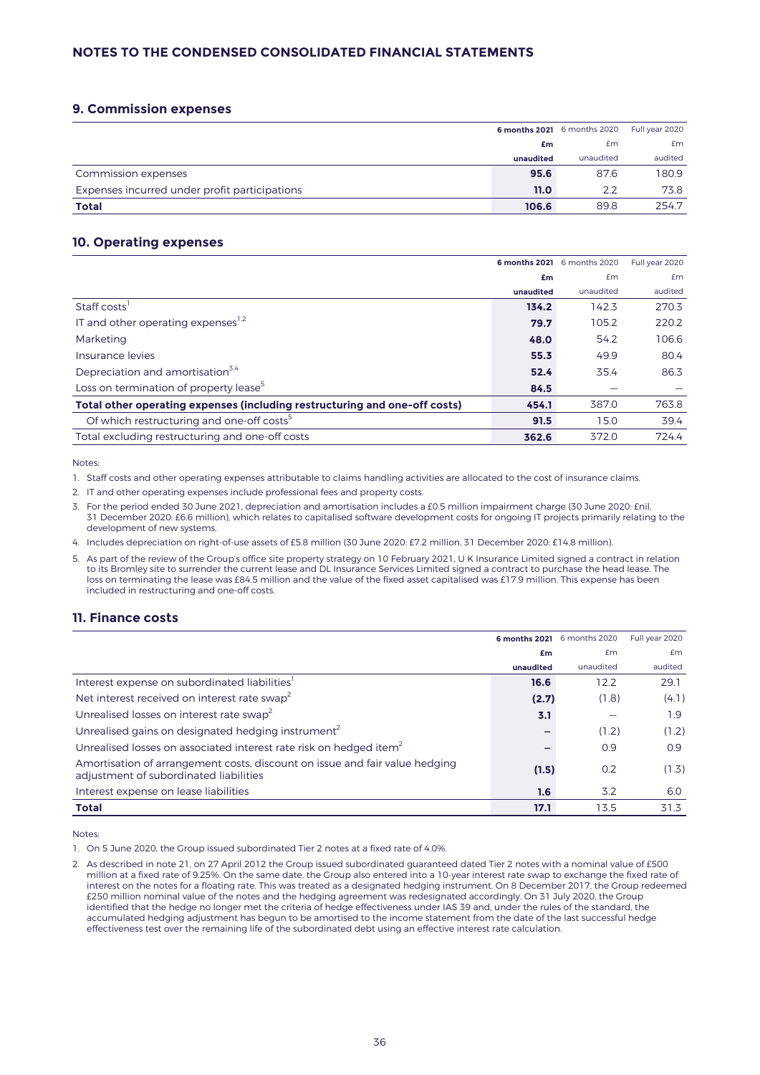# **9. Commission expenses**

|                                               |           | 6 months 2021 6 months 2020 | Full year 2020 |
|-----------------------------------------------|-----------|-----------------------------|----------------|
|                                               | £m        | £m                          | £m             |
|                                               | unaudited | unaudited                   | audited        |
| Commission expenses                           | 95.6      | 87.6                        | 180.9          |
| Expenses incurred under profit participations | 11.0      | 2.2                         | 73.8           |
| <b>Total</b>                                  | 106.6     | 89.8                        | 254.7          |

## **10. Operating expenses**

|                                                                            |           | 6 months 2021 6 months 2020 | Full year 2020 |
|----------------------------------------------------------------------------|-----------|-----------------------------|----------------|
|                                                                            | £m        | Em                          | Em             |
|                                                                            | unaudited | unaudited                   | audited        |
| Staff costs <sup>1</sup>                                                   | 134.2     | 142.3                       | 270.3          |
| IT and other operating expenses <sup>1,2</sup>                             | 79.7      | 105.2                       | 220.2          |
| Marketing                                                                  | 48.0      | 54.2                        | 106.6          |
| Insurance levies                                                           | 55.3      | 49.9                        | 80.4           |
| Depreciation and amortisation <sup>3,4</sup>                               | 52.4      | 35.4                        | 86.3           |
| Loss on termination of property lease <sup>5</sup>                         | 84.5      |                             |                |
| Total other operating expenses (including restructuring and one-off costs) | 454.1     | 387.0                       | 763.8          |
| Of which restructuring and one-off costs <sup>5</sup>                      | 91.5      | 15.0                        | 39.4           |
| Total excluding restructuring and one-off costs                            | 362.6     | 372.0                       | 724.4          |

Notes:

1. Staff costs and other operating expenses attributable to claims handling activities are allocated to the cost of insurance claims.

2. IT and other operating expenses include professional fees and property costs.

3. For the period ended 30 June 2021, depreciation and amortisation includes a £0.5 million impairment charge (30 June 2020: £nil, 31 December 2020: £6.6 million), which relates to capitalised software development costs for ongoing IT projects primarily relating to the development of new systems.

4. Includes depreciation on right-of-use assets of £5.8 million (30 June 2020: £7.2 million, 31 December 2020: £14.8 million).

5. As part of the review of the Group's office site property strategy on 10 February 2021, U K Insurance Limited signed a contract in relation to its Bromley site to surrender the current lease and DL Insurance Services Limited signed a contract to purchase the head lease. The loss on terminating the lease was £84.5 million and the value of the fixed asset capitalised was £17.9 million. This expense has been included in restructuring and one-off costs.

# **11. Finance costs**

|                                                                                                                       |           | 6 months 2021 6 months 2020 | Full year 2020 |
|-----------------------------------------------------------------------------------------------------------------------|-----------|-----------------------------|----------------|
|                                                                                                                       | £m        | Em                          | £m             |
|                                                                                                                       | unaudited | unaudited                   | audited        |
| Interest expense on subordinated liabilities <sup>1</sup>                                                             | 16.6      | 12.2                        | 29.1           |
| Net interest received on interest rate swap <sup>2</sup>                                                              | (2.7)     | (1.8)                       | (4.1)          |
| Unrealised losses on interest rate swap <sup>2</sup>                                                                  | 3.1       |                             | 1.9            |
| Unrealised gains on designated hedging instrument <sup>2</sup>                                                        |           | (1.2)                       | (1.2)          |
| Unrealised losses on associated interest rate risk on hedged item <sup>2</sup>                                        |           | 0.9                         | 0.9            |
| Amortisation of arrangement costs, discount on issue and fair value hedging<br>adjustment of subordinated liabilities | (1.5)     | 0.2                         | (1.3)          |
| Interest expense on lease liabilities                                                                                 | 1.6       | 3.2                         | 6.0            |
| <b>Total</b>                                                                                                          | 17.1      | 13.5                        | 31.3           |

Notes:

1. On 5 June 2020, the Group issued subordinated Tier 2 notes at a fixed rate of 4.0%.

2. As described in note 21, on 27 April 2012 the Group issued subordinated guaranteed dated Tier 2 notes with a nominal value of £500 million at a fixed rate of 9.25%. On the same date, the Group also entered into a 10-year interest rate swap to exchange the fixed rate of interest on the notes for a floating rate. This was treated as a designated hedging instrument. On 8 December 2017, the Group redeemed £250 million nominal value of the notes and the hedging agreement was redesignated accordingly. On 31 July 2020, the Group identified that the hedge no longer met the criteria of hedge effectiveness under IAS 39 and, under the rules of the standard, the accumulated hedging adjustment has begun to be amortised to the income statement from the date of the last successful hedge effectiveness test over the remaining life of the subordinated debt using an effective interest rate calculation.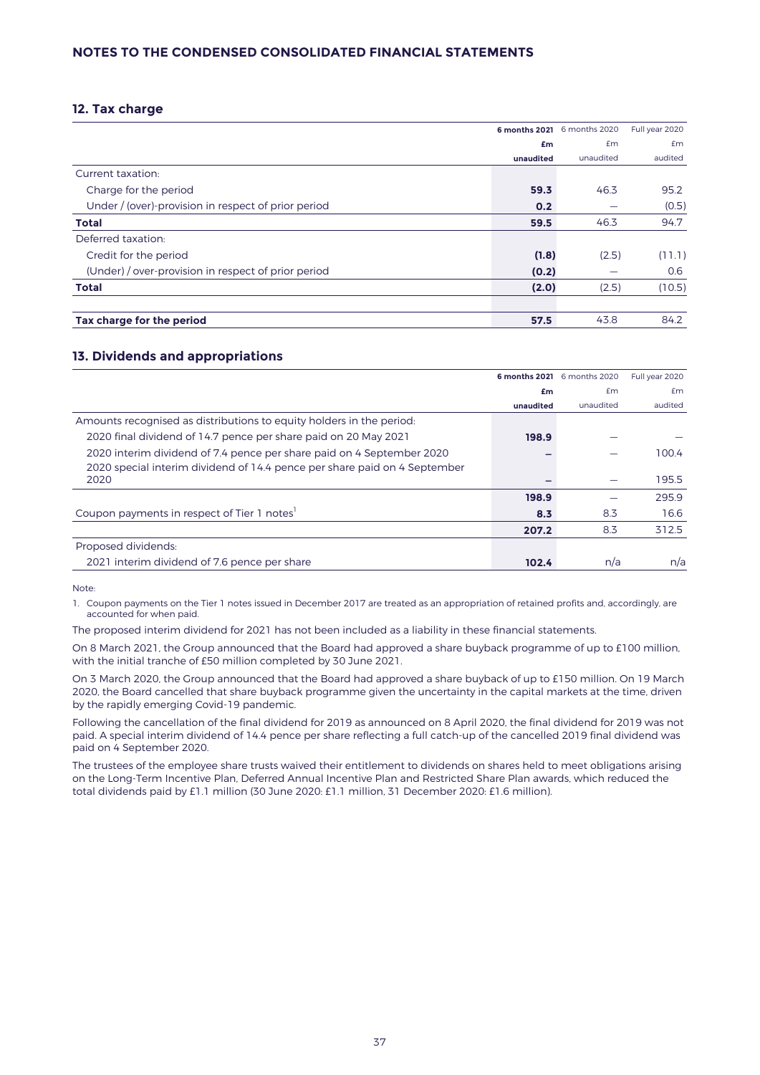# **12. Tax charge**

|                                                     |           | 6 months 2021 6 months 2020 | Full year 2020 |
|-----------------------------------------------------|-----------|-----------------------------|----------------|
|                                                     | £m        | <b>£m</b>                   | Em             |
|                                                     | unaudited | unaudited                   | audited        |
| Current taxation:                                   |           |                             |                |
| Charge for the period                               | 59.3      | 46.3                        | 95.2           |
| Under / (over)-provision in respect of prior period | 0.2       |                             | (0.5)          |
| <b>Total</b>                                        | 59.5      | 46.3                        | 94.7           |
| Deferred taxation:                                  |           |                             |                |
| Credit for the period                               | (1.8)     | (2.5)                       | (11.1)         |
| (Under) / over-provision in respect of prior period | (0.2)     |                             | 0.6            |
| <b>Total</b>                                        | (2.0)     | (2.5)                       | (10.5)         |
| Tax charge for the period                           | 57.5      | 43.8                        | 84.2           |

# **13. Dividends and appropriations**

|                                                                           |           | 6 months 2021 6 months 2020 | Full year 2020 |
|---------------------------------------------------------------------------|-----------|-----------------------------|----------------|
|                                                                           | £m        | £m                          | £m             |
|                                                                           | unaudited | unaudited                   | audited        |
| Amounts recognised as distributions to equity holders in the period.      |           |                             |                |
| 2020 final dividend of 14.7 pence per share paid on 20 May 2021           | 198.9     |                             |                |
| 2020 interim dividend of 7.4 pence per share paid on 4 September 2020     |           |                             | 100.4          |
| 2020 special interim dividend of 14.4 pence per share paid on 4 September |           |                             |                |
| 2020                                                                      |           |                             | 195.5          |
|                                                                           | 198.9     |                             | 295.9          |
| Coupon payments in respect of Tier 1 notes                                | 8.3       | 8.3                         | 16.6           |
|                                                                           | 207.2     | 8.3                         | 312.5          |
| Proposed dividends:                                                       |           |                             |                |
| 2021 interim dividend of 7.6 pence per share                              | 102.4     | n/a                         | n/a            |

Note:

1. Coupon payments on the Tier 1 notes issued in December 2017 are treated as an appropriation of retained profits and, accordingly, are accounted for when paid.

The proposed interim dividend for 2021 has not been included as a liability in these financial statements.

On 8 March 2021, the Group announced that the Board had approved a share buyback programme of up to £100 million, with the initial tranche of £50 million completed by 30 June 2021.

On 3 March 2020, the Group announced that the Board had approved a share buyback of up to £150 million. On 19 March 2020, the Board cancelled that share buyback programme given the uncertainty in the capital markets at the time, driven by the rapidly emerging Covid-19 pandemic.

Following the cancellation of the final dividend for 2019 as announced on 8 April 2020, the final dividend for 2019 was not paid. A special interim dividend of 14.4 pence per share reflecting a full catch-up of the cancelled 2019 final dividend was paid on 4 September 2020.

The trustees of the employee share trusts waived their entitlement to dividends on shares held to meet obligations arising on the Long-Term Incentive Plan, Deferred Annual Incentive Plan and Restricted Share Plan awards, which reduced the total dividends paid by £1.1 million (30 June 2020: £1.1 million, 31 December 2020: £1.6 million).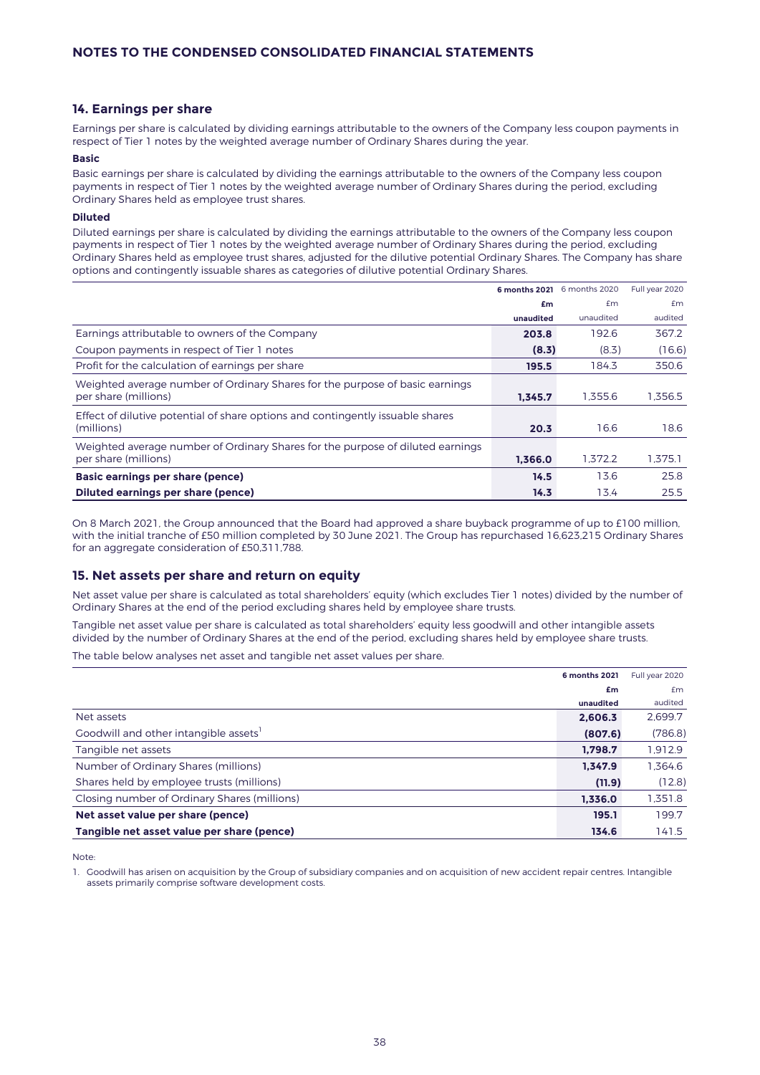# **14. Earnings per share**

Earnings per share is calculated by dividing earnings attributable to the owners of the Company less coupon payments in respect of Tier 1 notes by the weighted average number of Ordinary Shares during the year.

### **Basic**

Basic earnings per share is calculated by dividing the earnings attributable to the owners of the Company less coupon payments in respect of Tier 1 notes by the weighted average number of Ordinary Shares during the period, excluding Ordinary Shares held as employee trust shares.

### **Diluted**

Diluted earnings per share is calculated by dividing the earnings attributable to the owners of the Company less coupon payments in respect of Tier 1 notes by the weighted average number of Ordinary Shares during the period, excluding Ordinary Shares held as employee trust shares, adjusted for the dilutive potential Ordinary Shares. The Company has share options and contingently issuable shares as categories of dilutive potential Ordinary Shares.

|                                                                                                        |           | 6 months 2021 6 months 2020 | Full year 2020 |
|--------------------------------------------------------------------------------------------------------|-----------|-----------------------------|----------------|
|                                                                                                        | £m        | fm                          | Em             |
|                                                                                                        | unaudited | unaudited                   | audited        |
| Earnings attributable to owners of the Company                                                         | 203.8     | 192.6                       | 367.2          |
| Coupon payments in respect of Tier 1 notes                                                             | (8.3)     | (8.3)                       | (16.6)         |
| Profit for the calculation of earnings per share                                                       | 195.5     | 184.3                       | 350.6          |
| Weighted average number of Ordinary Shares for the purpose of basic earnings<br>per share (millions)   | 1.345.7   | 1.355.6                     | 1.356.5        |
| Effect of dilutive potential of share options and contingently issuable shares<br>(millions)           | 20.3      | 16.6                        | 18.6           |
| Weighted average number of Ordinary Shares for the purpose of diluted earnings<br>per share (millions) | 1.366.0   | 1.372.2                     | 1.375.1        |
| Basic earnings per share (pence)                                                                       | 14.5      | 13.6                        | 25.8           |
| Diluted earnings per share (pence)                                                                     | 14.3      | 13.4                        | 25.5           |

On 8 March 2021, the Group announced that the Board had approved a share buyback programme of up to £100 million, with the initial tranche of £50 million completed by 30 June 2021. The Group has repurchased 16,623,215 Ordinary Shares for an aggregate consideration of £50,311,788.

## **15. Net assets per share and return on equity**

Net asset value per share is calculated as total shareholders' equity (which excludes Tier 1 notes) divided by the number of Ordinary Shares at the end of the period excluding shares held by employee share trusts.

Tangible net asset value per share is calculated as total shareholders' equity less goodwill and other intangible assets divided by the number of Ordinary Shares at the end of the period, excluding shares held by employee share trusts.

The table below analyses net asset and tangible net asset values per share.

|                                                   | <b>6 months 2021</b> | Full year 2020 |
|---------------------------------------------------|----------------------|----------------|
|                                                   | £m                   | £m             |
|                                                   | unaudited            | audited        |
| Net assets                                        | 2.606.3              | 2,699.7        |
| Goodwill and other intangible assets <sup>1</sup> | (807.6)              | (786.8)        |
| Tangible net assets                               | 1.798.7              | 1,912.9        |
| Number of Ordinary Shares (millions)              | 1.347.9              | 1.364.6        |
| Shares held by employee trusts (millions)         | (11.9)               | (12.8)         |
| Closing number of Ordinary Shares (millions)      | 1.336.0              | 1,351.8        |
| Net asset value per share (pence)                 | 195.1                | 199.7          |
| Tangible net asset value per share (pence)        | 134.6                | 141.5          |

Note:

1. Goodwill has arisen on acquisition by the Group of subsidiary companies and on acquisition of new accident repair centres. Intangible assets primarily comprise software development costs.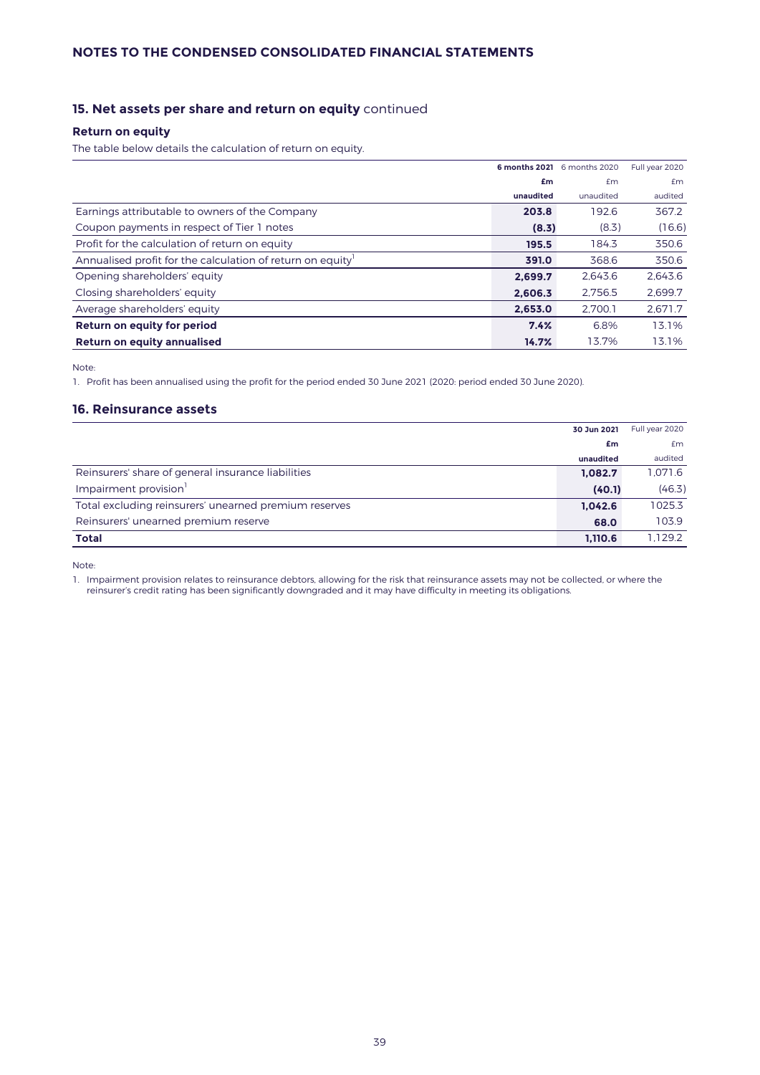# **15. Net assets per share and return on equity** continued

## **Return on equity**

The table below details the calculation of return on equity.

|                                                           |           | 6 months 2021 6 months 2020 | Full year 2020 |
|-----------------------------------------------------------|-----------|-----------------------------|----------------|
|                                                           | £m        | £m                          | Em             |
|                                                           | unaudited | unaudited                   | audited        |
| Earnings attributable to owners of the Company            | 203.8     | 192.6                       | 367.2          |
| Coupon payments in respect of Tier 1 notes                | (8.3)     | (8.3)                       | (16.6)         |
| Profit for the calculation of return on equity            | 195.5     | 184.3                       | 350.6          |
| Annualised profit for the calculation of return on equity | 391.0     | 368.6                       | 350.6          |
| Opening shareholders' equity                              | 2.699.7   | 2.643.6                     | 2,643.6        |
| Closing shareholders' equity                              | 2.606.3   | 2.756.5                     | 2,699.7        |
| Average shareholders' equity                              | 2.653.0   | 2.700.1                     | 2.671.7        |
| Return on equity for period                               | 7.4%      | 6.8%                        | 13.1%          |
| Return on equity annualised                               | 14.7%     | 13.7%                       | 13.1%          |

Note:

1. Profit has been annualised using the profit for the period ended 30 June 2021 (2020: period ended 30 June 2020).

## **16. Reinsurance assets**

|                                                       | 30 Jun 2021 | Full year 2020 |
|-------------------------------------------------------|-------------|----------------|
|                                                       | £m          | Em             |
|                                                       | unaudited   | audited        |
| Reinsurers' share of general insurance liabilities    | 1.082.7     | 1.071.6        |
| Impairment provision <sup>1</sup>                     | (40.1)      | (46.3)         |
| Total excluding reinsurers' unearned premium reserves | 1,042.6     | 1025.3         |
| Reinsurers' unearned premium reserve                  | 68.0        | 103.9          |
| <b>Total</b>                                          | 1.110.6     | 1.129.2        |

Note:

1. Impairment provision relates to reinsurance debtors, allowing for the risk that reinsurance assets may not be collected, or where the reinsurer's credit rating has been significantly downgraded and it may have difficulty in meeting its obligations.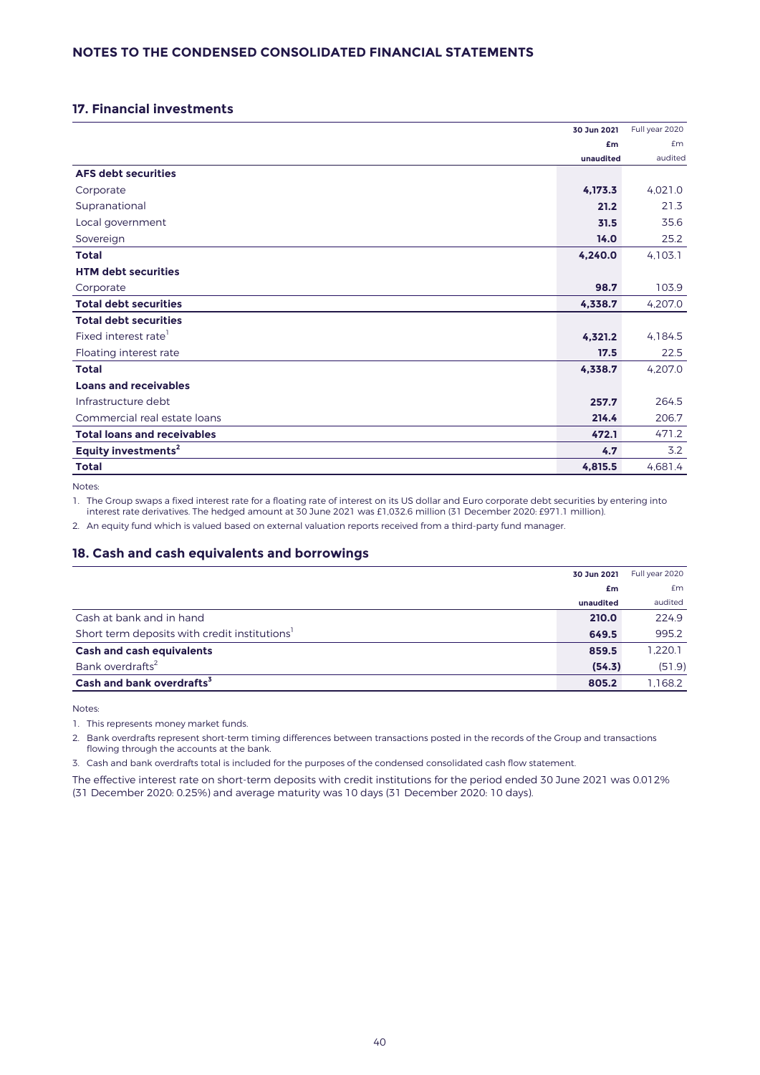# **17. Financial investments**

|                                    | 30 Jun 2021 | Full year 2020 |
|------------------------------------|-------------|----------------|
|                                    | £m          | £m             |
|                                    | unaudited   | audited        |
| <b>AFS debt securities</b>         |             |                |
| Corporate                          | 4,173.3     | 4,021.0        |
| Supranational                      | 21.2        | 21.3           |
| Local government                   | 31.5        | 35.6           |
| Sovereign                          | 14.0        | 25.2           |
| <b>Total</b>                       | 4,240.0     | 4,103.1        |
| <b>HTM debt securities</b>         |             |                |
| Corporate                          | 98.7        | 103.9          |
| <b>Total debt securities</b>       | 4.338.7     | 4,207.0        |
| <b>Total debt securities</b>       |             |                |
| Fixed interest rate <sup>1</sup>   | 4,321.2     | 4,184.5        |
| Floating interest rate             | 17.5        | 22.5           |
| <b>Total</b>                       | 4,338.7     | 4,207.0        |
| <b>Loans and receivables</b>       |             |                |
| Infrastructure debt                | 257.7       | 264.5          |
| Commercial real estate loans       | 214.4       | 206.7          |
| <b>Total loans and receivables</b> | 472.1       | 471.2          |
| Equity investments <sup>2</sup>    | 4.7         | 3.2            |
| <b>Total</b>                       | 4,815.5     | 4,681.4        |

Notes:

1. The Group swaps a fixed interest rate for a floating rate of interest on its US dollar and Euro corporate debt securities by entering into interest rate derivatives. The hedged amount at 30 June 2021 was £1,032.6 million (31 December 2020: £971.1 million).

2. An equity fund which is valued based on external valuation reports received from a third-party fund manager.

# **18. Cash and cash equivalents and borrowings**

|                                                           | 30 Jun 2021 | Full year 2020 |
|-----------------------------------------------------------|-------------|----------------|
|                                                           | £m          | <b>£m</b>      |
|                                                           | unaudited   | audited        |
| Cash at bank and in hand                                  | 210.0       | 224.9          |
| Short term deposits with credit institutions <sup>1</sup> | 649.5       | 995.2          |
| <b>Cash and cash equivalents</b>                          | 859.5       | 1.220.1        |
| Bank overdrafts <sup>2</sup>                              | (54.3)      | (51.9)         |
| Cash and bank overdrafts <sup>3</sup>                     | 805.2       | 1,168.2        |

Notes:

1. This represents money market funds.

2. Bank overdrafts represent short-term timing differences between transactions posted in the records of the Group and transactions flowing through the accounts at the bank.

3. Cash and bank overdrafts total is included for the purposes of the condensed consolidated cash flow statement.

The effective interest rate on short-term deposits with credit institutions for the period ended 30 June 2021 was 0.012% (31 December 2020: 0.25%) and average maturity was 10 days (31 December 2020: 10 days).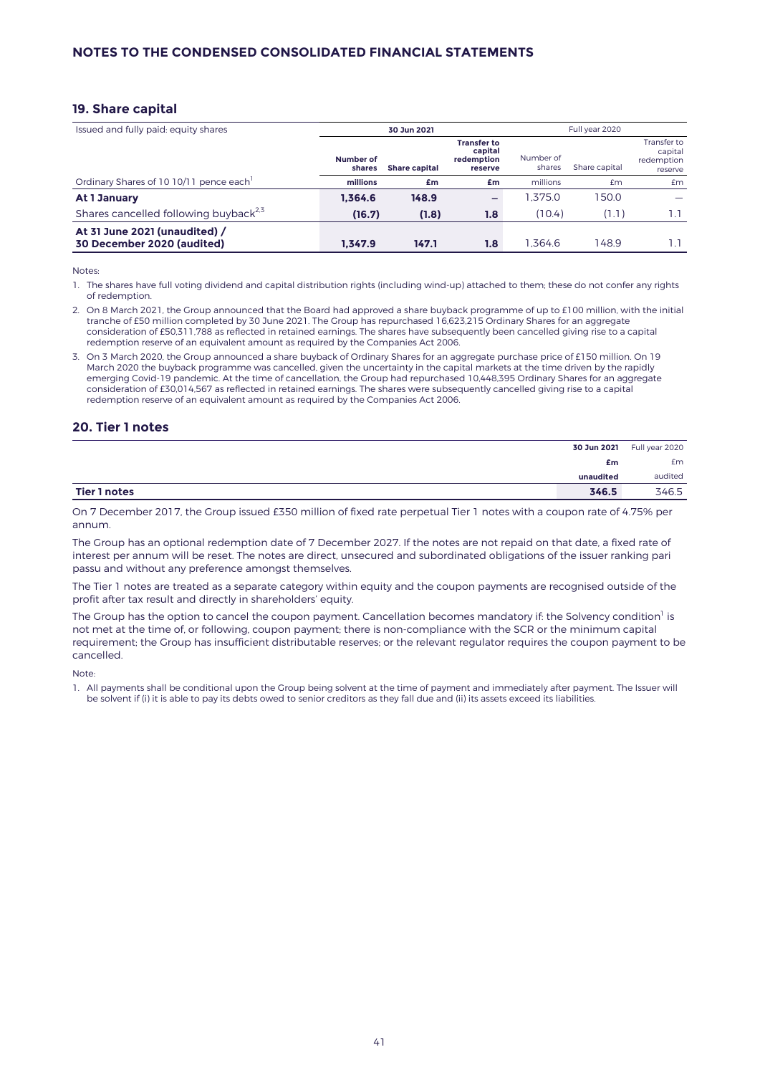## **19. Share capital**

| Issued and fully paid: equity shares                        |                     | 30 Jun 2021          |                                                        |                     | Full year 2020 |                                                 |
|-------------------------------------------------------------|---------------------|----------------------|--------------------------------------------------------|---------------------|----------------|-------------------------------------------------|
|                                                             | Number of<br>shares | <b>Share capital</b> | <b>Transfer to</b><br>capital<br>redemption<br>reserve | Number of<br>shares | Share capital  | Transfer to<br>capital<br>redemption<br>reserve |
| Ordinary Shares of 10 10/11 pence each                      | millions            | £m                   | £m                                                     | millions            | £m             | £m                                              |
| At 1 January                                                | 1.364.6             | 148.9                | -                                                      | .375.0              | 50.0           |                                                 |
| Shares cancelled following buyback <sup>2,5</sup>           | (16.7)              | (1.8)                | 1.8                                                    | (10.4)              | (1.1)          | 1.1                                             |
| At 31 June 2021 (unaudited) /<br>30 December 2020 (audited) | 1.347.9             | 147.1                | 1.8                                                    | .364.6              | 148.9          | 1.1                                             |

Notes:

- 1. The shares have full voting dividend and capital distribution rights (including wind-up) attached to them; these do not confer any rights of redemption.
- 2. On 8 March 2021, the Group announced that the Board had approved a share buyback programme of up to £100 million, with the initial tranche of £50 million completed by 30 June 2021. The Group has repurchased 16,623,215 Ordinary Shares for an aggregate consideration of £50,311,788 as reflected in retained earnings. The shares have subsequently been cancelled giving rise to a capital redemption reserve of an equivalent amount as required by the Companies Act 2006.
- 3. On 3 March 2020, the Group announced a share buyback of Ordinary Shares for an aggregate purchase price of £150 million. On 19 March 2020 the buyback programme was cancelled, given the uncertainty in the capital markets at the time driven by the rapidly emerging Covid-19 pandemic. At the time of cancellation, the Group had repurchased 10,448,395 Ordinary Shares for an aggregate consideration of £30,014,567 as reflected in retained earnings. The shares were subsequently cancelled giving rise to a capital redemption reserve of an equivalent amount as required by the Companies Act 2006.

# **20. Tier 1 notes**

| 30 Jun 2021           | Full year 2020 |
|-----------------------|----------------|
| £m                    | £m             |
| unaudited             | audited        |
| Tier 1 notes<br>346.5 | 346.5          |

On 7 December 2017, the Group issued £350 million of fixed rate perpetual Tier 1 notes with a coupon rate of 4.75% per annum.

The Group has an optional redemption date of 7 December 2027. If the notes are not repaid on that date, a fixed rate of interest per annum will be reset. The notes are direct, unsecured and subordinated obligations of the issuer ranking pari passu and without any preference amongst themselves.

The Tier 1 notes are treated as a separate category within equity and the coupon payments are recognised outside of the profit after tax result and directly in shareholders' equity.

The Group has the option to cancel the coupon payment. Cancellation becomes mandatory if: the Solvency condition<sup>1</sup> is not met at the time of, or following, coupon payment; there is non-compliance with the SCR or the minimum capital requirement; the Group has insufficient distributable reserves; or the relevant regulator requires the coupon payment to be cancelled.

Note:

1. All payments shall be conditional upon the Group being solvent at the time of payment and immediately after payment. The Issuer will be solvent if (i) it is able to pay its debts owed to senior creditors as they fall due and (ii) its assets exceed its liabilities.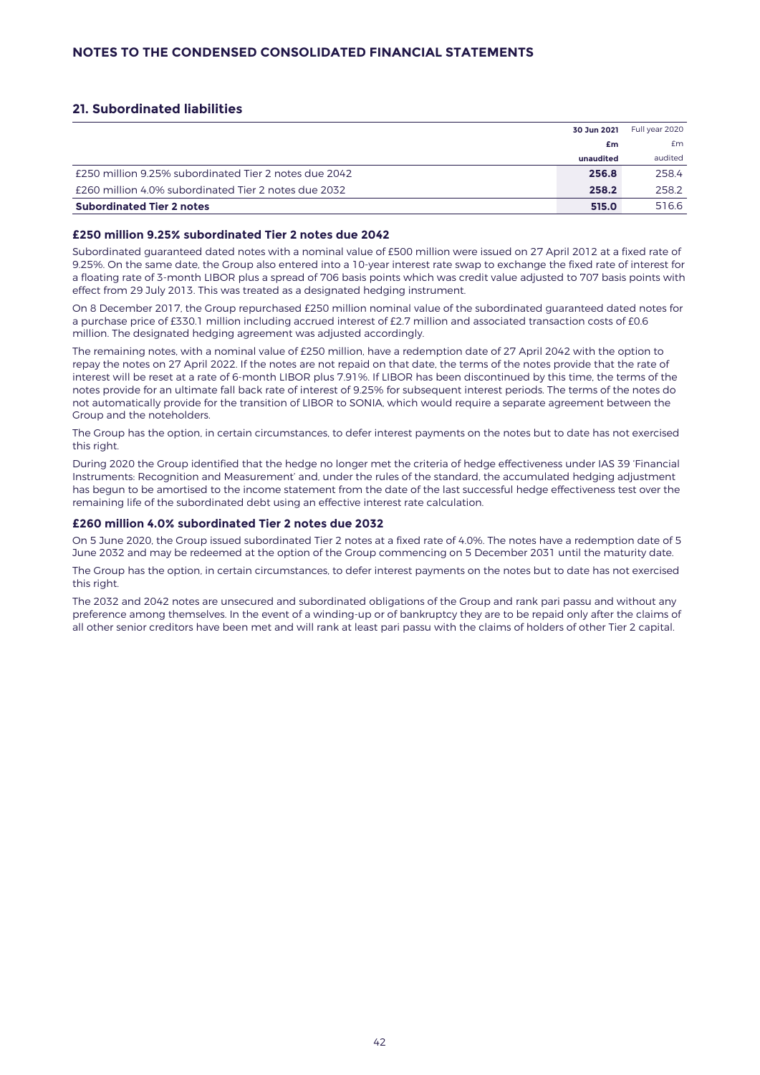# **21. Subordinated liabilities**

|                                                       | 30 Jun 2021 | Full year 2020 |
|-------------------------------------------------------|-------------|----------------|
|                                                       | £m          | £m             |
|                                                       | unaudited   | audited        |
| £250 million 9.25% subordinated Tier 2 notes due 2042 | 256.8       | 258.4          |
| £260 million 4.0% subordinated Tier 2 notes due 2032  | 258.2       | 258.2          |
| <b>Subordinated Tier 2 notes</b>                      | 515.0       | 516.6          |

## **£250 million 9.25% subordinated Tier 2 notes due 2042**

Subordinated guaranteed dated notes with a nominal value of £500 million were issued on 27 April 2012 at a fixed rate of 9.25%. On the same date, the Group also entered into a 10-year interest rate swap to exchange the fixed rate of interest for a floating rate of 3-month LIBOR plus a spread of 706 basis points which was credit value adjusted to 707 basis points with effect from 29 July 2013. This was treated as a designated hedging instrument.

On 8 December 2017, the Group repurchased £250 million nominal value of the subordinated guaranteed dated notes for a purchase price of £330.1 million including accrued interest of £2.7 million and associated transaction costs of £0.6 million. The designated hedging agreement was adjusted accordingly.

The remaining notes, with a nominal value of £250 million, have a redemption date of 27 April 2042 with the option to repay the notes on 27 April 2022. If the notes are not repaid on that date, the terms of the notes provide that the rate of interest will be reset at a rate of 6-month LIBOR plus 7.91%. If LIBOR has been discontinued by this time, the terms of the notes provide for an ultimate fall back rate of interest of 9.25% for subsequent interest periods. The terms of the notes do not automatically provide for the transition of LIBOR to SONIA, which would require a separate agreement between the Group and the noteholders.

The Group has the option, in certain circumstances, to defer interest payments on the notes but to date has not exercised this right.

During 2020 the Group identified that the hedge no longer met the criteria of hedge effectiveness under IAS 39 'Financial Instruments: Recognition and Measurement' and, under the rules of the standard, the accumulated hedging adjustment has begun to be amortised to the income statement from the date of the last successful hedge effectiveness test over the remaining life of the subordinated debt using an effective interest rate calculation.

## **£260 million 4.0% subordinated Tier 2 notes due 2032**

On 5 June 2020, the Group issued subordinated Tier 2 notes at a fixed rate of 4.0%. The notes have a redemption date of 5 June 2032 and may be redeemed at the option of the Group commencing on 5 December 2031 until the maturity date.

The Group has the option, in certain circumstances, to defer interest payments on the notes but to date has not exercised this right.

The 2032 and 2042 notes are unsecured and subordinated obligations of the Group and rank pari passu and without any preference among themselves. In the event of a winding-up or of bankruptcy they are to be repaid only after the claims of all other senior creditors have been met and will rank at least pari passu with the claims of holders of other Tier 2 capital.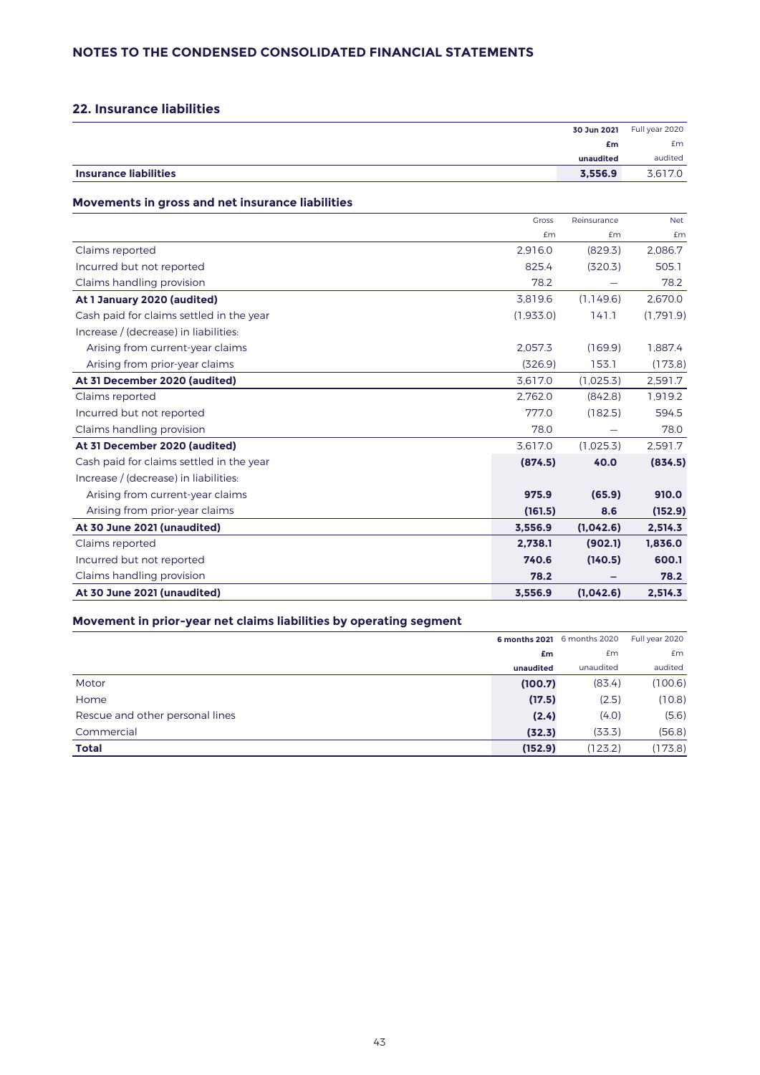# **22. Insurance liabilities**

| 30 Jun 2021                             | Full year 2020 |
|-----------------------------------------|----------------|
| £m                                      | £m             |
| unaudited                               | audited        |
| 3.556.9<br><b>Insurance liabilities</b> | 3,617.0        |

## **Movements in gross and net insurance liabilities**

|                                          | <b>Gross</b> | Reinsurance | <b>Net</b> |
|------------------------------------------|--------------|-------------|------------|
|                                          | £m           | £m          | £m         |
| Claims reported                          | 2,916.0      | (829.3)     | 2,086.7    |
| Incurred but not reported                | 825.4        | (320.3)     | 505.1      |
| Claims handling provision                | 78.2         |             | 78.2       |
| At 1 January 2020 (audited)              | 3,819.6      | (1.149.6)   | 2,670.0    |
| Cash paid for claims settled in the year | (1,933.0)    | 141.1       | (1.791.9)  |
| Increase / (decrease) in liabilities:    |              |             |            |
| Arising from current-year claims         | 2.057.3      | (169.9)     | 1.887.4    |
| Arising from prior-year claims           | (326.9)      | 153.1       | (173.8)    |
| At 31 December 2020 (audited)            | 3,617.0      | (1,025.3)   | 2,591.7    |
| Claims reported                          | 2.762.0      | (842.8)     | 1.919.2    |
| Incurred but not reported                | 777.0        | (182.5)     | 594.5      |
| Claims handling provision                | 78.0         |             | 78.0       |
| At 31 December 2020 (audited)            | 3.617.0      | (1.025.3)   | 2,591.7    |
| Cash paid for claims settled in the year | (874.5)      | 40.0        | (834.5)    |
| Increase / (decrease) in liabilities:    |              |             |            |
| Arising from current-year claims         | 975.9        | (65.9)      | 910.0      |
| Arising from prior-year claims           | (161.5)      | 8.6         | (152.9)    |
| At 30 June 2021 (unaudited)              | 3.556.9      | (1,042.6)   | 2,514.3    |
| Claims reported                          | 2.738.1      | (902.1)     | 1.836.0    |
| Incurred but not reported                | 740.6        | (140.5)     | 600.1      |
| Claims handling provision                | 78.2         |             | 78.2       |
| At 30 June 2021 (unaudited)              | 3.556.9      | (1,042.6)   | 2,514.3    |

# **Movement in prior-year net claims liabilities by operating segment**

|                                 |           | 6 months 2021 6 months 2020 | Full year 2020 |
|---------------------------------|-----------|-----------------------------|----------------|
|                                 | £m        | £m                          | Em             |
|                                 | unaudited | unaudited                   | audited        |
| Motor                           | (100.7)   | (83.4)                      | (100.6)        |
| Home                            | (17.5)    | (2.5)                       | (10.8)         |
| Rescue and other personal lines | (2.4)     | (4.0)                       | (5.6)          |
| Commercial                      | (32.3)    | (33.3)                      | (56.8)         |
| <b>Total</b>                    | (152.9)   | (123.2)                     | (173.8)        |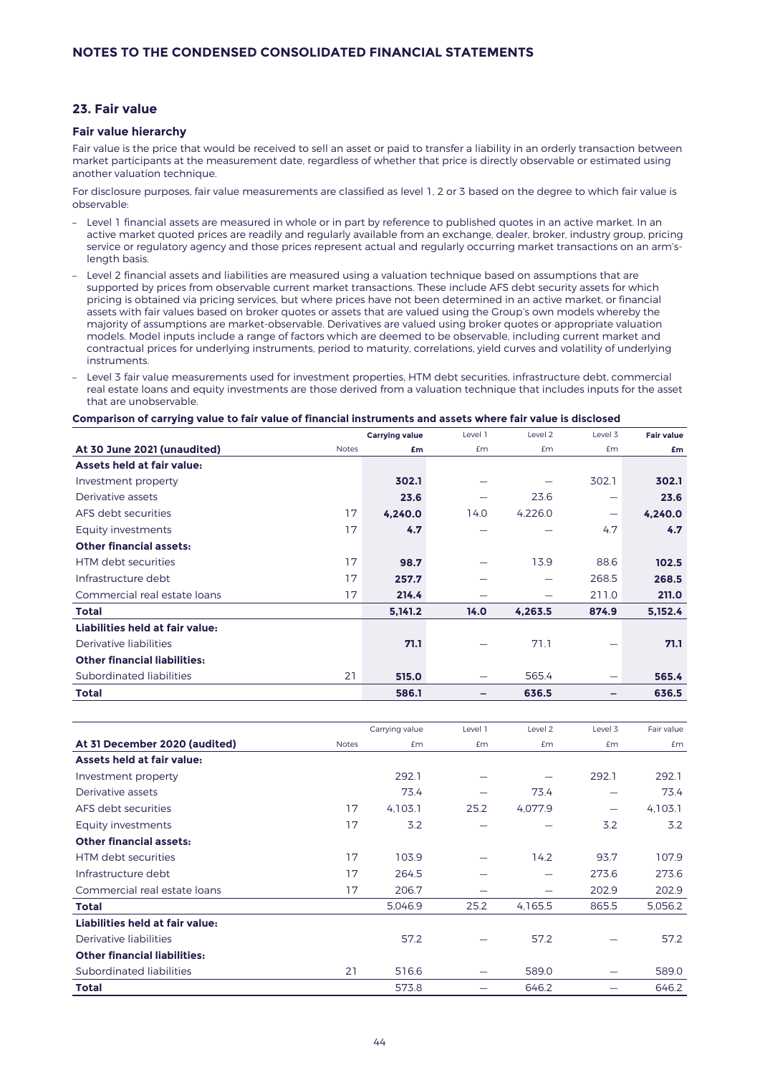# **23. Fair value**

## **Fair value hierarchy**

Fair value is the price that would be received to sell an asset or paid to transfer a liability in an orderly transaction between market participants at the measurement date, regardless of whether that price is directly observable or estimated using another valuation technique.

For disclosure purposes, fair value measurements are classified as level 1, 2 or 3 based on the degree to which fair value is observable:

- Level 1 financial assets are measured in whole or in part by reference to published quotes in an active market. In an active market quoted prices are readily and regularly available from an exchange, dealer, broker, industry group, pricing service or regulatory agency and those prices represent actual and regularly occurring market transactions on an arm'slength basis.
- Level 2 financial assets and liabilities are measured using a valuation technique based on assumptions that are supported by prices from observable current market transactions. These include AFS debt security assets for which pricing is obtained via pricing services, but where prices have not been determined in an active market, or financial assets with fair values based on broker quotes or assets that are valued using the Group's own models whereby the majority of assumptions are market-observable. Derivatives are valued using broker quotes or appropriate valuation models. Model inputs include a range of factors which are deemed to be observable, including current market and contractual prices for underlying instruments, period to maturity, correlations, yield curves and volatility of underlying instruments.
- Level 3 fair value measurements used for investment properties, HTM debt securities, infrastructure debt, commercial real estate loans and equity investments are those derived from a valuation technique that includes inputs for the asset that are unobservable.

#### **Comparison of carrying value to fair value of financial instruments and assets where fair value is disclosed**

|                                             | <b>Carrying value</b> | Level 1 | Level <sub>2</sub> | Level 3                  | <b>Fair value</b> |
|---------------------------------------------|-----------------------|---------|--------------------|--------------------------|-------------------|
| At 30 June 2021 (unaudited)<br><b>Notes</b> | £m                    | £m      | £m                 | Em                       | £m                |
| Assets held at fair value:                  |                       |         |                    |                          |                   |
| Investment property                         | 302.1                 |         |                    | 302.1                    | 302.1             |
| Derivative assets                           | 23.6                  |         | 23.6               |                          | 23.6              |
| 17<br>AFS debt securities                   | 4,240.0               | 14.0    | 4,226.0            | $\overline{\phantom{0}}$ | 4,240.0           |
| 17<br>Equity investments                    | 4.7                   |         |                    | 4.7                      | 4.7               |
| <b>Other financial assets:</b>              |                       |         |                    |                          |                   |
| 17<br><b>HTM</b> debt securities            | 98.7                  |         | 13.9               | 88.6                     | 102.5             |
| 17<br>Infrastructure debt                   | 257.7                 |         |                    | 268.5                    | 268.5             |
| 17<br>Commercial real estate loans          | 214.4                 |         |                    | 211.0                    | 211.0             |
| <b>Total</b>                                | 5,141.2               | 14.0    | 4,263.5            | 874.9                    | 5,152.4           |
| Liabilities held at fair value:             |                       |         |                    |                          |                   |
| Derivative liabilities                      | 71.1                  |         | 71.1               |                          | 71.1              |
| <b>Other financial liabilities:</b>         |                       |         |                    |                          |                   |
| 21<br>Subordinated liabilities              | 515.0                 |         | 565.4              | $\overline{\phantom{0}}$ | 565.4             |
| <b>Total</b>                                | 586.1                 |         | 636.5              |                          | 636.5             |

|                                     |              | Carrying value | Level 1 | Level <sub>2</sub> | Level 3 | Fair value |
|-------------------------------------|--------------|----------------|---------|--------------------|---------|------------|
| At 31 December 2020 (audited)       | <b>Notes</b> | Em             | Em      | Em                 | Em      | £m         |
| <b>Assets held at fair value:</b>   |              |                |         |                    |         |            |
| Investment property                 |              | 292.1          |         |                    | 292.1   | 292.1      |
| Derivative assets                   |              | 73.4           |         | 73.4               |         | 73.4       |
| AFS debt securities                 | 17           | 4,103.1        | 25.2    | 4,077.9            |         | 4,103.1    |
| Equity investments                  | 17           | 3.2            |         |                    | 3.2     | 3.2        |
| <b>Other financial assets:</b>      |              |                |         |                    |         |            |
| HTM debt securities                 | 17           | 103.9          |         | 14.2               | 93.7    | 107.9      |
| Infrastructure debt                 | 17           | 264.5          |         |                    | 273.6   | 273.6      |
| Commercial real estate loans        | 17           | 206.7          |         |                    | 202.9   | 202.9      |
| Total                               |              | 5,046.9        | 25.2    | 4,165.5            | 865.5   | 5,056.2    |
| Liabilities held at fair value:     |              |                |         |                    |         |            |
| Derivative liabilities              |              | 57.2           |         | 57.2               |         | 57.2       |
| <b>Other financial liabilities:</b> |              |                |         |                    |         |            |
| Subordinated liabilities            | 21           | 516.6          |         | 589.0              |         | 589.0      |
| Total                               |              | 573.8          |         | 646.2              |         | 646.2      |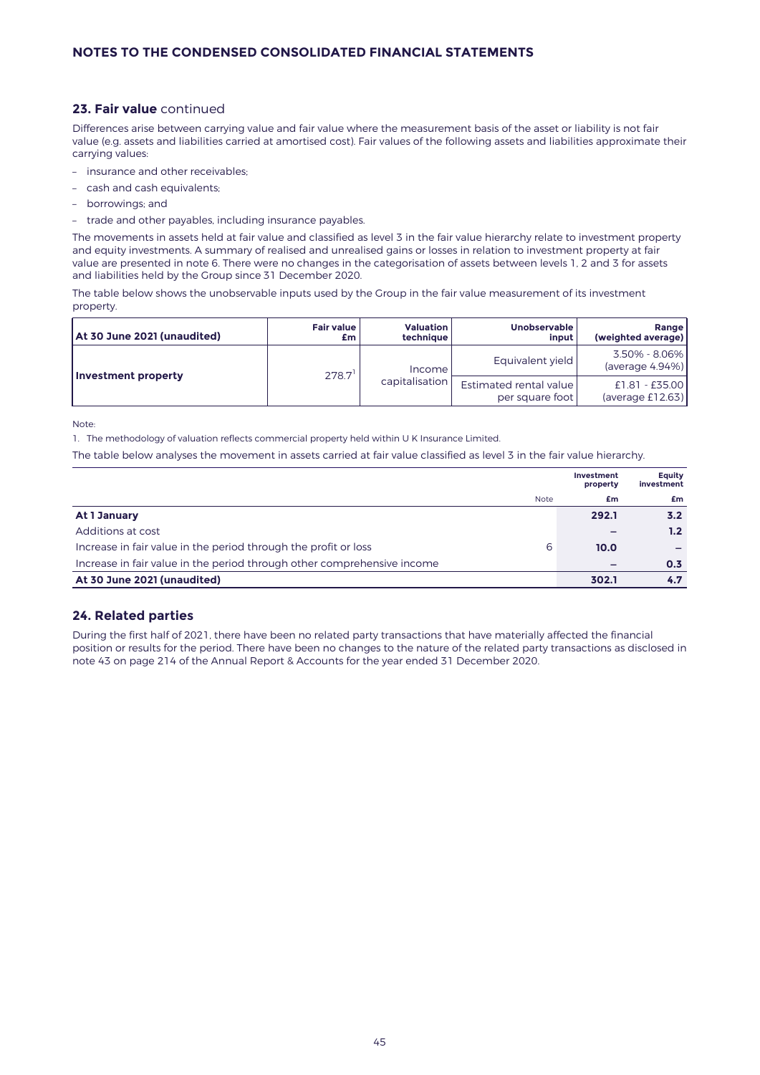# **23. Fair value** continued

Differences arise between carrying value and fair value where the measurement basis of the asset or liability is not fair value (e.g. assets and liabilities carried at amortised cost). Fair values of the following assets and liabilities approximate their carrying values:

- insurance and other receivables;
- cash and cash equivalents;
- borrowings; and
- trade and other payables, including insurance payables.

The movements in assets held at fair value and classified as level 3 in the fair value hierarchy relate to investment property and equity investments. A summary of realised and unrealised gains or losses in relation to investment property at fair value are presented in note 6. There were no changes in the categorisation of assets between levels 1, 2 and 3 for assets and liabilities held by the Group since 31 December 2020.

The table below shows the unobservable inputs used by the Group in the fair value measurement of its investment property.

| At 30 June 2021 (unaudited) | Fair value<br>£m | <b>Valuation</b><br>technique | <b>Unobservable</b><br>input l            | Range<br>(weighted average)        |
|-----------------------------|------------------|-------------------------------|-------------------------------------------|------------------------------------|
|                             | 278.7            | Income                        | Equivalent yield                          | 3.50% - 8.06%<br>(average 4.94%)   |
| Investment property         |                  | capitalisation                | Estimated rental value<br>per square foot | £1.81 - £35.00<br>(average £12.63) |

Note:

1. The methodology of valuation reflects commercial property held within U K Insurance Limited.

The table below analyses the movement in assets carried at fair value classified as level 3 in the fair value hierarchy.

|                                                                         |             | Investment<br>property | Equity<br>investment |
|-------------------------------------------------------------------------|-------------|------------------------|----------------------|
|                                                                         | <b>Note</b> | £m                     | £m                   |
| At 1 January                                                            |             | 292.1                  | 3.2                  |
| Additions at cost                                                       |             |                        | 1.2 <sub>1</sub>     |
| Increase in fair value in the period through the profit or loss         | 6           | 10.0                   |                      |
| Increase in fair value in the period through other comprehensive income |             |                        | 0.3                  |
| At 30 June 2021 (unaudited)                                             |             | 302.1                  | 4.7                  |

# **24. Related parties**

During the first half of 2021, there have been no related party transactions that have materially affected the financial position or results for the period. There have been no changes to the nature of the related party transactions as disclosed in note 43 on page 214 of the Annual Report & Accounts for the year ended 31 December 2020.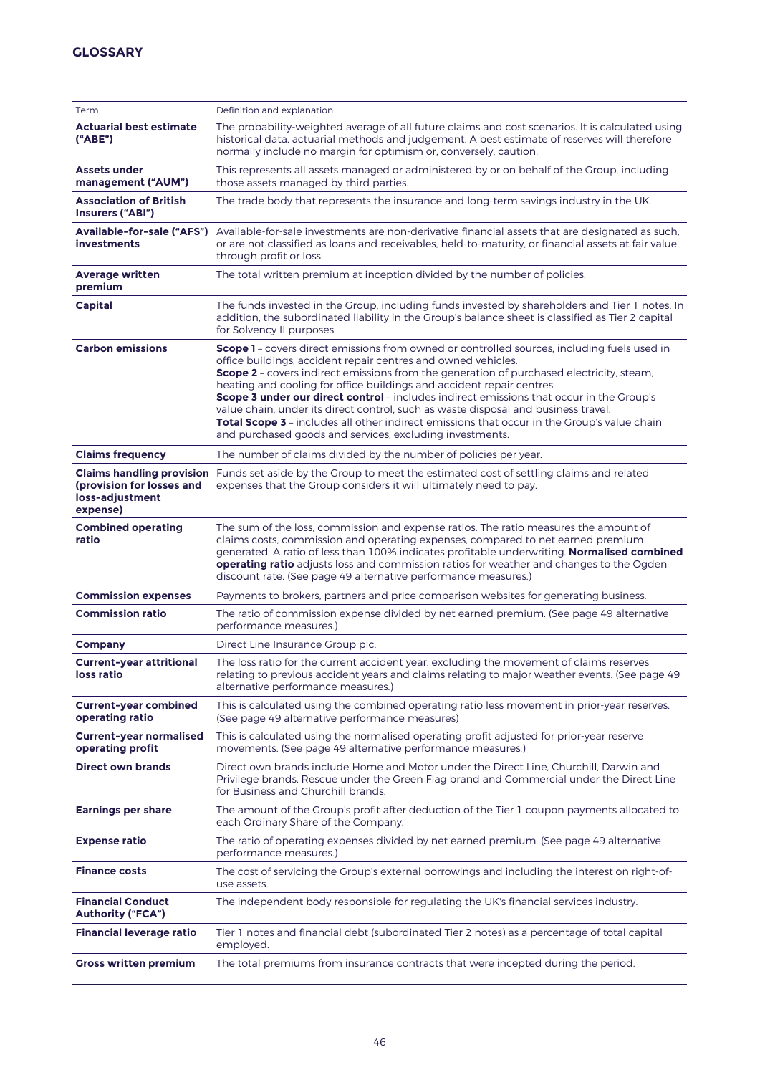| Term                                                                                         | Definition and explanation                                                                                                                                                                                                                                                                                                                                                                                                                                                                                                                                                                                                                                                     |
|----------------------------------------------------------------------------------------------|--------------------------------------------------------------------------------------------------------------------------------------------------------------------------------------------------------------------------------------------------------------------------------------------------------------------------------------------------------------------------------------------------------------------------------------------------------------------------------------------------------------------------------------------------------------------------------------------------------------------------------------------------------------------------------|
| <b>Actuarial best estimate</b><br>("ABE")                                                    | The probability-weighted average of all future claims and cost scenarios. It is calculated using<br>historical data, actuarial methods and judgement. A best estimate of reserves will therefore<br>normally include no margin for optimism or, conversely, caution.                                                                                                                                                                                                                                                                                                                                                                                                           |
| <b>Assets under</b><br>management ("AUM")                                                    | This represents all assets managed or administered by or on behalf of the Group, including<br>those assets managed by third parties.                                                                                                                                                                                                                                                                                                                                                                                                                                                                                                                                           |
| <b>Association of British</b><br>Insurers ("ABI")                                            | The trade body that represents the insurance and long-term savings industry in the UK.                                                                                                                                                                                                                                                                                                                                                                                                                                                                                                                                                                                         |
| <b>investments</b>                                                                           | Available-for-sale ("AFS") Available-for-sale investments are non-derivative financial assets that are designated as such,<br>or are not classified as loans and receivables, held-to-maturity, or financial assets at fair value<br>through profit or loss.                                                                                                                                                                                                                                                                                                                                                                                                                   |
| <b>Average written</b><br>premium                                                            | The total written premium at inception divided by the number of policies.                                                                                                                                                                                                                                                                                                                                                                                                                                                                                                                                                                                                      |
| Capital                                                                                      | The funds invested in the Group, including funds invested by shareholders and Tier 1 notes. In<br>addition, the subordinated liability in the Group's balance sheet is classified as Tier 2 capital<br>for Solvency II purposes.                                                                                                                                                                                                                                                                                                                                                                                                                                               |
| <b>Carbon emissions</b>                                                                      | Scope 1 - covers direct emissions from owned or controlled sources, including fuels used in<br>office buildings, accident repair centres and owned vehicles.<br>Scope 2 - covers indirect emissions from the generation of purchased electricity, steam,<br>heating and cooling for office buildings and accident repair centres.<br>Scope 3 under our direct control - includes indirect emissions that occur in the Group's<br>value chain, under its direct control, such as waste disposal and business travel.<br>Total Scope 3 - includes all other indirect emissions that occur in the Group's value chain<br>and purchased goods and services, excluding investments. |
| <b>Claims frequency</b>                                                                      | The number of claims divided by the number of policies per year.                                                                                                                                                                                                                                                                                                                                                                                                                                                                                                                                                                                                               |
| <b>Claims handling provision</b><br>(provision for losses and<br>loss-adjustment<br>expense) | Funds set aside by the Group to meet the estimated cost of settling claims and related<br>expenses that the Group considers it will ultimately need to pay.                                                                                                                                                                                                                                                                                                                                                                                                                                                                                                                    |
| <b>Combined operating</b><br>ratio                                                           | The sum of the loss, commission and expense ratios. The ratio measures the amount of<br>claims costs, commission and operating expenses, compared to net earned premium<br>generated. A ratio of less than 100% indicates profitable underwriting. Normalised combined<br><b>operating ratio</b> adjusts loss and commission ratios for weather and changes to the Ogden<br>discount rate. (See page 49 alternative performance measures.)                                                                                                                                                                                                                                     |
| <b>Commission expenses</b>                                                                   | Payments to brokers, partners and price comparison websites for generating business.                                                                                                                                                                                                                                                                                                                                                                                                                                                                                                                                                                                           |
| <b>Commission ratio</b>                                                                      | The ratio of commission expense divided by net earned premium. (See page 49 alternative<br>performance measures.)                                                                                                                                                                                                                                                                                                                                                                                                                                                                                                                                                              |
| <b>Company</b>                                                                               | Direct Line Insurance Group plc.                                                                                                                                                                                                                                                                                                                                                                                                                                                                                                                                                                                                                                               |
| <b>Current-year attritional</b><br>loss ratio                                                | The loss ratio for the current accident year, excluding the movement of claims reserves<br>relating to previous accident years and claims relating to major weather events. (See page 49<br>alternative performance measures.)                                                                                                                                                                                                                                                                                                                                                                                                                                                 |
| <b>Current-year combined</b><br>operating ratio                                              | This is calculated using the combined operating ratio less movement in prior-year reserves.<br>(See page 49 alternative performance measures)                                                                                                                                                                                                                                                                                                                                                                                                                                                                                                                                  |
| <b>Current-year normalised</b><br>operating profit                                           | This is calculated using the normalised operating profit adjusted for prior-year reserve<br>movements. (See page 49 alternative performance measures.)                                                                                                                                                                                                                                                                                                                                                                                                                                                                                                                         |
| <b>Direct own brands</b>                                                                     | Direct own brands include Home and Motor under the Direct Line, Churchill, Darwin and<br>Privilege brands, Rescue under the Green Flag brand and Commercial under the Direct Line<br>for Business and Churchill brands.                                                                                                                                                                                                                                                                                                                                                                                                                                                        |
| <b>Earnings per share</b>                                                                    | The amount of the Group's profit after deduction of the Tier 1 coupon payments allocated to<br>each Ordinary Share of the Company.                                                                                                                                                                                                                                                                                                                                                                                                                                                                                                                                             |
| <b>Expense ratio</b>                                                                         | The ratio of operating expenses divided by net earned premium. (See page 49 alternative<br>performance measures.)                                                                                                                                                                                                                                                                                                                                                                                                                                                                                                                                                              |
| <b>Finance costs</b>                                                                         | The cost of servicing the Group's external borrowings and including the interest on right-of-<br>use assets.                                                                                                                                                                                                                                                                                                                                                                                                                                                                                                                                                                   |
| <b>Financial Conduct</b><br><b>Authority ("FCA")</b>                                         | The independent body responsible for regulating the UK's financial services industry.                                                                                                                                                                                                                                                                                                                                                                                                                                                                                                                                                                                          |
| <b>Financial leverage ratio</b>                                                              | Tier 1 notes and financial debt (subordinated Tier 2 notes) as a percentage of total capital<br>employed.                                                                                                                                                                                                                                                                                                                                                                                                                                                                                                                                                                      |
| <b>Gross written premium</b>                                                                 | The total premiums from insurance contracts that were incepted during the period.                                                                                                                                                                                                                                                                                                                                                                                                                                                                                                                                                                                              |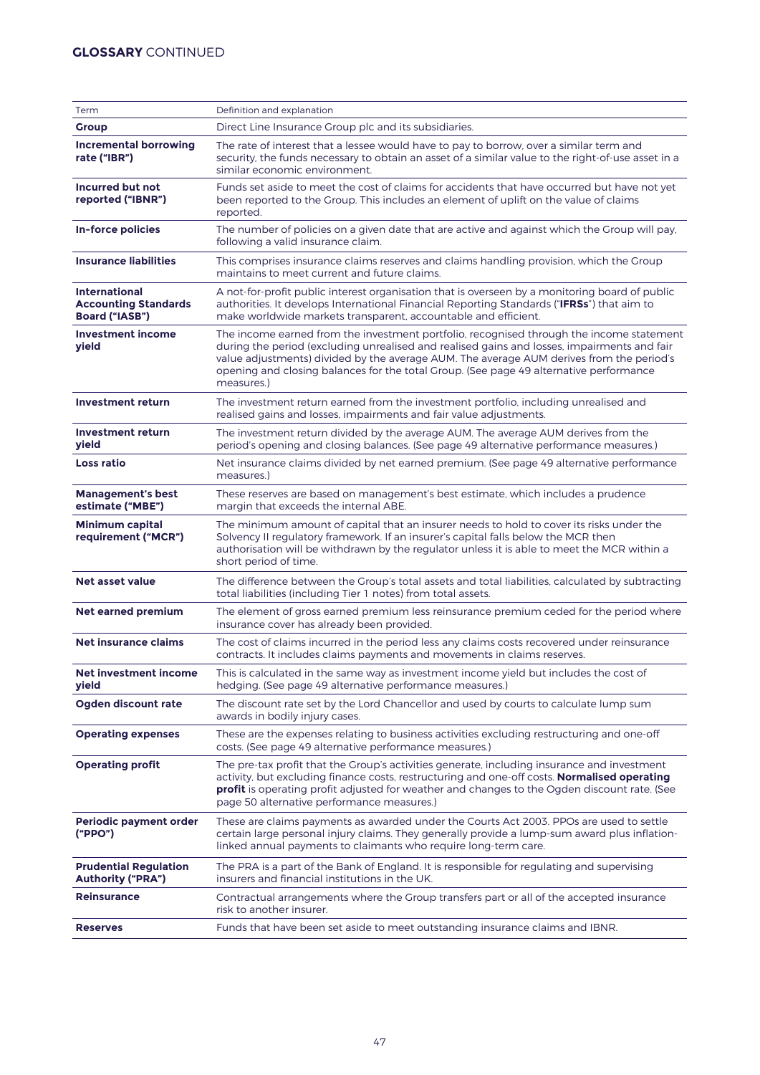# **GLOSSARY** CONTINUED

| Term                                                                         | Definition and explanation                                                                                                                                                                                                                                                                                                                                                                  |
|------------------------------------------------------------------------------|---------------------------------------------------------------------------------------------------------------------------------------------------------------------------------------------------------------------------------------------------------------------------------------------------------------------------------------------------------------------------------------------|
| <b>Group</b>                                                                 | Direct Line Insurance Group plc and its subsidiaries.                                                                                                                                                                                                                                                                                                                                       |
| <b>Incremental borrowing</b><br>rate ("IBR")                                 | The rate of interest that a lessee would have to pay to borrow, over a similar term and<br>security, the funds necessary to obtain an asset of a similar value to the right-of-use asset in a<br>similar economic environment.                                                                                                                                                              |
| Incurred but not<br>reported ("IBNR")                                        | Funds set aside to meet the cost of claims for accidents that have occurred but have not yet<br>been reported to the Group. This includes an element of uplift on the value of claims<br>reported.                                                                                                                                                                                          |
| <b>In-force policies</b>                                                     | The number of policies on a given date that are active and against which the Group will pay,<br>following a valid insurance claim.                                                                                                                                                                                                                                                          |
| <b>Insurance liabilities</b>                                                 | This comprises insurance claims reserves and claims handling provision, which the Group<br>maintains to meet current and future claims.                                                                                                                                                                                                                                                     |
| <b>International</b><br><b>Accounting Standards</b><br><b>Board ("IASB")</b> | A not-for-profit public interest organisation that is overseen by a monitoring board of public<br>authorities. It develops International Financial Reporting Standards ("IFRSs") that aim to<br>make worldwide markets transparent, accountable and efficient.                                                                                                                              |
| <b>Investment income</b><br>yield                                            | The income earned from the investment portfolio, recognised through the income statement<br>during the period (excluding unrealised and realised gains and losses, impairments and fair<br>value adjustments) divided by the average AUM. The average AUM derives from the period's<br>opening and closing balances for the total Group. (See page 49 alternative performance<br>measures.) |
| <b>Investment return</b>                                                     | The investment return earned from the investment portfolio, including unrealised and<br>realised gains and losses, impairments and fair value adjustments.                                                                                                                                                                                                                                  |
| <b>Investment return</b><br><b>vield</b>                                     | The investment return divided by the average AUM. The average AUM derives from the<br>period's opening and closing balances. (See page 49 alternative performance measures.)                                                                                                                                                                                                                |
| <b>Loss ratio</b>                                                            | Net insurance claims divided by net earned premium. (See page 49 alternative performance<br>measures.)                                                                                                                                                                                                                                                                                      |
| <b>Management's best</b><br>estimate ("MBE")                                 | These reserves are based on management's best estimate, which includes a prudence<br>margin that exceeds the internal ABE.                                                                                                                                                                                                                                                                  |
| <b>Minimum capital</b><br>requirement ("MCR")                                | The minimum amount of capital that an insurer needs to hold to cover its risks under the<br>Solvency II regulatory framework. If an insurer's capital falls below the MCR then<br>authorisation will be withdrawn by the regulator unless it is able to meet the MCR within a<br>short period of time.                                                                                      |
| <b>Net asset value</b>                                                       | The difference between the Group's total assets and total liabilities, calculated by subtracting<br>total liabilities (including Tier 1 notes) from total assets.                                                                                                                                                                                                                           |
| <b>Net earned premium</b>                                                    | The element of gross earned premium less reinsurance premium ceded for the period where<br>insurance cover has already been provided.                                                                                                                                                                                                                                                       |
| <b>Net insurance claims</b>                                                  | The cost of claims incurred in the period less any claims costs recovered under reinsurance<br>contracts. It includes claims payments and movements in claims reserves.                                                                                                                                                                                                                     |
| Net investment income<br>yield                                               | This is calculated in the same way as investment income yield but includes the cost of<br>hedging. (See page 49 alternative performance measures.)                                                                                                                                                                                                                                          |
| Ogden discount rate                                                          | The discount rate set by the Lord Chancellor and used by courts to calculate lump sum<br>awards in bodily injury cases.                                                                                                                                                                                                                                                                     |
| <b>Operating expenses</b>                                                    | These are the expenses relating to business activities excluding restructuring and one-off<br>costs. (See page 49 alternative performance measures.)                                                                                                                                                                                                                                        |
| <b>Operating profit</b>                                                      | The pre-tax profit that the Group's activities generate, including insurance and investment<br>activity, but excluding finance costs, restructuring and one-off costs. Normalised operating<br>profit is operating profit adjusted for weather and changes to the Ogden discount rate. (See<br>page 50 alternative performance measures.)                                                   |
| <b>Periodic payment order</b><br>("PPO")                                     | These are claims payments as awarded under the Courts Act 2003. PPOs are used to settle<br>certain large personal injury claims. They generally provide a lump-sum award plus inflation-<br>linked annual payments to claimants who require long-term care.                                                                                                                                 |
| <b>Prudential Regulation</b><br><b>Authority ("PRA")</b>                     | The PRA is a part of the Bank of England. It is responsible for regulating and supervising<br>insurers and financial institutions in the UK.                                                                                                                                                                                                                                                |
| <b>Reinsurance</b>                                                           | Contractual arrangements where the Group transfers part or all of the accepted insurance<br>risk to another insurer.                                                                                                                                                                                                                                                                        |
| <b>Reserves</b>                                                              | Funds that have been set aside to meet outstanding insurance claims and IBNR.                                                                                                                                                                                                                                                                                                               |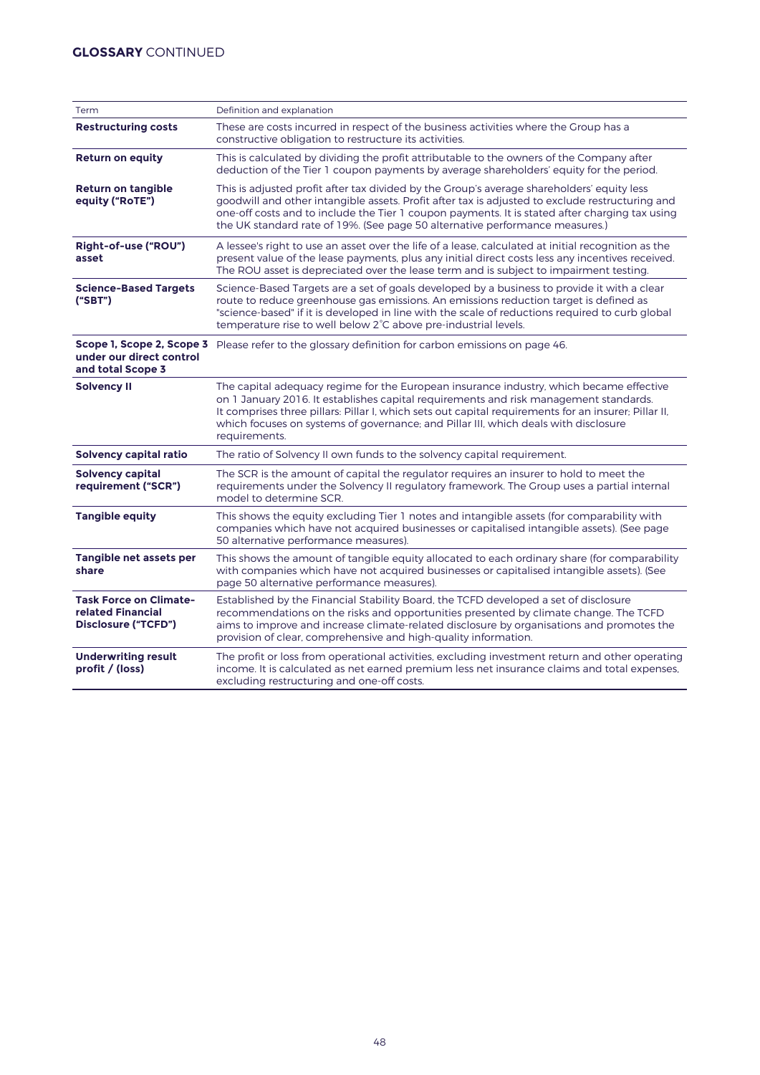| Term                                                                      | Definition and explanation                                                                                                                                                                                                                                                                                                                                                                       |
|---------------------------------------------------------------------------|--------------------------------------------------------------------------------------------------------------------------------------------------------------------------------------------------------------------------------------------------------------------------------------------------------------------------------------------------------------------------------------------------|
| <b>Restructuring costs</b>                                                | These are costs incurred in respect of the business activities where the Group has a<br>constructive obligation to restructure its activities.                                                                                                                                                                                                                                                   |
| <b>Return on equity</b>                                                   | This is calculated by dividing the profit attributable to the owners of the Company after<br>deduction of the Tier 1 coupon payments by average shareholders' equity for the period.                                                                                                                                                                                                             |
| <b>Return on tangible</b><br>equity ("RoTE")                              | This is adjusted profit after tax divided by the Group's average shareholders' equity less<br>goodwill and other intangible assets. Profit after tax is adjusted to exclude restructuring and<br>one-off costs and to include the Tier 1 coupon payments. It is stated after charging tax using<br>the UK standard rate of 19%. (See page 50 alternative performance measures.)                  |
| Right-of-use ("ROU")<br>asset                                             | A lessee's right to use an asset over the life of a lease, calculated at initial recognition as the<br>present value of the lease payments, plus any initial direct costs less any incentives received.<br>The ROU asset is depreciated over the lease term and is subject to impairment testing.                                                                                                |
| <b>Science-Based Targets</b><br>("SBT")                                   | Science-Based Targets are a set of goals developed by a business to provide it with a clear<br>route to reduce greenhouse gas emissions. An emissions reduction target is defined as<br>"science-based" if it is developed in line with the scale of reductions required to curb global<br>temperature rise to well below 2°C above pre-industrial levels.                                       |
| under our direct control<br>and total Scope 3                             | Scope 1, Scope 2, Scope 3 Please refer to the glossary definition for carbon emissions on page 46.                                                                                                                                                                                                                                                                                               |
| <b>Solvency II</b>                                                        | The capital adequacy regime for the European insurance industry, which became effective<br>on 1 January 2016. It establishes capital requirements and risk management standards.<br>It comprises three pillars: Pillar I, which sets out capital requirements for an insurer; Pillar II,<br>which focuses on systems of governance; and Pillar III, which deals with disclosure<br>requirements. |
| Solvency capital ratio                                                    | The ratio of Solvency II own funds to the solvency capital requirement.                                                                                                                                                                                                                                                                                                                          |
| <b>Solvency capital</b><br>requirement ("SCR")                            | The SCR is the amount of capital the regulator requires an insurer to hold to meet the<br>requirements under the Solvency II regulatory framework. The Group uses a partial internal<br>model to determine SCR.                                                                                                                                                                                  |
| <b>Tangible equity</b>                                                    | This shows the equity excluding Tier 1 notes and intangible assets (for comparability with<br>companies which have not acquired businesses or capitalised intangible assets). (See page<br>50 alternative performance measures).                                                                                                                                                                 |
| Tangible net assets per<br>share                                          | This shows the amount of tangible equity allocated to each ordinary share (for comparability<br>with companies which have not acquired businesses or capitalised intangible assets). (See<br>page 50 alternative performance measures).                                                                                                                                                          |
| <b>Task Force on Climate-</b><br>related Financial<br>Disclosure ("TCFD") | Established by the Financial Stability Board, the TCFD developed a set of disclosure<br>recommendations on the risks and opportunities presented by climate change. The TCFD<br>aims to improve and increase climate-related disclosure by organisations and promotes the<br>provision of clear, comprehensive and high-quality information.                                                     |
| <b>Underwriting result</b><br>profit / (loss)                             | The profit or loss from operational activities, excluding investment return and other operating<br>income. It is calculated as net earned premium less net insurance claims and total expenses,<br>excluding restructuring and one-off costs.                                                                                                                                                    |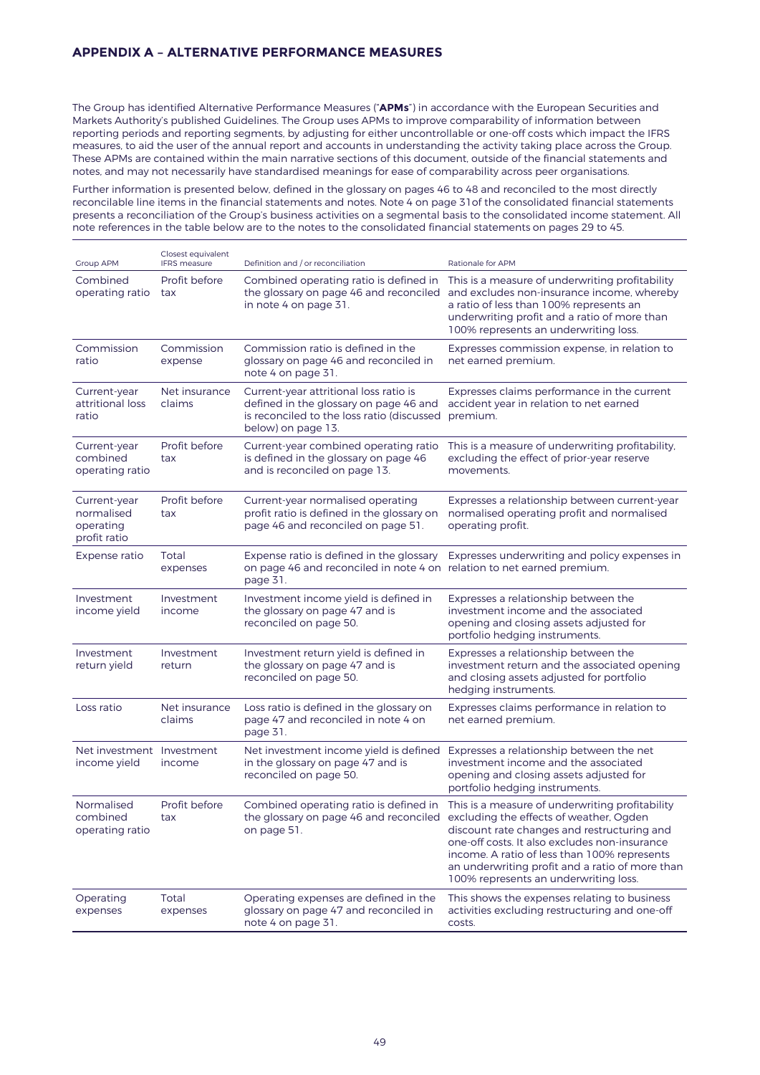# **APPENDIX A – ALTERNATIVE PERFORMANCE MEASURES**

The Group has identified Alternative Performance Measures ("**APMs**") in accordance with the European Securities and Markets Authority's published Guidelines. The Group uses APMs to improve comparability of information between reporting periods and reporting segments, by adjusting for either uncontrollable or one-off costs which impact the IFRS measures, to aid the user of the annual report and accounts in understanding the activity taking place across the Group. These APMs are contained within the main narrative sections of this document, outside of the financial statements and notes, and may not necessarily have standardised meanings for ease of comparability across peer organisations.

Further information is presented below, defined in the glossary on pages 46 to 48 and reconciled to the most directly reconcilable line items in the financial statements and notes. Note 4 on page 31of the consolidated financial statements presents a reconciliation of the Group's business activities on a segmental basis to the consolidated income statement. All note references in the table below are to the notes to the consolidated financial statements on pages 29 to 45.

| <b>Group APM</b>                                        | Closest equivalent<br><b>IFRS</b> measure | Definition and / or reconciliation                                                                                                                   | Rationale for APM                                                                                                                                                                                                                                                                                                                      |
|---------------------------------------------------------|-------------------------------------------|------------------------------------------------------------------------------------------------------------------------------------------------------|----------------------------------------------------------------------------------------------------------------------------------------------------------------------------------------------------------------------------------------------------------------------------------------------------------------------------------------|
| Combined<br>operating ratio                             | Profit before<br>tax                      | Combined operating ratio is defined in<br>the glossary on page 46 and reconciled<br>in note 4 on page 31.                                            | This is a measure of underwriting profitability<br>and excludes non-insurance income, whereby<br>a ratio of less than 100% represents an<br>underwriting profit and a ratio of more than<br>100% represents an underwriting loss.                                                                                                      |
| Commission<br>ratio                                     | Commission<br>expense                     | Commission ratio is defined in the<br>glossary on page 46 and reconciled in<br>note 4 on page 31.                                                    | Expresses commission expense, in relation to<br>net earned premium.                                                                                                                                                                                                                                                                    |
| Current-year<br>attritional loss<br>ratio               | Net insurance<br>claims                   | Current-year attritional loss ratio is<br>defined in the glossary on page 46 and<br>is reconciled to the loss ratio (discussed<br>below) on page 13. | Expresses claims performance in the current<br>accident year in relation to net earned<br>premium.                                                                                                                                                                                                                                     |
| Current-year<br>combined<br>operating ratio             | Profit before<br>tax                      | Current-year combined operating ratio<br>is defined in the glossary on page 46<br>and is reconciled on page 13.                                      | This is a measure of underwriting profitability,<br>excluding the effect of prior-year reserve<br>movements.                                                                                                                                                                                                                           |
| Current-year<br>normalised<br>operating<br>profit ratio | Profit before<br>tax                      | Current-year normalised operating<br>profit ratio is defined in the glossary on<br>page 46 and reconciled on page 51.                                | Expresses a relationship between current-year<br>normalised operating profit and normalised<br>operating profit.                                                                                                                                                                                                                       |
| Expense ratio                                           | Total<br>expenses                         | Expense ratio is defined in the glossary<br>on page 46 and reconciled in note 4 on relation to net earned premium.<br>page 31.                       | Expresses underwriting and policy expenses in                                                                                                                                                                                                                                                                                          |
| Investment<br>income yield                              | Investment<br>income                      | Investment income yield is defined in<br>the glossary on page 47 and is<br>reconciled on page 50.                                                    | Expresses a relationship between the<br>investment income and the associated<br>opening and closing assets adjusted for<br>portfolio hedging instruments.                                                                                                                                                                              |
| Investment<br>return yield                              | Investment<br>return                      | Investment return yield is defined in<br>the glossary on page 47 and is<br>reconciled on page 50.                                                    | Expresses a relationship between the<br>investment return and the associated opening<br>and closing assets adjusted for portfolio<br>hedging instruments.                                                                                                                                                                              |
| Loss ratio                                              | Net insurance<br>claims                   | Loss ratio is defined in the glossary on<br>page 47 and reconciled in note 4 on<br>page 31.                                                          | Expresses claims performance in relation to<br>net earned premium.                                                                                                                                                                                                                                                                     |
| Net investment Investment<br>income yield               | income                                    | Net investment income yield is defined<br>in the glossary on page 47 and is<br>reconciled on page 50.                                                | Expresses a relationship between the net<br>investment income and the associated<br>opening and closing assets adjusted for<br>portfolio hedging instruments.                                                                                                                                                                          |
| Normalised<br>combined<br>operating ratio               | Profit before<br>tax                      | Combined operating ratio is defined in<br>the glossary on page 46 and reconciled<br>on page 51.                                                      | This is a measure of underwriting profitability<br>excluding the effects of weather, Ogden<br>discount rate changes and restructuring and<br>one-off costs. It also excludes non-insurance<br>income. A ratio of less than 100% represents<br>an underwriting profit and a ratio of more than<br>100% represents an underwriting loss. |
| Operating<br>expenses                                   | Total<br>expenses                         | Operating expenses are defined in the<br>glossary on page 47 and reconciled in<br>note 4 on page 31.                                                 | This shows the expenses relating to business<br>activities excluding restructuring and one-off<br>costs.                                                                                                                                                                                                                               |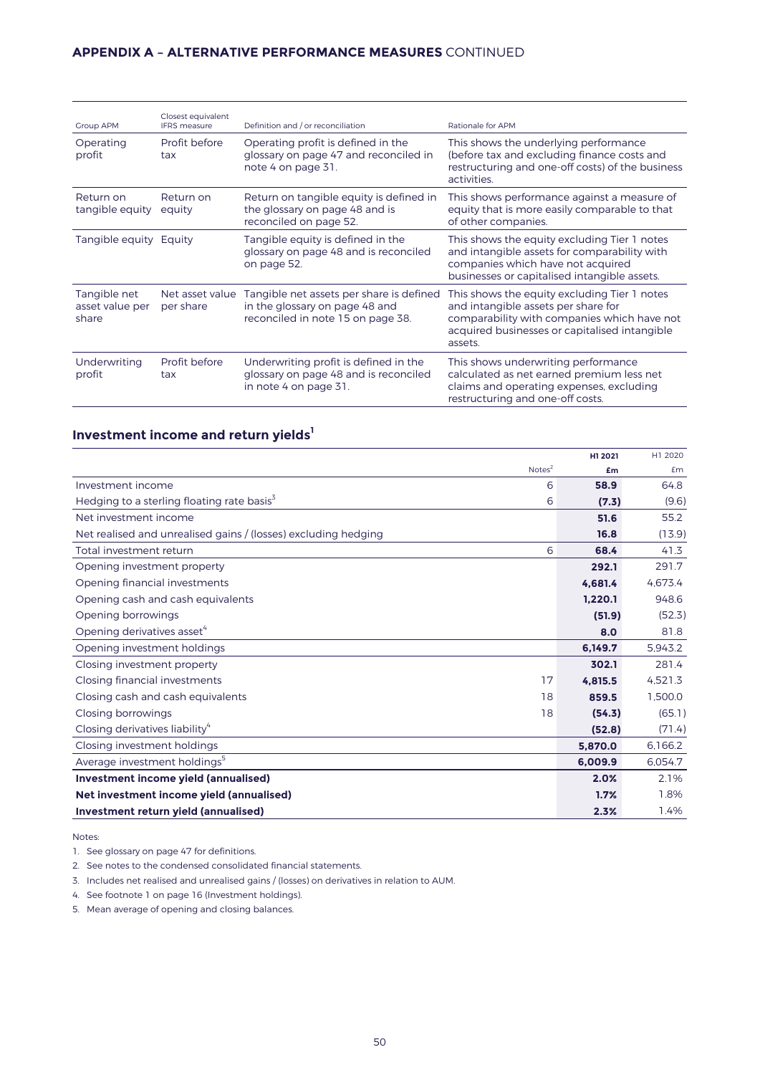# **APPENDIX A – ALTERNATIVE PERFORMANCE MEASURES** CONTINUED

| <b>Group APM</b>                         | Closest equivalent<br><b>IFRS</b> measure | Definition and / or reconciliation                                                                              | Rationale for APM                                                                                                                                                                              |
|------------------------------------------|-------------------------------------------|-----------------------------------------------------------------------------------------------------------------|------------------------------------------------------------------------------------------------------------------------------------------------------------------------------------------------|
| Operating<br>profit                      | Profit before<br>tax                      | Operating profit is defined in the<br>glossary on page 47 and reconciled in<br>note 4 on page 31.               | This shows the underlying performance<br>(before tax and excluding finance costs and<br>restructuring and one-off costs) of the business<br>activities.                                        |
| Return on<br>tangible equity             | Return on<br>equity                       | Return on tangible equity is defined in<br>the glossary on page 48 and is<br>reconciled on page 52.             | This shows performance against a measure of<br>equity that is more easily comparable to that<br>of other companies.                                                                            |
| Tangible equity                          | Equity                                    | Tangible equity is defined in the<br>glossary on page 48 and is reconciled<br>on page 52.                       | This shows the equity excluding Tier 1 notes<br>and intangible assets for comparability with<br>companies which have not acquired<br>businesses or capitalised intangible assets.              |
| Tangible net<br>asset value per<br>share | Net asset value<br>per share              | Tangible net assets per share is defined<br>in the glossary on page 48 and<br>reconciled in note 15 on page 38. | This shows the equity excluding Tier 1 notes<br>and intangible assets per share for<br>comparability with companies which have not<br>acquired businesses or capitalised intangible<br>assets. |
| Underwriting<br>profit                   | Profit before<br>tax                      | Underwriting profit is defined in the<br>glossary on page 48 and is reconciled<br>in note 4 on page 31.         | This shows underwriting performance<br>calculated as net earned premium less net<br>claims and operating expenses, excluding<br>restructuring and one-off costs.                               |

# **Investment income and return yields<sup>1</sup>**

|                                                                |                    | H1 2021 | H1 2020 |
|----------------------------------------------------------------|--------------------|---------|---------|
|                                                                | Notes <sup>2</sup> | £m      | £m      |
| Investment income                                              | 6                  | 58.9    | 64.8    |
| Hedging to a sterling floating rate basis <sup>3</sup>         | 6                  | (7.3)   | (9.6)   |
| Net investment income                                          |                    | 51.6    | 55.2    |
| Net realised and unrealised gains / (losses) excluding hedging |                    | 16.8    | (13.9)  |
| Total investment return                                        | 6                  | 68.4    | 41.3    |
| Opening investment property                                    |                    | 292.1   | 291.7   |
| Opening financial investments                                  |                    | 4.681.4 | 4.673.4 |
| Opening cash and cash equivalents                              |                    | 1,220.1 | 948.6   |
| Opening borrowings                                             |                    | (51.9)  | (52.3)  |
| Opening derivatives asset <sup>4</sup>                         |                    | 8.0     | 81.8    |
| Opening investment holdings                                    |                    | 6.149.7 | 5.943.2 |
| Closing investment property                                    |                    | 302.1   | 281.4   |
| Closing financial investments                                  | 17                 | 4.815.5 | 4,521.3 |
| Closing cash and cash equivalents                              | 18                 | 859.5   | 1,500.0 |
| Closing borrowings                                             | 18                 | (54.3)  | (65.1)  |
| Closing derivatives liability <sup>4</sup>                     |                    | (52.8)  | (71.4)  |
| Closing investment holdings                                    |                    | 5.870.0 | 6.166.2 |
| Average investment holdings <sup>5</sup>                       |                    | 6.009.9 | 6.054.7 |
| Investment income yield (annualised)                           |                    | 2.0%    | 2.1%    |
| Net investment income yield (annualised)                       |                    | 1.7%    | 1.8%    |
| Investment return yield (annualised)                           |                    | 2.3%    | 1.4%    |

Notes:

1. See glossary on page 47 for definitions.

2. See notes to the condensed consolidated financial statements.

3. Includes net realised and unrealised gains / (losses) on derivatives in relation to AUM.

4. See footnote 1 on page 16 (Investment holdings).

5. Mean average of opening and closing balances.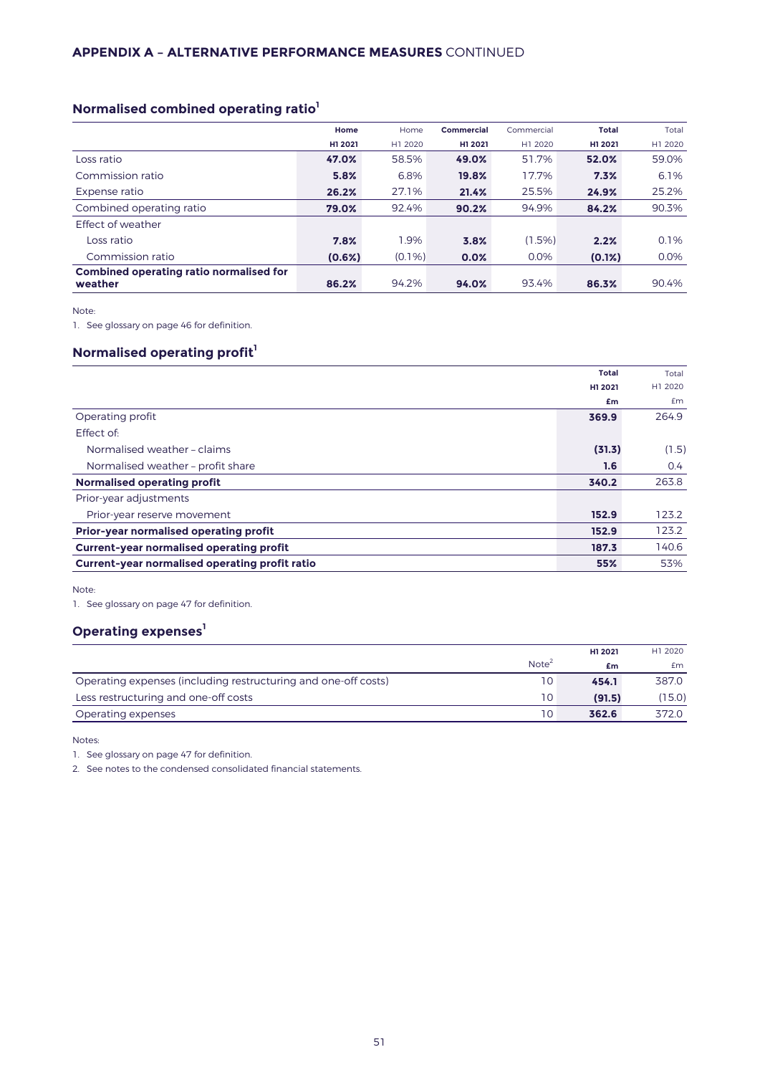# **Normalised combined operating ratio<sup>1</sup>**

|                                                           | Home    | Home      | Commercial | Commercial | <b>Total</b> | Total   |
|-----------------------------------------------------------|---------|-----------|------------|------------|--------------|---------|
|                                                           | H1 2021 | H1 2020   | H1 2021    | H1 2020    | H1 2021      | H1 2020 |
| Loss ratio                                                | 47.0%   | 58.5%     | 49.0%      | 51.7%      | 52.0%        | 59.0%   |
| Commission ratio                                          | 5.8%    | 6.8%      | 19.8%      | 17.7%      | 7.3%         | 6.1%    |
| Expense ratio                                             | 26.2%   | 27.1%     | 21.4%      | 25.5%      | 24.9%        | 25.2%   |
| Combined operating ratio                                  | 79.0%   | 92.4%     | 90.2%      | 94.9%      | 84.2%        | 90.3%   |
| <b>Effect of weather</b>                                  |         |           |            |            |              |         |
| Loss ratio                                                | 7.8%    | 1.9%      | 3.8%       | $(1.5\%)$  | 2.2%         | 0.1%    |
| Commission ratio                                          | (0.6%)  | $(0.1\%)$ | 0.0%       | 0.0%       | $(0.1\%)$    | 0.0%    |
| <b>Combined operating ratio normalised for</b><br>weather | 86.2%   | 94.2%     | 94.0%      | 93.4%      | 86.3%        | 90.4%   |

Note:

1. See glossary on page 46 for definition.

# **Normalised operating profit<sup>1</sup>**

|                                                       | <b>Total</b> | Total         |
|-------------------------------------------------------|--------------|---------------|
|                                                       | H1 2021      | H1 2020       |
|                                                       | £m           | £m            |
| Operating profit                                      | 369.9        | 264.9         |
| Effect of:                                            |              |               |
| Normalised weather - claims                           | (31.3)       | (1.5)         |
| Normalised weather - profit share                     | 1.6          | $0.4^{\circ}$ |
| Normalised operating profit                           | 340.2        | 263.8         |
| Prior-year adjustments                                |              |               |
| Prior-year reserve movement                           | 152.9        | 123.2         |
| Prior-year normalised operating profit                | 152.9        | 123.2         |
| <b>Current-year normalised operating profit</b>       | 187.3        | 140.6         |
| <b>Current-year normalised operating profit ratio</b> | 55%          | 53%           |

Note:

1. See glossary on page 47 for definition.

# **Operating expenses<sup>1</sup>**

|                                                                |                   | H1 2021 | H1 2020 |
|----------------------------------------------------------------|-------------------|---------|---------|
|                                                                | Note <sup>2</sup> | £m      | £m      |
| Operating expenses (including restructuring and one-off costs) | 10                | 454.1   | 387.0   |
| Less restructuring and one-off costs                           | 10                | (91.5)  | (15.0)  |
| Operating expenses                                             | 10                | 362.6   | 372.0   |

Notes:

1. See glossary on page 47 for definition.

2. See notes to the condensed consolidated financial statements.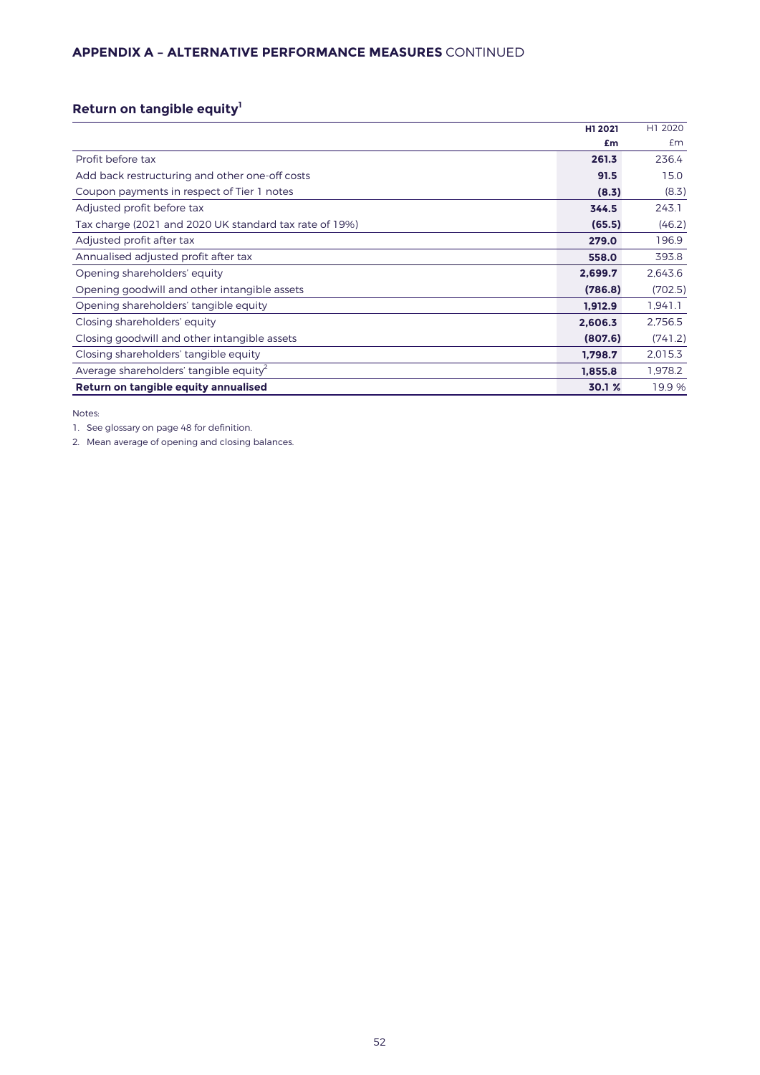# **APPENDIX A – ALTERNATIVE PERFORMANCE MEASURES** CONTINUED

# **Return on tangible equity<sup>1</sup>**

|                                                        | H1 2021 | H1 2020 |
|--------------------------------------------------------|---------|---------|
|                                                        | £m      | £m      |
| Profit before tax                                      | 261.3   | 236.4   |
| Add back restructuring and other one-off costs         | 91.5    | 15.0    |
| Coupon payments in respect of Tier 1 notes             | (8.3)   | (8.3)   |
| Adjusted profit before tax                             | 344.5   | 243.1   |
| Tax charge (2021 and 2020 UK standard tax rate of 19%) | (65.5)  | (46.2)  |
| Adjusted profit after tax                              | 279.0   | 196.9   |
| Annualised adjusted profit after tax                   | 558.0   | 393.8   |
| Opening shareholders' equity                           | 2,699.7 | 2,643.6 |
| Opening goodwill and other intangible assets           | (786.8) | (702.5) |
| Opening shareholders' tangible equity                  | 1,912.9 | 1,941.1 |
| Closing shareholders' equity                           | 2,606.3 | 2,756.5 |
| Closing goodwill and other intangible assets           | (807.6) | (741.2) |
| Closing shareholders' tangible equity                  | 1,798.7 | 2,015.3 |
| Average shareholders' tangible equity <sup>2</sup>     | 1,855.8 | 1,978.2 |
| Return on tangible equity annualised                   | 30.1 %  | 19.9 %  |

Notes:

1. See glossary on page 48 for definition.

2. Mean average of opening and closing balances.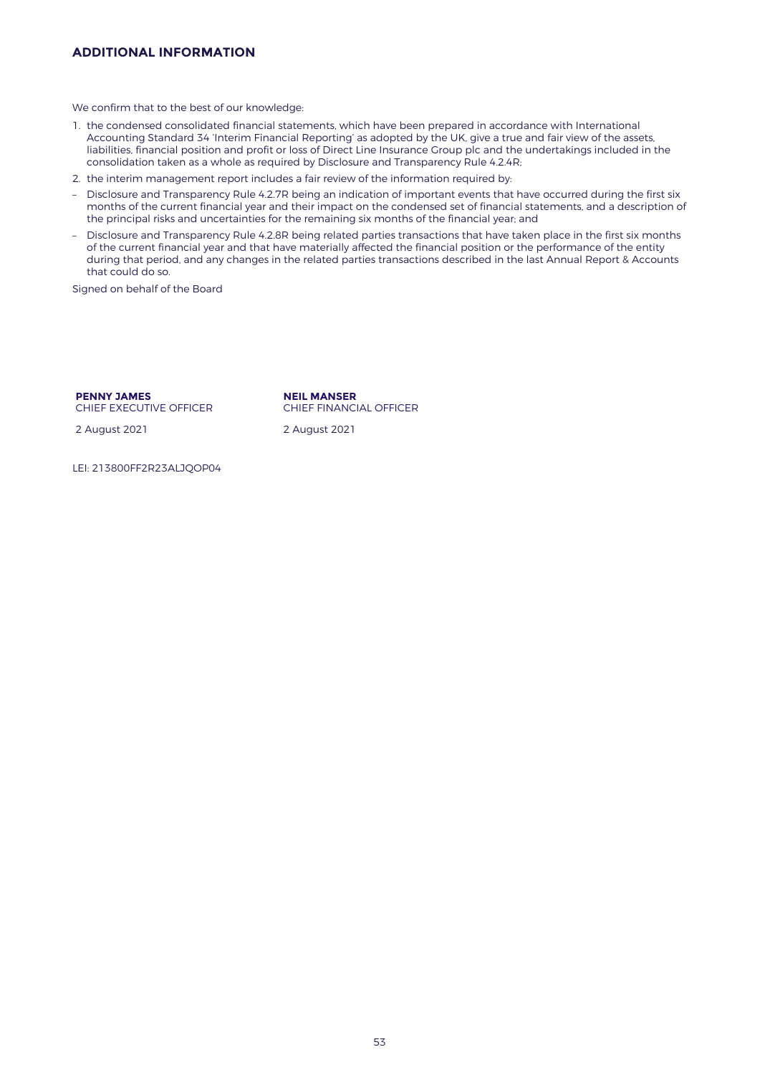# **ADDITIONAL INFORMATION**

We confirm that to the best of our knowledge:

- 1. the condensed consolidated financial statements, which have been prepared in accordance with International Accounting Standard 34 'Interim Financial Reporting' as adopted by the UK, give a true and fair view of the assets, liabilities, financial position and profit or loss of Direct Line Insurance Group plc and the undertakings included in the consolidation taken as a whole as required by Disclosure and Transparency Rule 4.2.4R;
- 2. the interim management report includes a fair review of the information required by:
- Disclosure and Transparency Rule 4.2.7R being an indication of important events that have occurred during the first six months of the current financial year and their impact on the condensed set of financial statements, and a description of the principal risks and uncertainties for the remaining six months of the financial year; and
- Disclosure and Transparency Rule 4.2.8R being related parties transactions that have taken place in the first six months of the current financial year and that have materially affected the financial position or the performance of the entity during that period, and any changes in the related parties transactions described in the last Annual Report & Accounts that could do so.

Signed on behalf of the Board

### **PENNY JAMES** CHIEF EXECUTIVE OFFICER

2 August 2021 2 August 2021

**NEIL MANSER** CHIEF FINANCIAL OFFICER

LEI: 213800FF2R23ALJQOP04